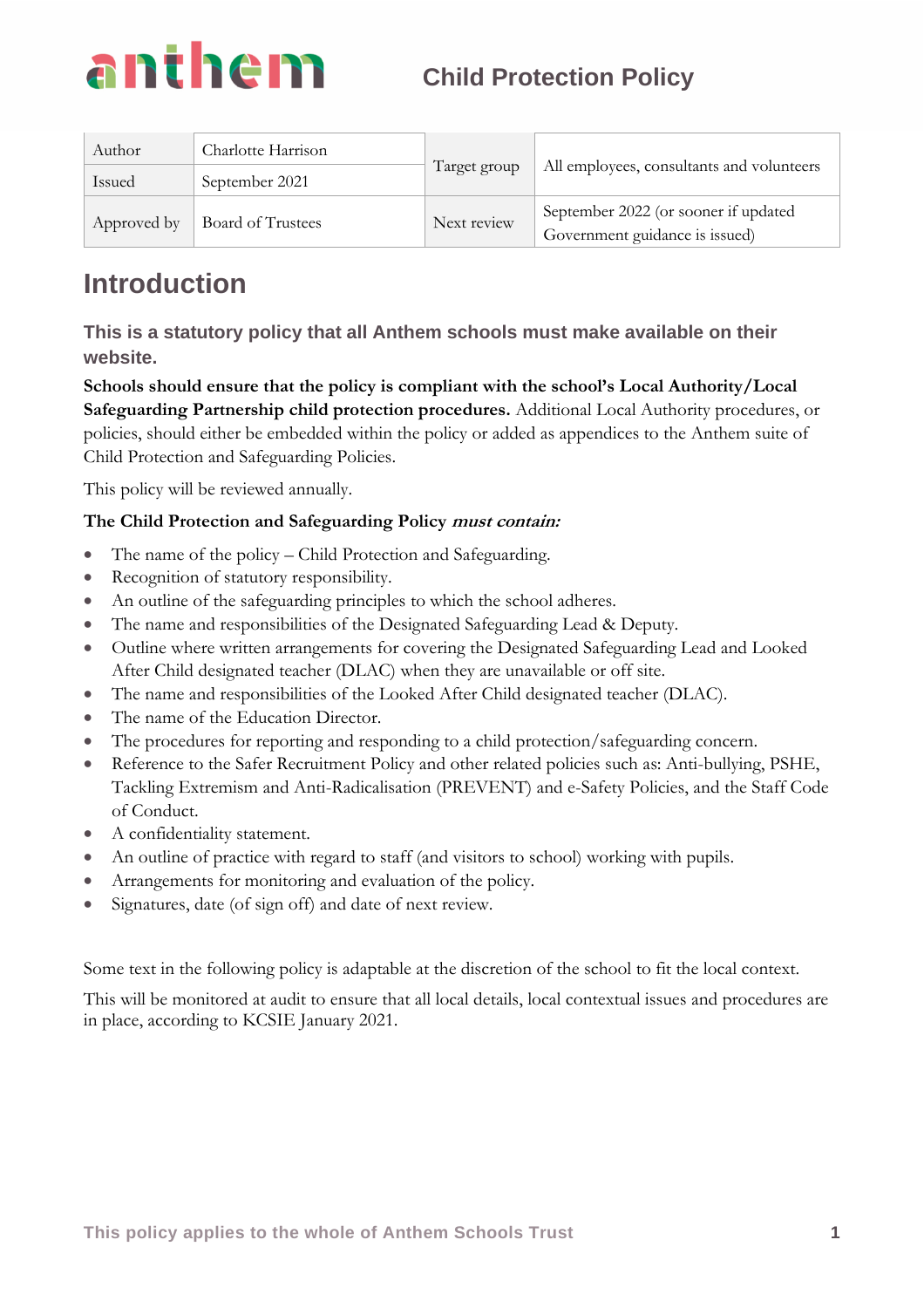

| Author      | Charlotte Harrison | Target group | All employees, consultants and volunteers                              |
|-------------|--------------------|--------------|------------------------------------------------------------------------|
| Issued      | September 2021     |              |                                                                        |
| Approved by | Board of Trustees  | Next review  | September 2022 (or sooner if updated<br>Government guidance is issued) |

### **Introduction**

**This is a statutory policy that all Anthem schools must make available on their website.**

**Schools should ensure that the policy is compliant with the school's Local Authority/Local Safeguarding Partnership child protection procedures.** Additional Local Authority procedures, or policies, should either be embedded within the policy or added as appendices to the Anthem suite of Child Protection and Safeguarding Policies.

This policy will be reviewed annually.

### **The Child Protection and Safeguarding Policy must contain:**

- The name of the policy Child Protection and Safeguarding.
- Recognition of statutory responsibility.
- An outline of the safeguarding principles to which the school adheres.
- The name and responsibilities of the Designated Safeguarding Lead & Deputy.
- Outline where written arrangements for covering the Designated Safeguarding Lead and Looked After Child designated teacher (DLAC) when they are unavailable or off site.
- The name and responsibilities of the Looked After Child designated teacher (DLAC).
- The name of the Education Director.
- The procedures for reporting and responding to a child protection/safeguarding concern.
- Reference to the Safer Recruitment Policy and other related policies such as: Anti-bullying, PSHE, Tackling Extremism and Anti-Radicalisation (PREVENT) and e-Safety Policies, and the Staff Code of Conduct.
- A confidentiality statement.
- An outline of practice with regard to staff (and visitors to school) working with pupils.
- Arrangements for monitoring and evaluation of the policy.
- Signatures, date (of sign off) and date of next review.

Some text in the following policy is adaptable at the discretion of the school to fit the local context.

This will be monitored at audit to ensure that all local details, local contextual issues and procedures are in place, according to KCSIE January 2021.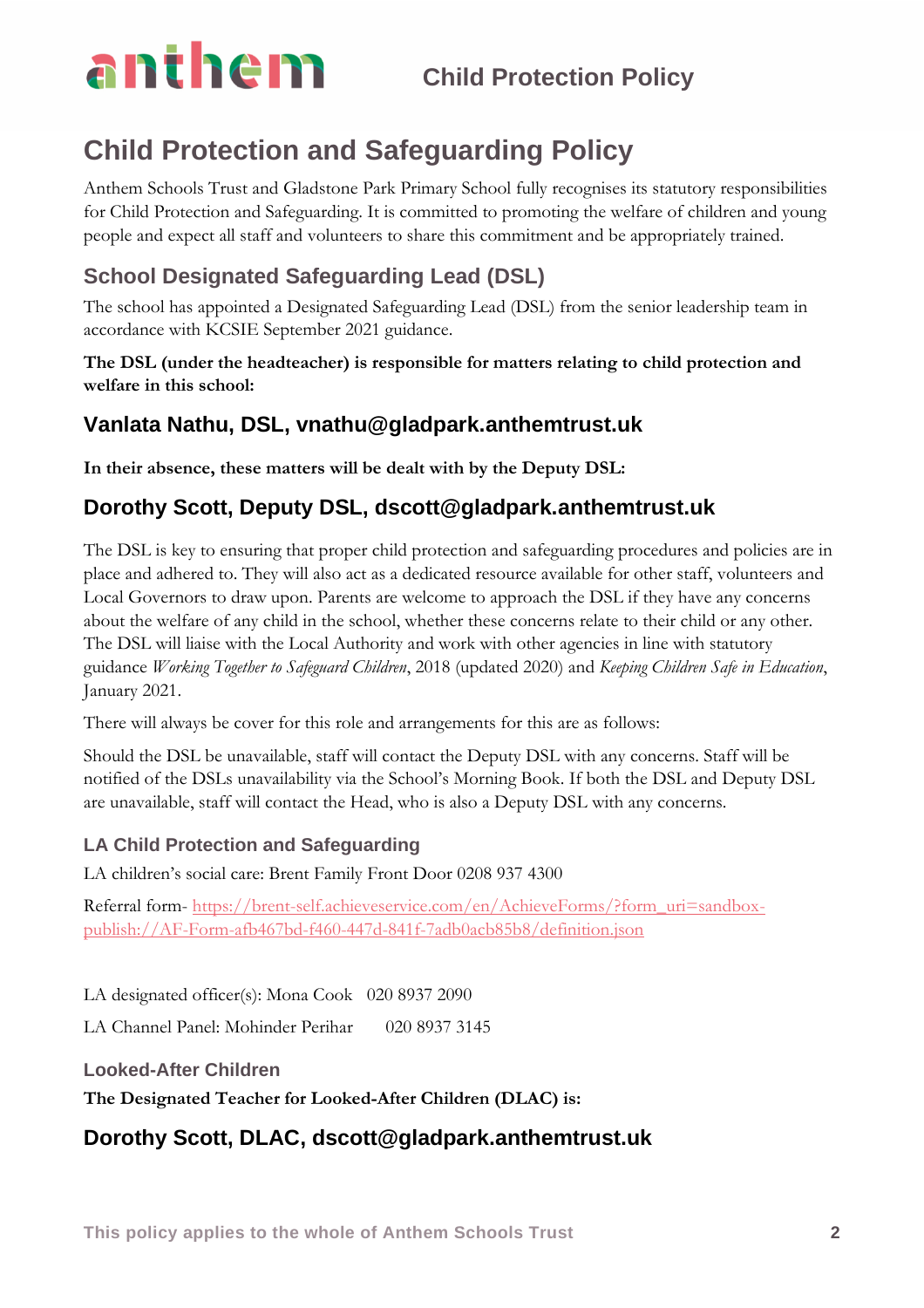## **Child Protection and Safeguarding Policy**

Anthem Schools Trust and Gladstone Park Primary School fully recognises its statutory responsibilities for Child Protection and Safeguarding. It is committed to promoting the welfare of children and young people and expect all staff and volunteers to share this commitment and be appropriately trained.

### **School Designated Safeguarding Lead (DSL)**

The school has appointed a Designated Safeguarding Lead (DSL) from the senior leadership team in accordance with KCSIE September 2021 guidance.

### **The DSL (under the headteacher) is responsible for matters relating to child protection and welfare in this school:**

### **Vanlata Nathu, DSL, vnathu@gladpark.anthemtrust.uk**

**In their absence, these matters will be dealt with by the Deputy DSL:**

### **Dorothy Scott, Deputy DSL, dscott@gladpark.anthemtrust.uk**

The DSL is key to ensuring that proper child protection and safeguarding procedures and policies are in place and adhered to. They will also act as a dedicated resource available for other staff, volunteers and Local Governors to draw upon. Parents are welcome to approach the DSL if they have any concerns about the welfare of any child in the school, whether these concerns relate to their child or any other. The DSL will liaise with the Local Authority and work with other agencies in line with statutory guidance *Working Together to Safeguard Children*, 2018 (updated 2020) and *Keeping Children Safe in Education*, January 2021.

There will always be cover for this role and arrangements for this are as follows:

Should the DSL be unavailable, staff will contact the Deputy DSL with any concerns. Staff will be notified of the DSLs unavailability via the School's Morning Book. If both the DSL and Deputy DSL are unavailable, staff will contact the Head, who is also a Deputy DSL with any concerns.

### **LA Child Protection and Safeguarding**

LA children's social care: Brent Family Front Door 0208 937 4300

Referral form- [https://brent-self.achieveservice.com/en/AchieveForms/?form\\_uri=sandbox](https://brent-self.achieveservice.com/en/AchieveForms/?form_uri=sandbox-publish://AF-Form-afb467bd-f460-447d-841f-7adb0acb85b8/definition.json)[publish://AF-Form-afb467bd-f460-447d-841f-7adb0acb85b8/definition.json](https://brent-self.achieveservice.com/en/AchieveForms/?form_uri=sandbox-publish://AF-Form-afb467bd-f460-447d-841f-7adb0acb85b8/definition.json)

LA designated officer(s): Mona Cook 020 8937 2090

LA Channel Panel: Mohinder Perihar 020 8937 3145

### **Looked-After Children**

**The Designated Teacher for Looked-After Children (DLAC) is:**

### **Dorothy Scott, DLAC, dscott@gladpark.anthemtrust.uk**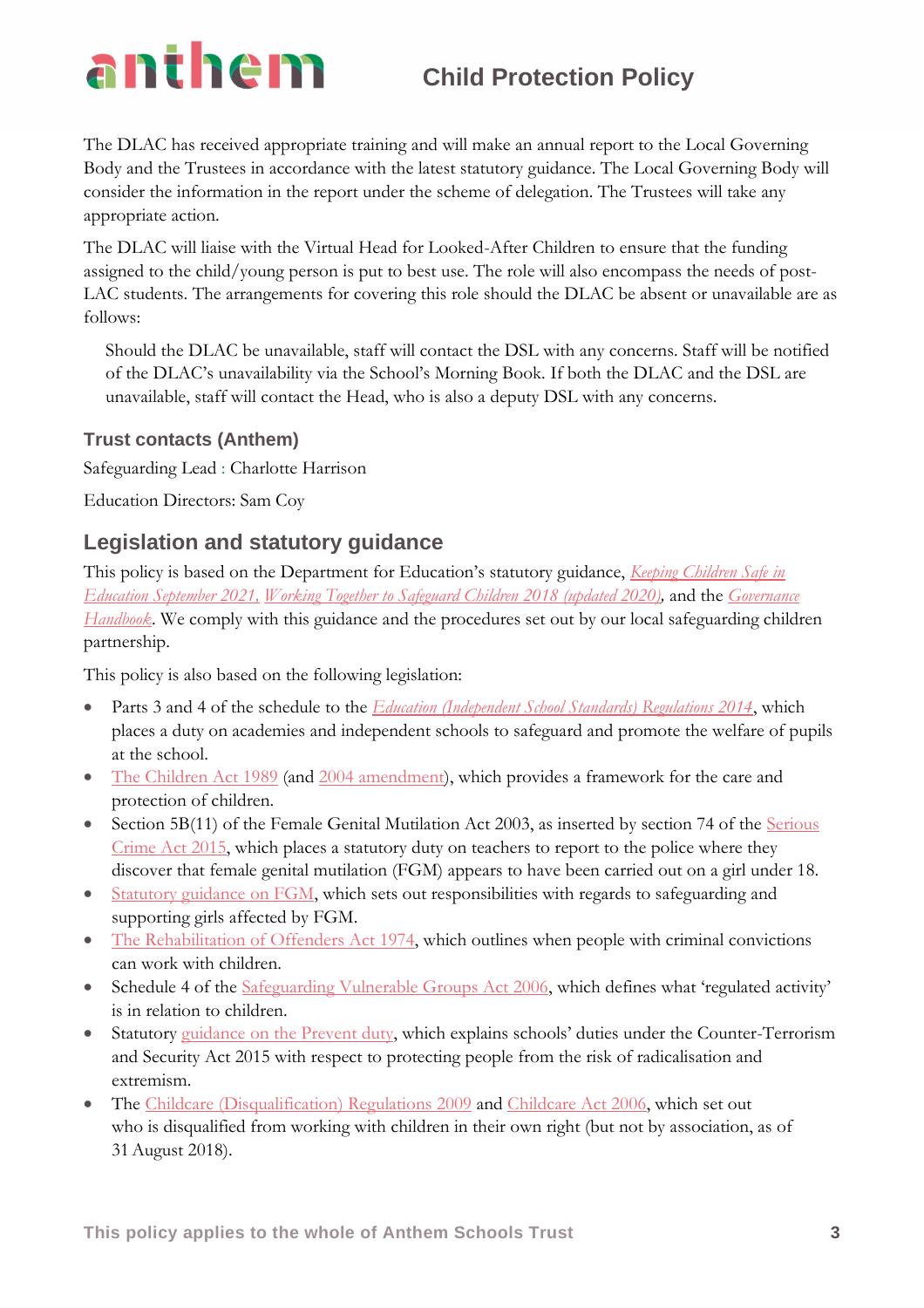The DLAC has received appropriate training and will make an annual report to the Local Governing Body and the Trustees in accordance with the latest statutory guidance. The Local Governing Body will consider the information in the report under the scheme of delegation. The Trustees will take any appropriate action.

The DLAC will liaise with the Virtual Head for Looked-After Children to ensure that the funding assigned to the child/young person is put to best use. The role will also encompass the needs of post-LAC students. The arrangements for covering this role should the DLAC be absent or unavailable are as follows:

Should the DLAC be unavailable, staff will contact the DSL with any concerns. Staff will be notified of the DLAC's unavailability via the School's Morning Book. If both the DLAC and the DSL are unavailable, staff will contact the Head, who is also a deputy DSL with any concerns.

### **Trust contacts (Anthem)**

Safeguarding Lead : Charlotte Harrison

Education Directors: Sam Coy

### **Legislation and statutory guidance**

This policy is based on the Department for Education's statutory guidance, *[Keeping Children Safe in](https://www.gov.uk/government/publications/keeping-children-safe-in-education--2)  [Education](https://www.gov.uk/government/publications/keeping-children-safe-in-education--2) September 2021, [Working Together to Safeguard Children](https://www.gov.uk/government/publications/working-together-to-safeguard-children--2) 2018 (updated 2020),* and the *[Governance](https://www.gov.uk/government/publications/governance-handbook)  [Handbook](https://www.gov.uk/government/publications/governance-handbook)*. We comply with this guidance and the procedures set out by our local safeguarding children partnership.

This policy is also based on the following legislation:

- Parts 3 and 4 of the schedule to the *[Education \(Independent School Standards\) Regulations 2014](http://www.legislation.gov.uk/uksi/2014/3283/schedule/part/3/made)*, which places a duty on academies and independent schools to safeguard and promote the welfare of pupils at the school.
- [The Children Act 1989](http://www.legislation.gov.uk/ukpga/1989/41) (and [2004 amendment\)](http://www.legislation.gov.uk/ukpga/2004/31/contents), which provides a framework for the care and protection of children.
- Section 5B(11) of the Female Genital Mutilation Act 2003, as inserted by section 74 of the Serious [Crime Act 2015,](http://www.legislation.gov.uk/ukpga/2015/9/part/5/crossheading/female-genital-mutilation) which places a statutory duty on teachers to report to the police where they discover that female genital mutilation (FGM) appears to have been carried out on a girl under 18.
- [Statutory guidance on FGM,](https://www.gov.uk/government/uploads/system/uploads/attachment_data/file/512906/Multi_Agency_Statutory_Guidance_on_FGM__-_FINAL.pdf) which sets out responsibilities with regards to safeguarding and supporting girls affected by FGM.
- [The Rehabilitation of Offenders Act 1974,](http://www.legislation.gov.uk/ukpga/1974/53) which outlines when people with criminal convictions can work with children.
- Schedule 4 of the [Safeguarding Vulnerable Groups Act 2006](http://www.legislation.gov.uk/ukpga/2006/47/schedule/4), which defines what 'regulated activity' is in relation to children.
- Statutory [guidance on the Prevent duty](https://www.gov.uk/government/publications/prevent-duty-guidance), which explains schools' duties under the Counter-Terrorism and Security Act 2015 with respect to protecting people from the risk of radicalisation and extremism.
- The [Childcare \(Disqualification\) Regulations 2009](http://www.legislation.gov.uk/uksi/2009/1547/pdfs/uksi_20091547_en.pdf) and [Childcare Act 2006,](http://www.legislation.gov.uk/ukpga/2006/21/contents) which set out who is disqualified from working with children in their own right (but not by association, as of 31August 2018).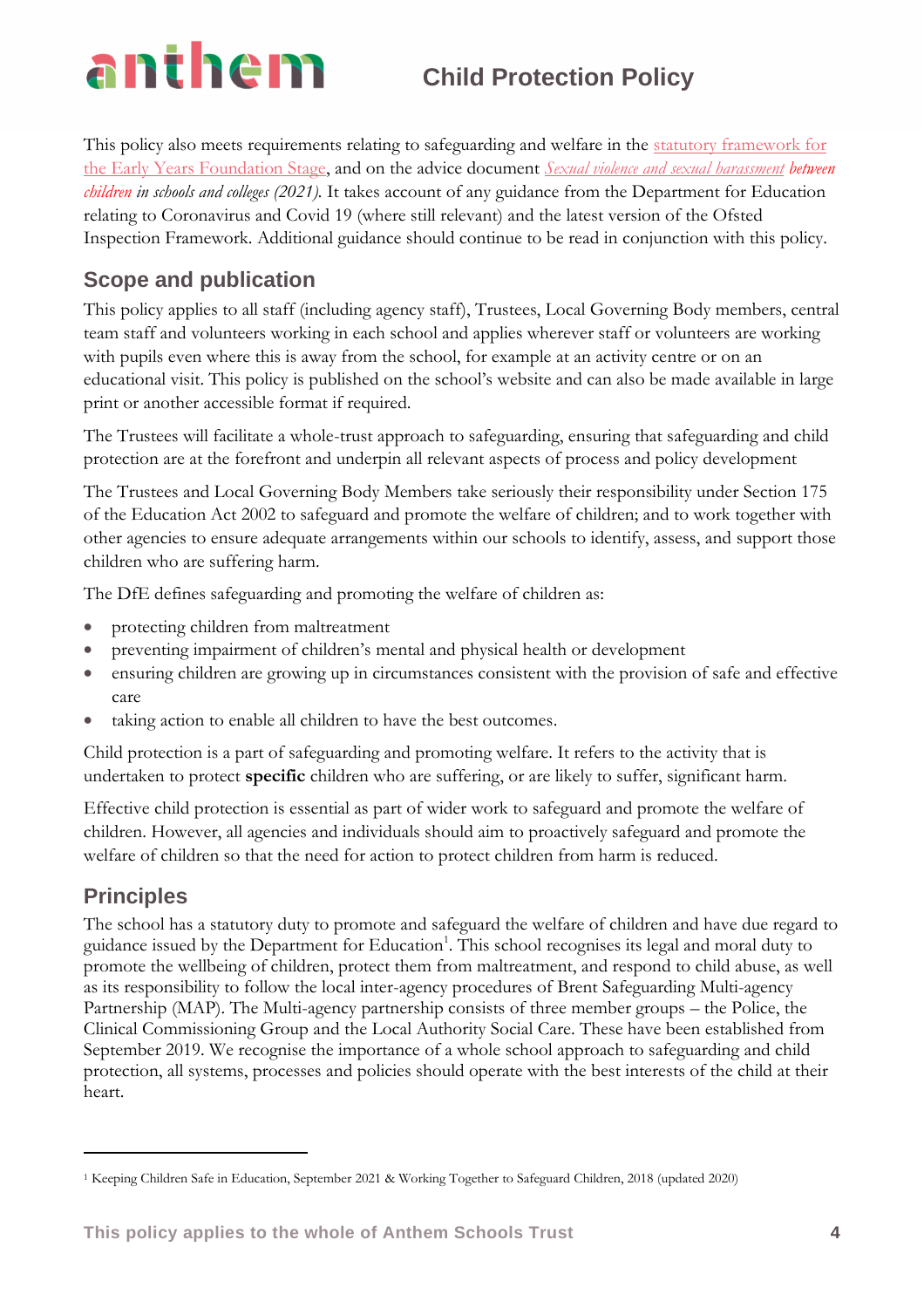This policy also meets requirements relating to safeguarding and welfare in the [statutory framework for](https://www.gov.uk/government/publications/early-years-foundation-stage-framework--2)  [the Early Years Foundation Stage,](https://www.gov.uk/government/publications/early-years-foundation-stage-framework--2) and on the advice document *[Sexual violence and sexual harassment](file:///H:/Documents/Safeguarding/Sexual%20violence%20and%20harassment/Sexual_violence_and_sexual_harassment_between_children_in_schools_and_colleges.pdf) between children in schools and colleges (2021).* It takes account of any guidance from the Department for Education relating to Coronavirus and Covid 19 (where still relevant) and the latest version of the Ofsted Inspection Framework. Additional guidance should continue to be read in conjunction with this policy.

### **Scope and publication**

This policy applies to all staff (including agency staff), Trustees, Local Governing Body members, central team staff and volunteers working in each school and applies wherever staff or volunteers are working with pupils even where this is away from the school, for example at an activity centre or on an educational visit. This policy is published on the school's website and can also be made available in large print or another accessible format if required.

The Trustees will facilitate a whole-trust approach to safeguarding, ensuring that safeguarding and child protection are at the forefront and underpin all relevant aspects of process and policy development

The Trustees and Local Governing Body Members take seriously their responsibility under Section 175 of the Education Act 2002 to safeguard and promote the welfare of children; and to work together with other agencies to ensure adequate arrangements within our schools to identify, assess, and support those children who are suffering harm.

The DfE defines safeguarding and promoting the welfare of children as:

- protecting children from maltreatment
- preventing impairment of children's mental and physical health or development
- ensuring children are growing up in circumstances consistent with the provision of safe and effective care
- taking action to enable all children to have the best outcomes.

Child protection is a part of safeguarding and promoting welfare. It refers to the activity that is undertaken to protect **specific** children who are suffering, or are likely to suffer, significant harm.

Effective child protection is essential as part of wider work to safeguard and promote the welfare of children. However, all agencies and individuals should aim to proactively safeguard and promote the welfare of children so that the need for action to protect children from harm is reduced.

### **Principles**

The school has a statutory duty to promote and safeguard the welfare of children and have due regard to guidance issued by the Department for Education<sup>1</sup>. This school recognises its legal and moral duty to promote the wellbeing of children, protect them from maltreatment, and respond to child abuse, as well as its responsibility to follow the local inter-agency procedures of Brent Safeguarding Multi-agency Partnership (MAP). The Multi-agency partnership consists of three member groups – the Police, the Clinical Commissioning Group and the Local Authority Social Care. These have been established from September 2019. We recognise the importance of a whole school approach to safeguarding and child protection, all systems, processes and policies should operate with the best interests of the child at their heart.

<sup>1</sup> Keeping Children Safe in Education, September 2021 & Working Together to Safeguard Children, 2018 (updated 2020)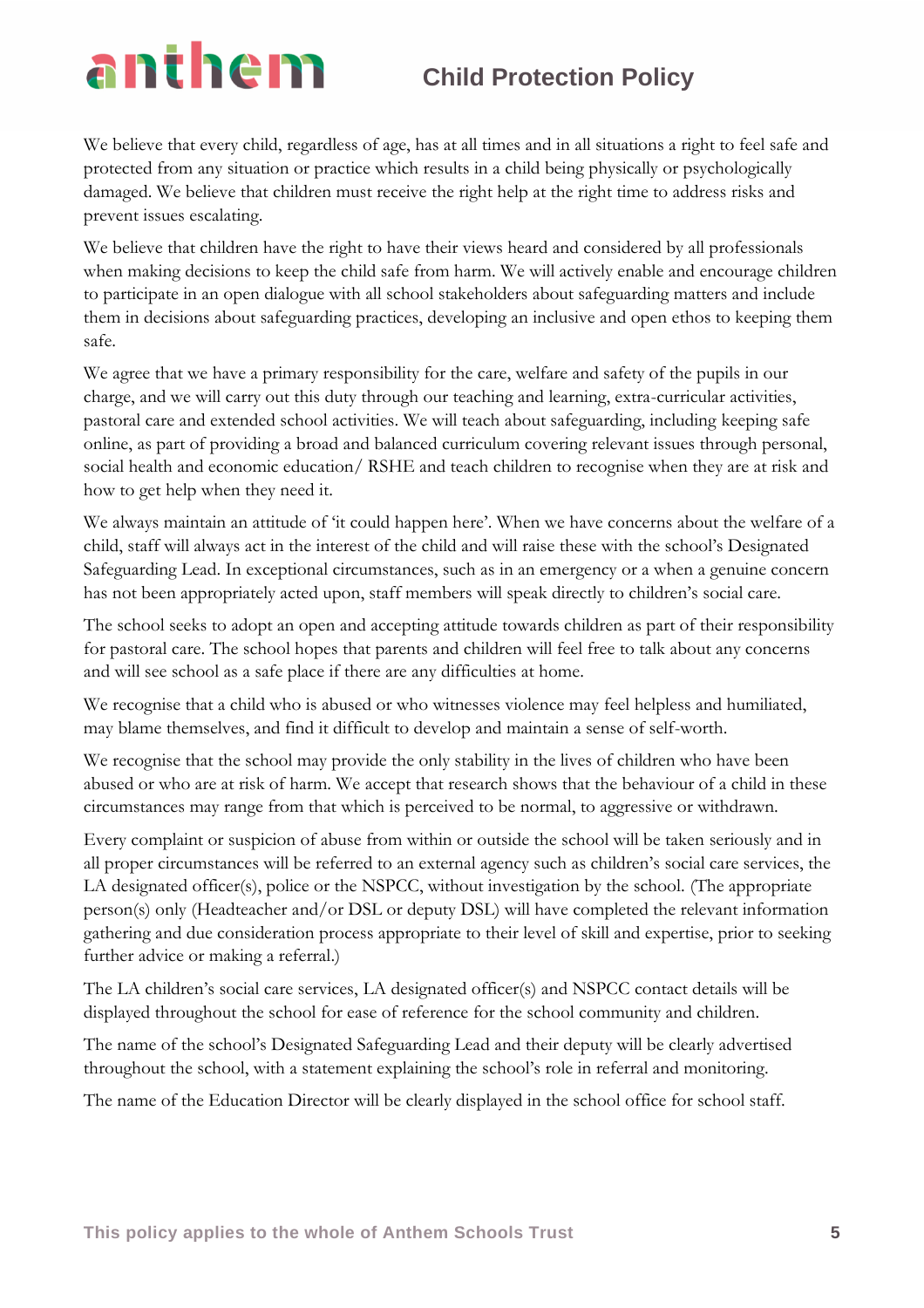We believe that every child, regardless of age, has at all times and in all situations a right to feel safe and protected from any situation or practice which results in a child being physically or psychologically damaged. We believe that children must receive the right help at the right time to address risks and prevent issues escalating.

We believe that children have the right to have their views heard and considered by all professionals when making decisions to keep the child safe from harm. We will actively enable and encourage children to participate in an open dialogue with all school stakeholders about safeguarding matters and include them in decisions about safeguarding practices, developing an inclusive and open ethos to keeping them safe.

We agree that we have a primary responsibility for the care, welfare and safety of the pupils in our charge, and we will carry out this duty through our teaching and learning, extra-curricular activities, pastoral care and extended school activities. We will teach about safeguarding, including keeping safe online, as part of providing a broad and balanced curriculum covering relevant issues through personal, social health and economic education/ RSHE and teach children to recognise when they are at risk and how to get help when they need it.

We always maintain an attitude of 'it could happen here'. When we have concerns about the welfare of a child, staff will always act in the interest of the child and will raise these with the school's Designated Safeguarding Lead. In exceptional circumstances, such as in an emergency or a when a genuine concern has not been appropriately acted upon, staff members will speak directly to children's social care.

The school seeks to adopt an open and accepting attitude towards children as part of their responsibility for pastoral care. The school hopes that parents and children will feel free to talk about any concerns and will see school as a safe place if there are any difficulties at home.

We recognise that a child who is abused or who witnesses violence may feel helpless and humiliated, may blame themselves, and find it difficult to develop and maintain a sense of self-worth.

We recognise that the school may provide the only stability in the lives of children who have been abused or who are at risk of harm. We accept that research shows that the behaviour of a child in these circumstances may range from that which is perceived to be normal, to aggressive or withdrawn.

Every complaint or suspicion of abuse from within or outside the school will be taken seriously and in all proper circumstances will be referred to an external agency such as children's social care services, the LA designated officer(s), police or the NSPCC, without investigation by the school. (The appropriate person(s) only (Headteacher and/or DSL or deputy DSL) will have completed the relevant information gathering and due consideration process appropriate to their level of skill and expertise, prior to seeking further advice or making a referral.)

The LA children's social care services, LA designated officer(s) and NSPCC contact details will be displayed throughout the school for ease of reference for the school community and children.

The name of the school's Designated Safeguarding Lead and their deputy will be clearly advertised throughout the school, with a statement explaining the school's role in referral and monitoring.

The name of the Education Director will be clearly displayed in the school office for school staff.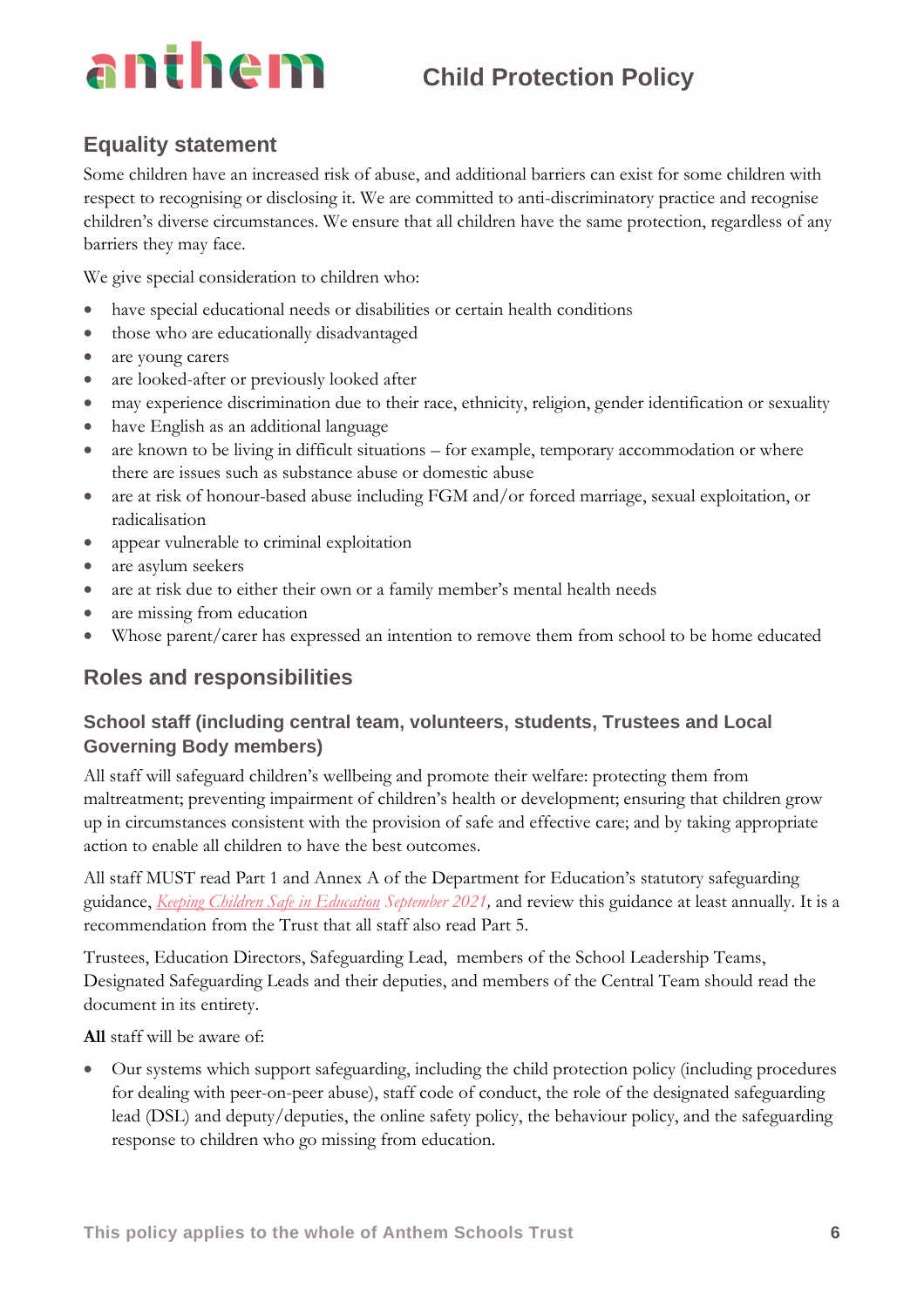### **Equality statement**

Some children have an increased risk of abuse, and additional barriers can exist for some children with respect to recognising or disclosing it. We are committed to anti-discriminatory practice and recognise children's diverse circumstances. We ensure that all children have the same protection, regardless of any barriers they may face.

We give special consideration to children who:

- have special educational needs or disabilities or certain health conditions
- those who are educationally disadvantaged
- are young carers
- are looked-after or previously looked after
- may experience discrimination due to their race, ethnicity, religion, gender identification or sexuality
- have English as an additional language
- are known to be living in difficult situations for example, temporary accommodation or where there are issues such as substance abuse or domestic abuse
- are at risk of honour-based abuse including FGM and/or forced marriage, sexual exploitation, or radicalisation
- appear vulnerable to criminal exploitation
- are asylum seekers
- are at risk due to either their own or a family member's mental health needs
- are missing from education
- Whose parent/carer has expressed an intention to remove them from school to be home educated

### **Roles and responsibilities**

### **School staff (including central team, volunteers, students, Trustees and Local Governing Body members)**

All staff will safeguard children's wellbeing and promote their welfare: protecting them from maltreatment; preventing impairment of children's health or development; ensuring that children grow up in circumstances consistent with the provision of safe and effective care; and by taking appropriate action to enable all children to have the best outcomes.

All staff MUST read Part 1 and Annex A of the Department for Education's statutory safeguarding guidance, *[Keeping Children Safe in Education](https://www.gov.uk/government/publications/keeping-children-safe-in-education--2) September 2021,* and review this guidance at least annually. It is a recommendation from the Trust that all staff also read Part 5.

Trustees, Education Directors, Safeguarding Lead, members of the School Leadership Teams, Designated Safeguarding Leads and their deputies, and members of the Central Team should read the document in its entirety.

**All** staff will be aware of:

• Our systems which support safeguarding, including the child protection policy (including procedures for dealing with peer-on-peer abuse), staff code of conduct, the role of the designated safeguarding lead (DSL) and deputy/deputies, the online safety policy, the behaviour policy, and the safeguarding response to children who go missing from education.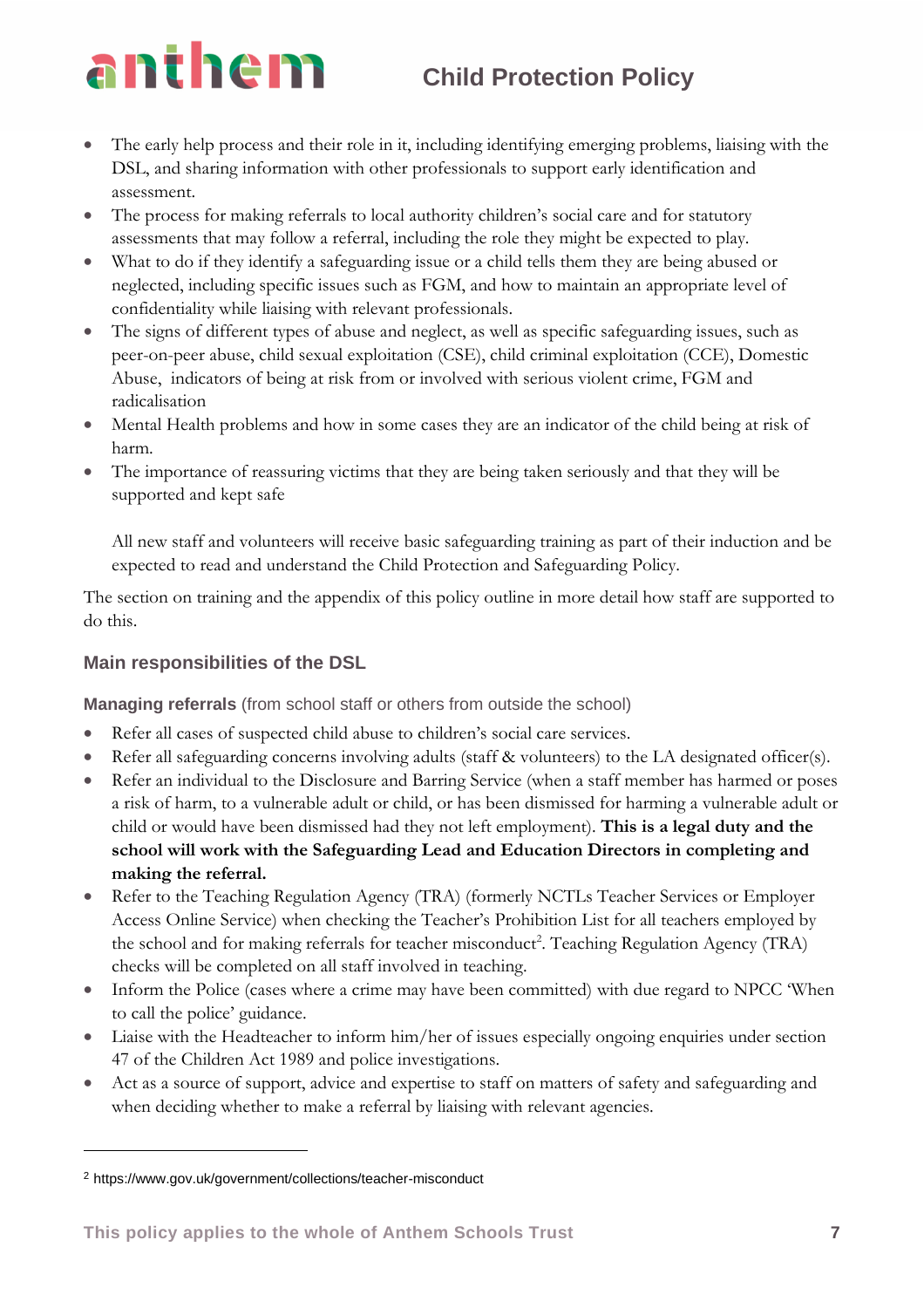- The early help process and their role in it, including identifying emerging problems, liaising with the DSL, and sharing information with other professionals to support early identification and assessment.
- The process for making referrals to local authority children's social care and for statutory assessments that may follow a referral, including the role they might be expected to play.
- What to do if they identify a safeguarding issue or a child tells them they are being abused or neglected, including specific issues such as FGM, and how to maintain an appropriate level of confidentiality while liaising with relevant professionals.
- The signs of different types of abuse and neglect, as well as specific safeguarding issues, such as peer-on-peer abuse, child sexual exploitation (CSE), child criminal exploitation (CCE), Domestic Abuse, indicators of being at risk from or involved with serious violent crime, FGM and radicalisation
- Mental Health problems and how in some cases they are an indicator of the child being at risk of harm.
- The importance of reassuring victims that they are being taken seriously and that they will be supported and kept safe

All new staff and volunteers will receive basic safeguarding training as part of their induction and be expected to read and understand the Child Protection and Safeguarding Policy.

The section on training and the appendix of this policy outline in more detail how staff are supported to do this.

### **Main responsibilities of the DSL**

**Managing referrals** (from school staff or others from outside the school)

- Refer all cases of suspected child abuse to children's social care services.
- Refer all safeguarding concerns involving adults (staff & volunteers) to the LA designated officer(s).
- Refer an individual to the Disclosure and Barring Service (when a staff member has harmed or poses a risk of harm, to a vulnerable adult or child, or has been dismissed for harming a vulnerable adult or child or would have been dismissed had they not left employment). **This is a legal duty and the school will work with the Safeguarding Lead and Education Directors in completing and making the referral.**
- Refer to the Teaching Regulation Agency (TRA) (formerly NCTLs Teacher Services or Employer Access Online Service) when checking the Teacher's Prohibition List for all teachers employed by the school and for making referrals for teacher misconduct<sup>2</sup>. Teaching Regulation Agency (TRA) checks will be completed on all staff involved in teaching.
- Inform the Police (cases where a crime may have been committed) with due regard to NPCC 'When to call the police' guidance.
- Liaise with the Headteacher to inform him/her of issues especially ongoing enquiries under section 47 of the Children Act 1989 and police investigations.
- Act as a source of support, advice and expertise to staff on matters of safety and safeguarding and when deciding whether to make a referral by liaising with relevant agencies.

<sup>2</sup> https://www.gov.uk/government/collections/teacher-misconduct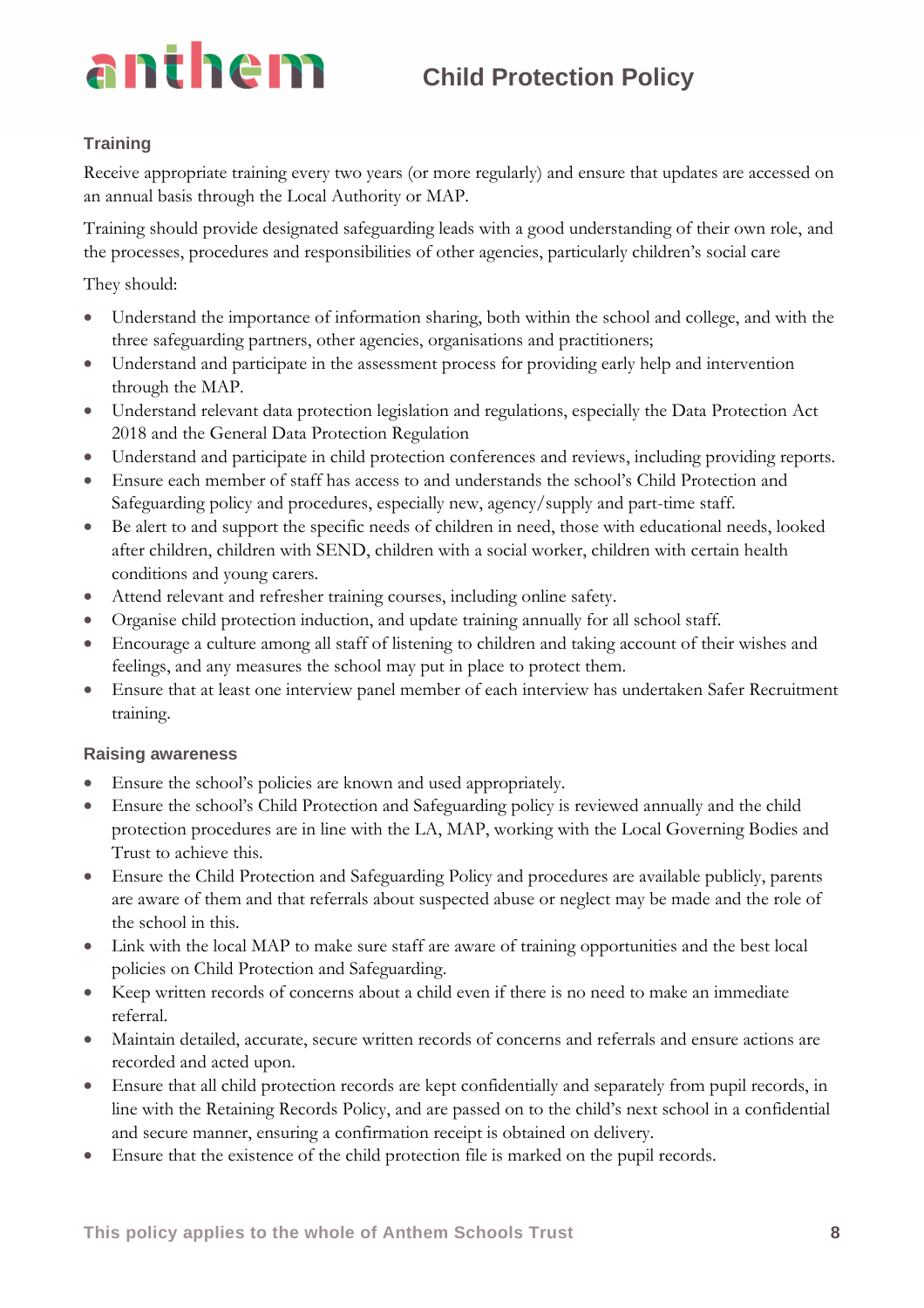### **Training**

Receive appropriate training every two years (or more regularly) and ensure that updates are accessed on an annual basis through the Local Authority or MAP.

Training should provide designated safeguarding leads with a good understanding of their own role, and the processes, procedures and responsibilities of other agencies, particularly children's social care

They should:

- Understand the importance of information sharing, both within the school and college, and with the three safeguarding partners, other agencies, organisations and practitioners;
- Understand and participate in the assessment process for providing early help and intervention through the MAP.
- Understand relevant data protection legislation and regulations, especially the Data Protection Act 2018 and the General Data Protection Regulation
- Understand and participate in child protection conferences and reviews, including providing reports.
- Ensure each member of staff has access to and understands the school's Child Protection and Safeguarding policy and procedures, especially new, agency/supply and part-time staff.
- Be alert to and support the specific needs of children in need, those with educational needs, looked after children, children with SEND, children with a social worker, children with certain health conditions and young carers.
- Attend relevant and refresher training courses, including online safety.
- Organise child protection induction, and update training annually for all school staff.
- Encourage a culture among all staff of listening to children and taking account of their wishes and feelings, and any measures the school may put in place to protect them.
- Ensure that at least one interview panel member of each interview has undertaken Safer Recruitment training.

### **Raising awareness**

- Ensure the school's policies are known and used appropriately.
- Ensure the school's Child Protection and Safeguarding policy is reviewed annually and the child protection procedures are in line with the LA, MAP, working with the Local Governing Bodies and Trust to achieve this.
- Ensure the Child Protection and Safeguarding Policy and procedures are available publicly, parents are aware of them and that referrals about suspected abuse or neglect may be made and the role of the school in this.
- Link with the local MAP to make sure staff are aware of training opportunities and the best local policies on Child Protection and Safeguarding.
- Keep written records of concerns about a child even if there is no need to make an immediate referral.
- Maintain detailed, accurate, secure written records of concerns and referrals and ensure actions are recorded and acted upon.
- Ensure that all child protection records are kept confidentially and separately from pupil records, in line with the Retaining Records Policy, and are passed on to the child's next school in a confidential and secure manner, ensuring a confirmation receipt is obtained on delivery.
- Ensure that the existence of the child protection file is marked on the pupil records.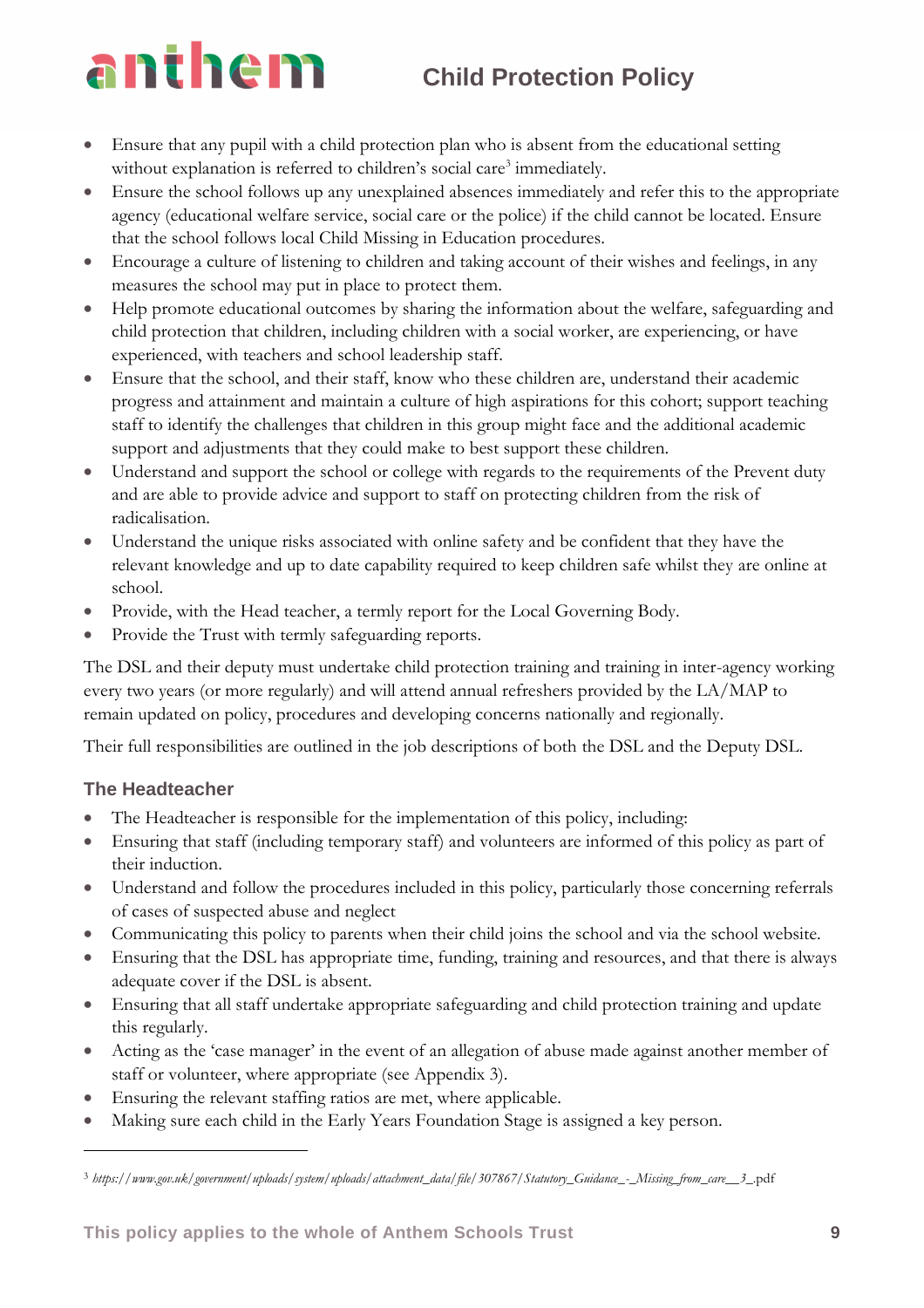- Ensure that any pupil with a child protection plan who is absent from the educational setting without explanation is referred to children's social care<sup>3</sup> immediately.
- Ensure the school follows up any unexplained absences immediately and refer this to the appropriate agency (educational welfare service, social care or the police) if the child cannot be located. Ensure that the school follows local Child Missing in Education procedures.
- Encourage a culture of listening to children and taking account of their wishes and feelings, in any measures the school may put in place to protect them.
- Help promote educational outcomes by sharing the information about the welfare, safeguarding and child protection that children, including children with a social worker, are experiencing, or have experienced, with teachers and school leadership staff.
- Ensure that the school, and their staff, know who these children are, understand their academic progress and attainment and maintain a culture of high aspirations for this cohort; support teaching staff to identify the challenges that children in this group might face and the additional academic support and adjustments that they could make to best support these children.
- Understand and support the school or college with regards to the requirements of the Prevent duty and are able to provide advice and support to staff on protecting children from the risk of radicalisation.
- Understand the unique risks associated with online safety and be confident that they have the relevant knowledge and up to date capability required to keep children safe whilst they are online at school.
- Provide, with the Head teacher, a termly report for the Local Governing Body.
- Provide the Trust with termly safeguarding reports.

The DSL and their deputy must undertake child protection training and training in inter-agency working every two years (or more regularly) and will attend annual refreshers provided by the LA/MAP to remain updated on policy, procedures and developing concerns nationally and regionally.

Their full responsibilities are outlined in the job descriptions of both the DSL and the Deputy DSL.

### **The Headteacher**

- The Headteacher is responsible for the implementation of this policy, including:
- Ensuring that staff (including temporary staff) and volunteers are informed of this policy as part of their induction.
- Understand and follow the procedures included in this policy, particularly those concerning referrals of cases of suspected abuse and neglect
- Communicating this policy to parents when their child joins the school and via the school website.
- Ensuring that the DSL has appropriate time, funding, training and resources, and that there is always adequate cover if the DSL is absent.
- Ensuring that all staff undertake appropriate safeguarding and child protection training and update this regularly.
- Acting as the 'case manager' in the event of an allegation of abuse made against another member of staff or volunteer, where appropriate (see Appendix 3).
- Ensuring the relevant staffing ratios are met, where applicable.
- Making sure each child in the Early Years Foundation Stage is assigned a key person.

<sup>3</sup> *https://www.gov.uk/government/uploads/system/uploads/attachment\_data/file/307867/Statutory\_Guidance\_-\_Missing\_from\_care\_\_3*\_.pdf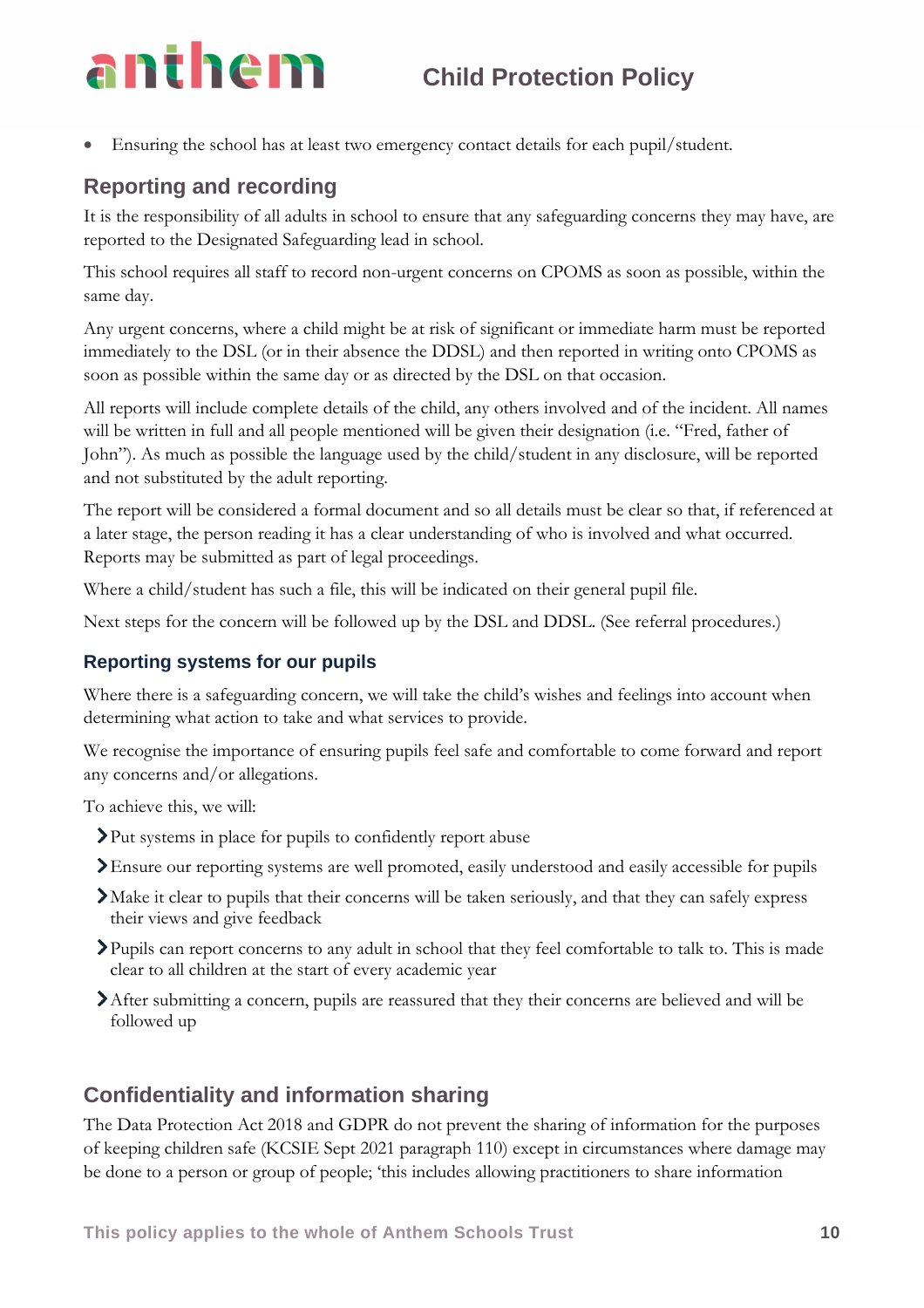• Ensuring the school has at least two emergency contact details for each pupil/student.

### **Reporting and recording**

It is the responsibility of all adults in school to ensure that any safeguarding concerns they may have, are reported to the Designated Safeguarding lead in school.

This school requires all staff to record non-urgent concerns on CPOMS as soon as possible, within the same day.

Any urgent concerns, where a child might be at risk of significant or immediate harm must be reported immediately to the DSL (or in their absence the DDSL) and then reported in writing onto CPOMS as soon as possible within the same day or as directed by the DSL on that occasion.

All reports will include complete details of the child, any others involved and of the incident. All names will be written in full and all people mentioned will be given their designation (i.e. "Fred, father of John"). As much as possible the language used by the child/student in any disclosure, will be reported and not substituted by the adult reporting.

The report will be considered a formal document and so all details must be clear so that, if referenced at a later stage, the person reading it has a clear understanding of who is involved and what occurred. Reports may be submitted as part of legal proceedings.

Where a child/student has such a file, this will be indicated on their general pupil file.

Next steps for the concern will be followed up by the DSL and DDSL. (See referral procedures.)

### **Reporting systems for our pupils**

Where there is a safeguarding concern, we will take the child's wishes and feelings into account when determining what action to take and what services to provide.

We recognise the importance of ensuring pupils feel safe and comfortable to come forward and report any concerns and/or allegations.

To achieve this, we will:

- Put systems in place for pupils to confidently report abuse
- Ensure our reporting systems are well promoted, easily understood and easily accessible for pupils
- Make it clear to pupils that their concerns will be taken seriously, and that they can safely express their views and give feedback
- Pupils can report concerns to any adult in school that they feel comfortable to talk to. This is made clear to all children at the start of every academic year
- After submitting a concern, pupils are reassured that they their concerns are believed and will be followed up

### **Confidentiality and information sharing**

The Data Protection Act 2018 and GDPR do not prevent the sharing of information for the purposes of keeping children safe (KCSIE Sept 2021 paragraph 110) except in circumstances where damage may be done to a person or group of people; 'this includes allowing practitioners to share information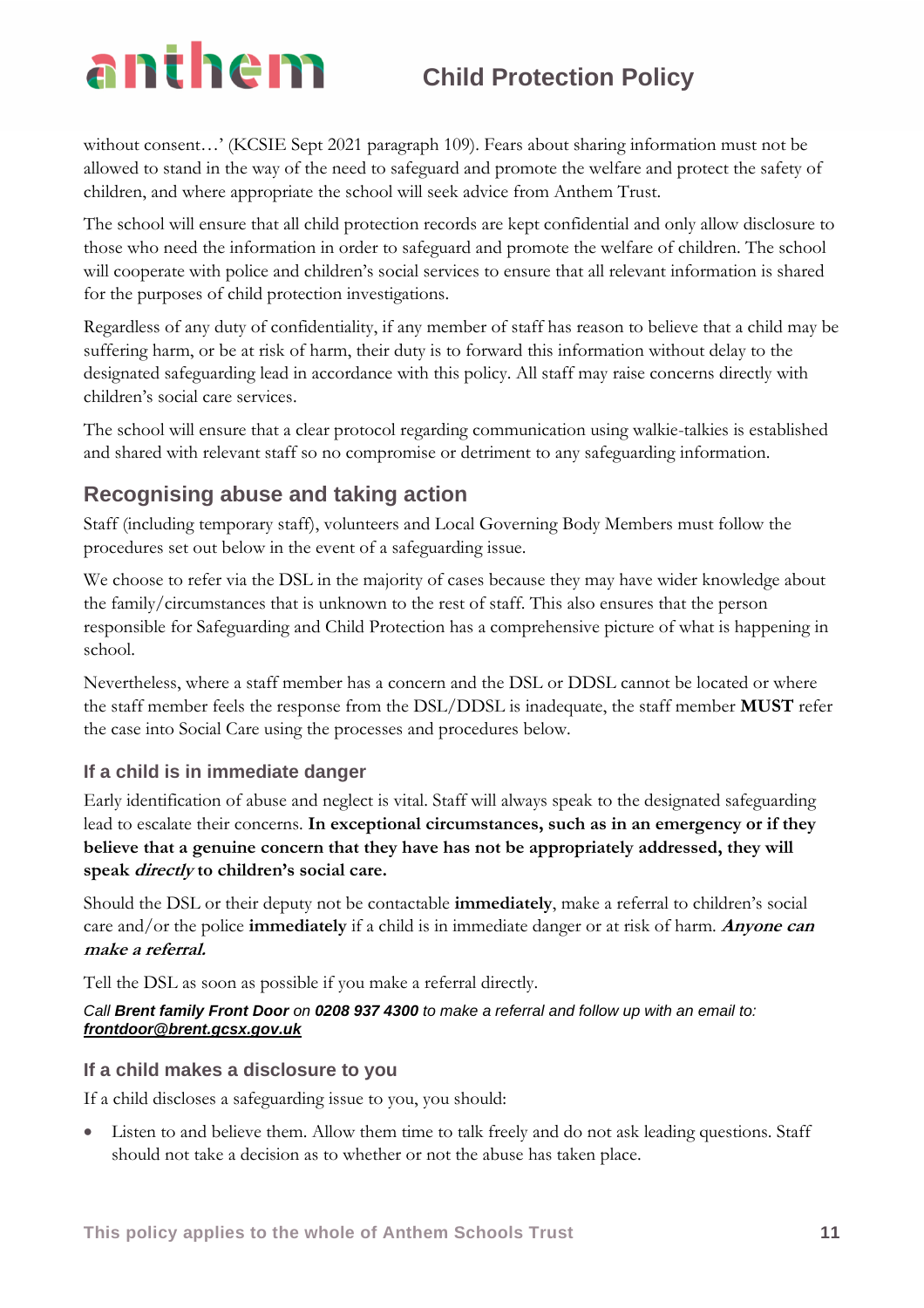without consent...' (KCSIE Sept 2021 paragraph 109). Fears about sharing information must not be allowed to stand in the way of the need to safeguard and promote the welfare and protect the safety of children, and where appropriate the school will seek advice from Anthem Trust.

The school will ensure that all child protection records are kept confidential and only allow disclosure to those who need the information in order to safeguard and promote the welfare of children. The school will cooperate with police and children's social services to ensure that all relevant information is shared for the purposes of child protection investigations.

Regardless of any duty of confidentiality, if any member of staff has reason to believe that a child may be suffering harm, or be at risk of harm, their duty is to forward this information without delay to the designated safeguarding lead in accordance with this policy. All staff may raise concerns directly with children's social care services.

The school will ensure that a clear protocol regarding communication using walkie-talkies is established and shared with relevant staff so no compromise or detriment to any safeguarding information.

### **Recognising abuse and taking action**

Staff (including temporary staff), volunteers and Local Governing Body Members must follow the procedures set out below in the event of a safeguarding issue.

We choose to refer via the DSL in the majority of cases because they may have wider knowledge about the family/circumstances that is unknown to the rest of staff. This also ensures that the person responsible for Safeguarding and Child Protection has a comprehensive picture of what is happening in school.

Nevertheless, where a staff member has a concern and the DSL or DDSL cannot be located or where the staff member feels the response from the DSL/DDSL is inadequate, the staff member **MUST** refer the case into Social Care using the processes and procedures below.

### **If a child is in immediate danger**

Early identification of abuse and neglect is vital. Staff will always speak to the designated safeguarding lead to escalate their concerns. **In exceptional circumstances, such as in an emergency or if they believe that a genuine concern that they have has not be appropriately addressed, they will speak directly to children's social care.**

Should the DSL or their deputy not be contactable **immediately**, make a referral to children's social care and/or the police **immediately** if a child is in immediate danger or at risk of harm. **Anyone can make a referral.**

Tell the DSL as soon as possible if you make a referral directly.

### *Call Brent family Front Door on 0208 937 4300 to make a referral and follow up with an email to: frontdoor@brent.gcsx.gov.uk*

### **If a child makes a disclosure to you**

If a child discloses a safeguarding issue to you, you should:

Listen to and believe them. Allow them time to talk freely and do not ask leading questions. Staff should not take a decision as to whether or not the abuse has taken place.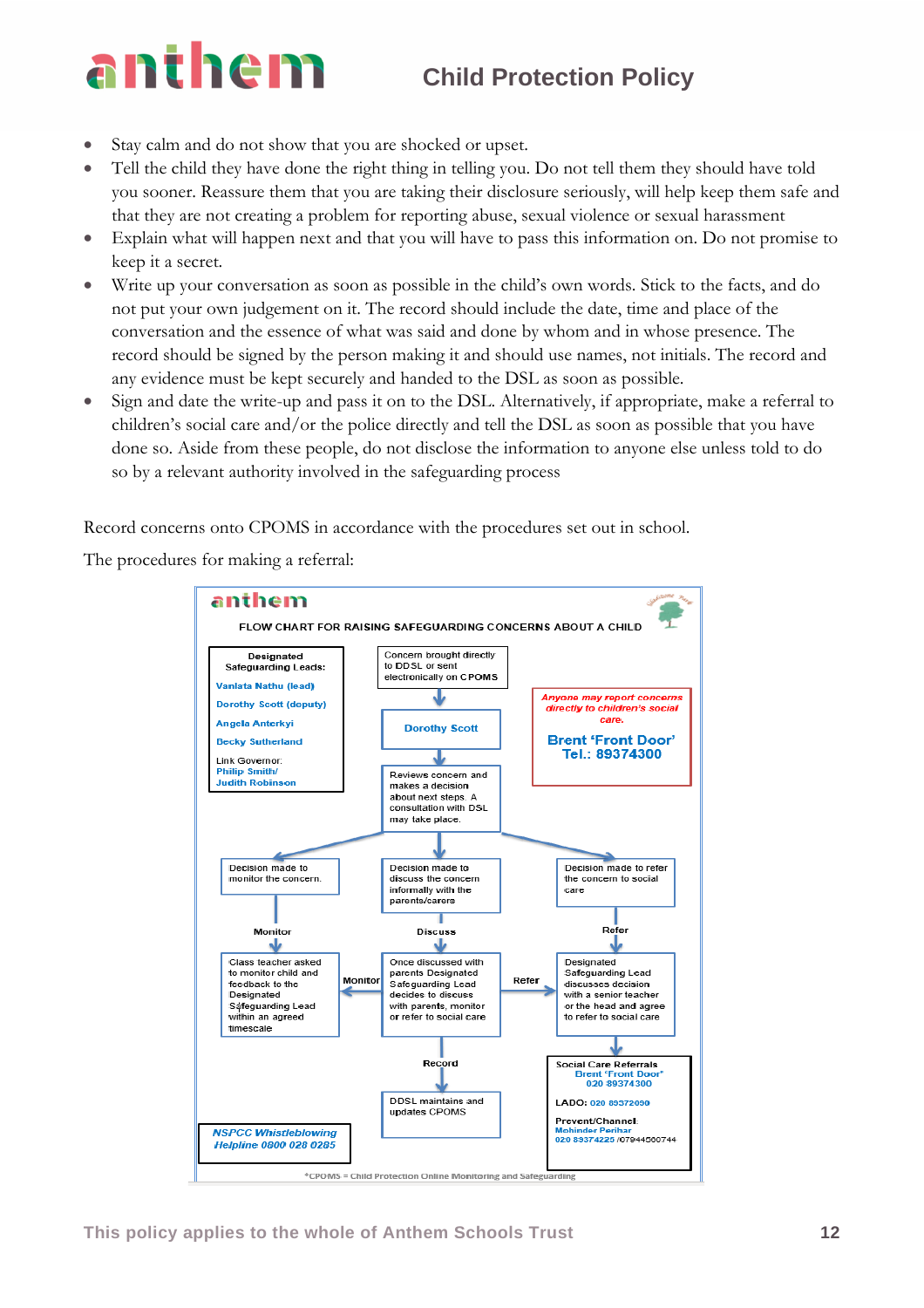- Stay calm and do not show that you are shocked or upset.
- Tell the child they have done the right thing in telling you. Do not tell them they should have told you sooner. Reassure them that you are taking their disclosure seriously, will help keep them safe and that they are not creating a problem for reporting abuse, sexual violence or sexual harassment
- Explain what will happen next and that you will have to pass this information on. Do not promise to keep it a secret.
- Write up your conversation as soon as possible in the child's own words. Stick to the facts, and do not put your own judgement on it. The record should include the date, time and place of the conversation and the essence of what was said and done by whom and in whose presence. The record should be signed by the person making it and should use names, not initials. The record and any evidence must be kept securely and handed to the DSL as soon as possible.
- Sign and date the write-up and pass it on to the DSL. Alternatively, if appropriate, make a referral to children's social care and/or the police directly and tell the DSL as soon as possible that you have done so. Aside from these people, do not disclose the information to anyone else unless told to do so by a relevant authority involved in the safeguarding process

Record concerns onto CPOMS in accordance with the procedures set out in school.

The procedures for making a referral:

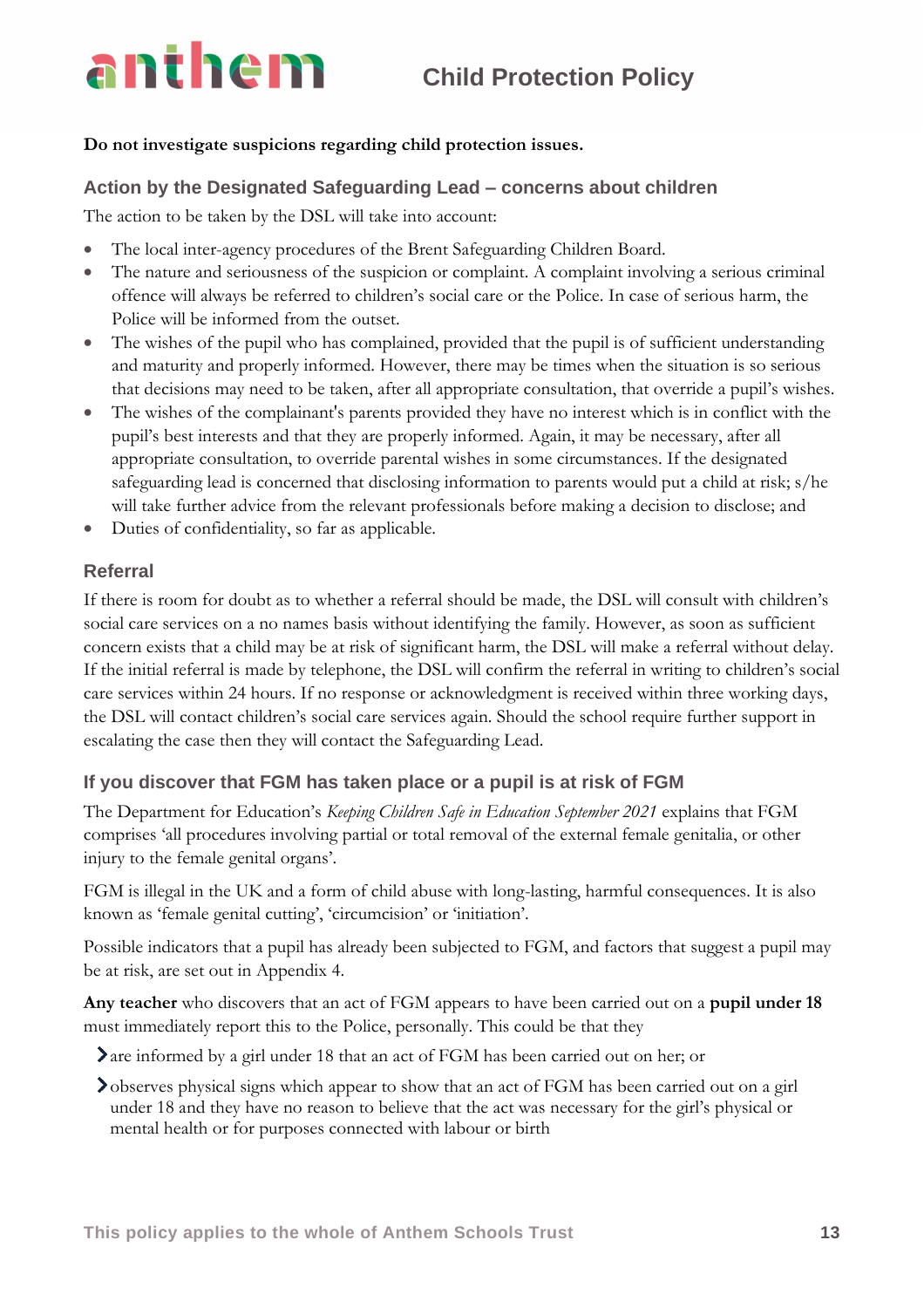### **Do not investigate suspicions regarding child protection issues.**

### **Action by the Designated Safeguarding Lead – concerns about children**

The action to be taken by the DSL will take into account:

- The local inter-agency procedures of the Brent Safeguarding Children Board.
- The nature and seriousness of the suspicion or complaint. A complaint involving a serious criminal offence will always be referred to children's social care or the Police. In case of serious harm, the Police will be informed from the outset.
- The wishes of the pupil who has complained, provided that the pupil is of sufficient understanding and maturity and properly informed. However, there may be times when the situation is so serious that decisions may need to be taken, after all appropriate consultation, that override a pupil's wishes.
- The wishes of the complainant's parents provided they have no interest which is in conflict with the pupil's best interests and that they are properly informed. Again, it may be necessary, after all appropriate consultation, to override parental wishes in some circumstances. If the designated safeguarding lead is concerned that disclosing information to parents would put a child at risk; s/he will take further advice from the relevant professionals before making a decision to disclose; and
- Duties of confidentiality, so far as applicable.

### **Referral**

If there is room for doubt as to whether a referral should be made, the DSL will consult with children's social care services on a no names basis without identifying the family. However, as soon as sufficient concern exists that a child may be at risk of significant harm, the DSL will make a referral without delay. If the initial referral is made by telephone, the DSL will confirm the referral in writing to children's social care services within 24 hours. If no response or acknowledgment is received within three working days, the DSL will contact children's social care services again. Should the school require further support in escalating the case then they will contact the Safeguarding Lead.

### **If you discover that FGM has taken place or a pupil is at risk of FGM**

The Department for Education's *Keeping Children Safe in Education September 2021* explains that FGM comprises 'all procedures involving partial or total removal of the external female genitalia, or other injury to the female genital organs'.

FGM is illegal in the UK and a form of child abuse with long-lasting, harmful consequences. It is also known as 'female genital cutting', 'circumcision' or 'initiation'.

Possible indicators that a pupil has already been subjected to FGM, and factors that suggest a pupil may be at risk, are set out in Appendix 4.

**Any teacher** who discovers that an act of FGM appears to have been carried out on a **pupil under 18** must immediately report this to the Police, personally. This could be that they

are informed by a girl under 18 that an act of FGM has been carried out on her; or

observes physical signs which appear to show that an act of FGM has been carried out on a girl under 18 and they have no reason to believe that the act was necessary for the girl's physical or mental health or for purposes connected with labour or birth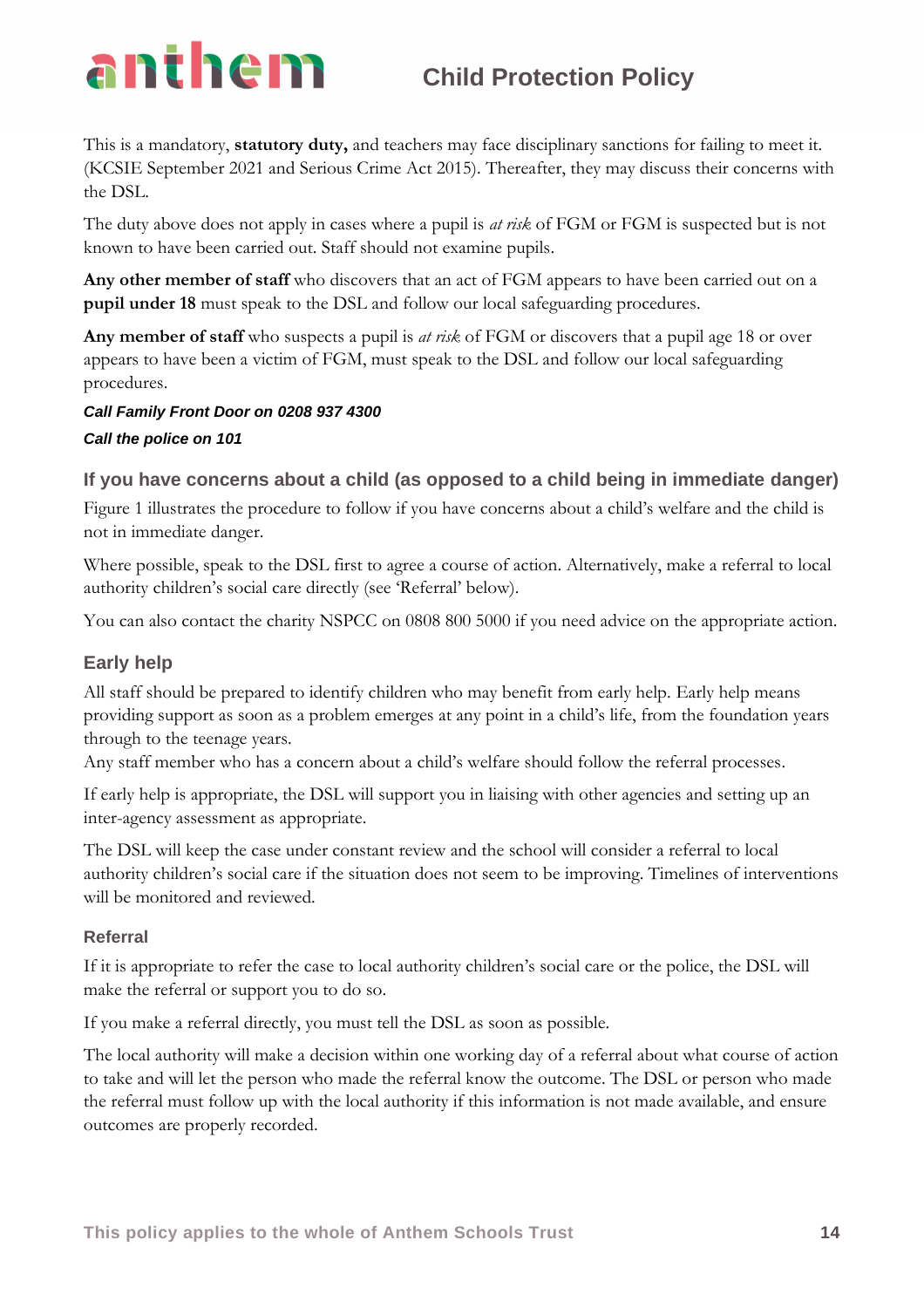This is a mandatory, **statutory duty,** and teachers may face disciplinary sanctions for failing to meet it. (KCSIE September 2021 and Serious Crime Act 2015). Thereafter, they may discuss their concerns with the DSL.

The duty above does not apply in cases where a pupil is *at risk* of FGM or FGM is suspected but is not known to have been carried out. Staff should not examine pupils.

**Any other member of staff** who discovers that an act of FGM appears to have been carried out on a **pupil under 18** must speak to the DSL and follow our local safeguarding procedures.

**Any member of staff** who suspects a pupil is *at risk* of FGM or discovers that a pupil age 18 or over appears to have been a victim of FGM, must speak to the DSL and follow our local safeguarding procedures.

### *Call Family Front Door on 0208 937 4300 Call the police on 101*

### **If you have concerns about a child (as opposed to a child being in immediate danger)**

Figure 1 illustrates the procedure to follow if you have concerns about a child's welfare and the child is not in immediate danger.

Where possible, speak to the DSL first to agree a course of action. Alternatively, make a referral to local authority children's social care directly (see 'Referral' below).

You can also contact the charity NSPCC on 0808 800 5000 if you need advice on the appropriate action.

### **Early help**

All staff should be prepared to identify children who may benefit from early help. Early help means providing support as soon as a problem emerges at any point in a child's life, from the foundation years through to the teenage years.

Any staff member who has a concern about a child's welfare should follow the referral processes.

If early help is appropriate, the DSL will support you in liaising with other agencies and setting up an inter-agency assessment as appropriate.

The DSL will keep the case under constant review and the school will consider a referral to local authority children's social care if the situation does not seem to be improving. Timelines of interventions will be monitored and reviewed.

### **Referral**

If it is appropriate to refer the case to local authority children's social care or the police, the DSL will make the referral or support you to do so.

If you make a referral directly, you must tell the DSL as soon as possible.

The local authority will make a decision within one working day of a referral about what course of action to take and will let the person who made the referral know the outcome. The DSL or person who made the referral must follow up with the local authority if this information is not made available, and ensure outcomes are properly recorded.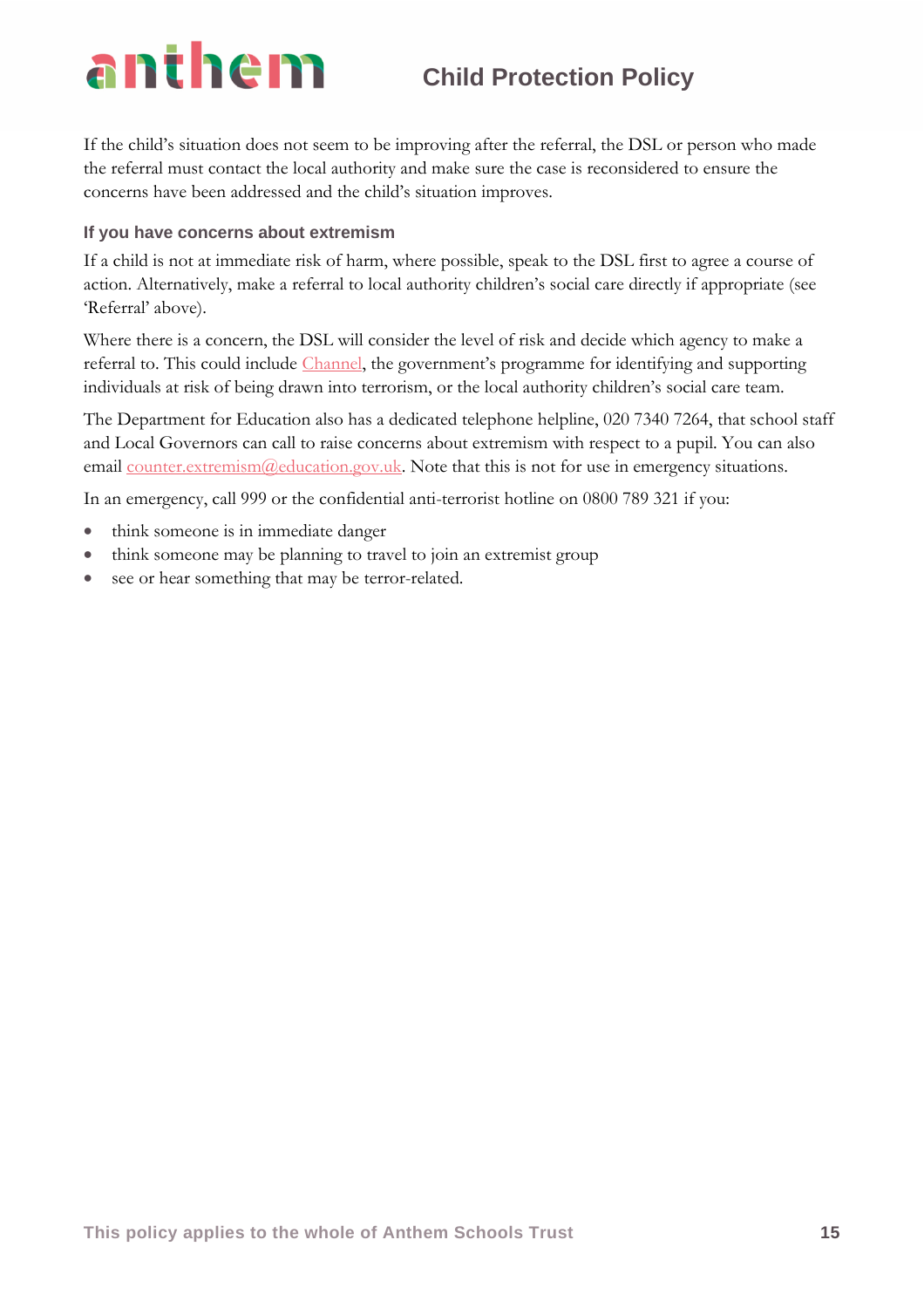If the child's situation does not seem to be improving after the referral, the DSL or person who made the referral must contact the local authority and make sure the case is reconsidered to ensure the concerns have been addressed and the child's situation improves.

### **If you have concerns about extremism**

If a child is not at immediate risk of harm, where possible, speak to the DSL first to agree a course of action. Alternatively, make a referral to local authority children's social care directly if appropriate (see 'Referral' above).

Where there is a concern, the DSL will consider the level of risk and decide which agency to make a referral to. This could include *Channel*, the government's programme for identifying and supporting individuals at risk of being drawn into terrorism, or the local authority children's social care team.

The Department for Education also has a dedicated telephone helpline, 020 7340 7264, that school staff and Local Governors can call to raise concerns about extremism with respect to a pupil. You can also email [counter.extremism@education.gov.uk.](mailto:counter.extremism@education.gov.uk) Note that this is not for use in emergency situations.

In an emergency, call 999 or the confidential anti-terrorist hotline on 0800 789 321 if you:

- think someone is in immediate danger
- think someone may be planning to travel to join an extremist group
- see or hear something that may be terror-related.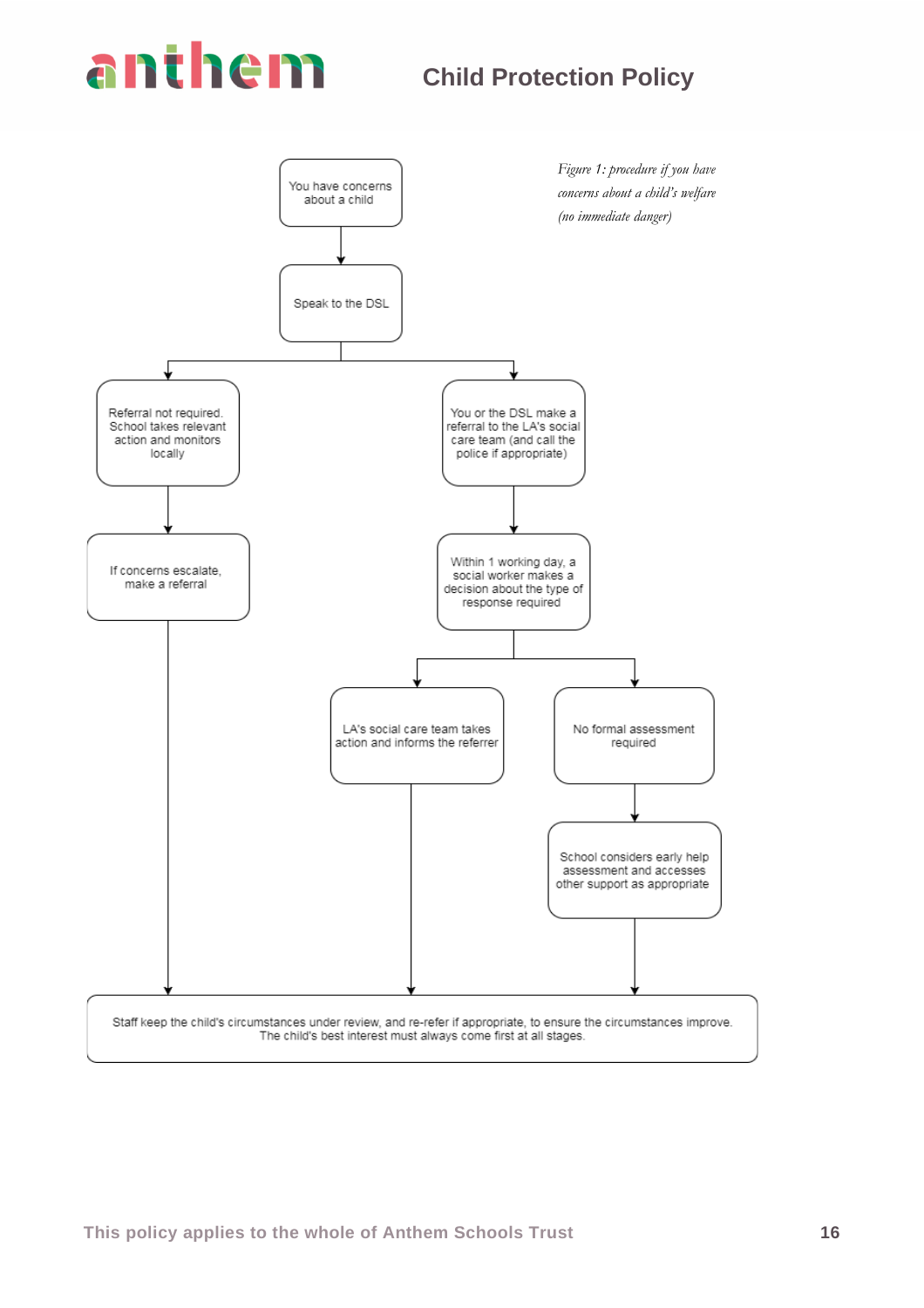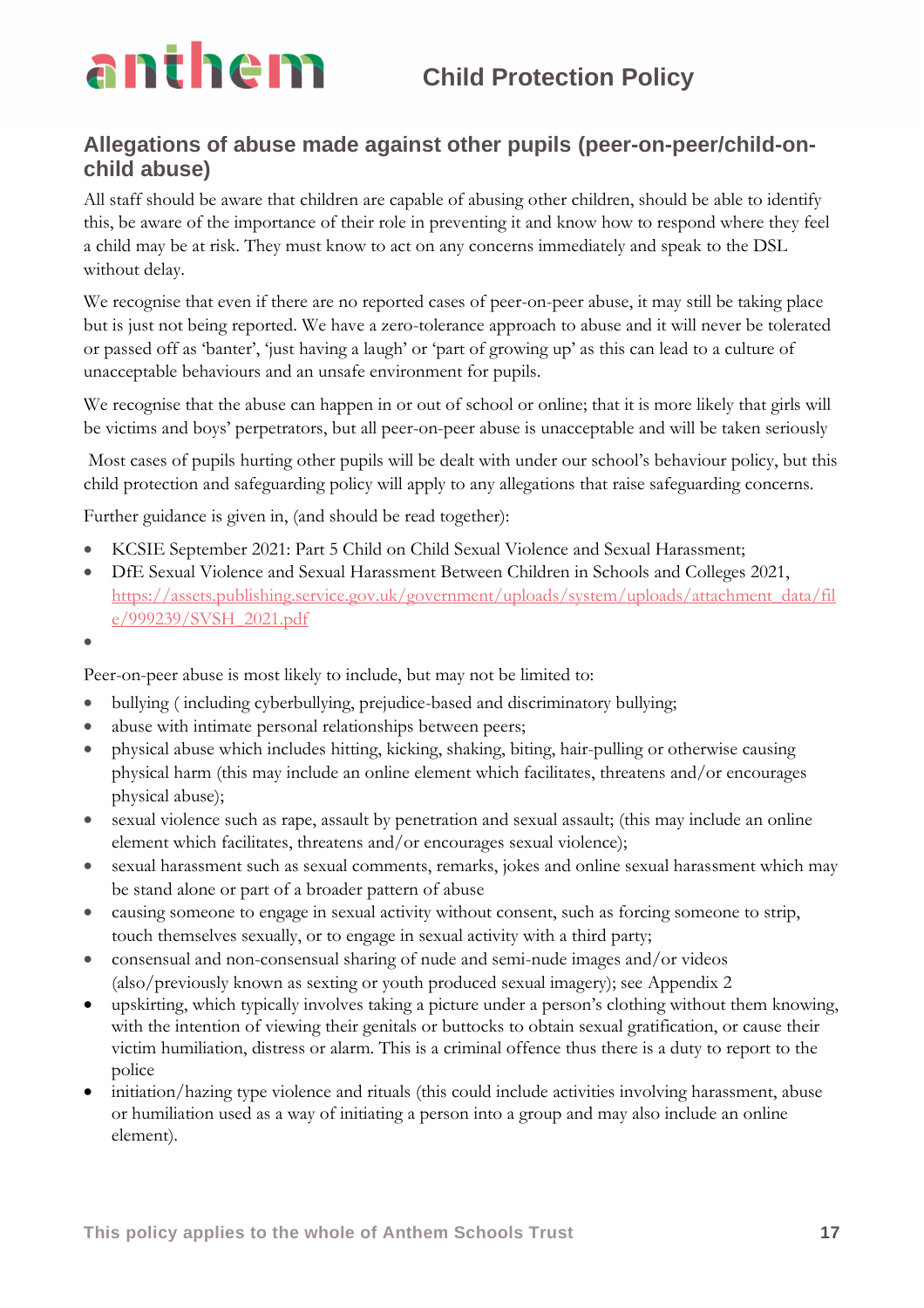### **Allegations of abuse made against other pupils (peer-on-peer/child-onchild abuse)**

All staff should be aware that children are capable of abusing other children, should be able to identify this, be aware of the importance of their role in preventing it and know how to respond where they feel a child may be at risk. They must know to act on any concerns immediately and speak to the DSL without delay.

We recognise that even if there are no reported cases of peer-on-peer abuse, it may still be taking place but is just not being reported. We have a zero-tolerance approach to abuse and it will never be tolerated or passed off as 'banter', 'just having a laugh' or 'part of growing up' as this can lead to a culture of unacceptable behaviours and an unsafe environment for pupils.

We recognise that the abuse can happen in or out of school or online; that it is more likely that girls will be victims and boys' perpetrators, but all peer-on-peer abuse is unacceptable and will be taken seriously

Most cases of pupils hurting other pupils will be dealt with under our school's behaviour policy, but this child protection and safeguarding policy will apply to any allegations that raise safeguarding concerns.

Further guidance is given in, (and should be read together):

- KCSIE September 2021: Part 5 Child on Child Sexual Violence and Sexual Harassment;
- DfE Sexual Violence and Sexual Harassment Between Children in Schools and Colleges 2021, [https://assets.publishing.service.gov.uk/government/uploads/system/uploads/attachment\\_data/fil](https://assets.publishing.service.gov.uk/government/uploads/system/uploads/attachment_data/file/999239/SVSH_2021.pdf) [e/999239/SVSH\\_2021.pdf](https://assets.publishing.service.gov.uk/government/uploads/system/uploads/attachment_data/file/999239/SVSH_2021.pdf)
- •

Peer-on-peer abuse is most likely to include, but may not be limited to:

- bullying ( including cyberbullying, prejudice-based and discriminatory bullying;
- abuse with intimate personal relationships between peers;
- physical abuse which includes hitting, kicking, shaking, biting, hair-pulling or otherwise causing physical harm (this may include an online element which facilitates, threatens and/or encourages physical abuse);
- sexual violence such as rape, assault by penetration and sexual assault; (this may include an online element which facilitates, threatens and/or encourages sexual violence);
- sexual harassment such as sexual comments, remarks, jokes and online sexual harassment which may be stand alone or part of a broader pattern of abuse
- causing someone to engage in sexual activity without consent, such as forcing someone to strip, touch themselves sexually, or to engage in sexual activity with a third party;
- consensual and non-consensual sharing of nude and semi-nude images and/or videos (also/previously known as sexting or youth produced sexual imagery); see Appendix 2
- upskirting, which typically involves taking a picture under a person's clothing without them knowing, with the intention of viewing their genitals or buttocks to obtain sexual gratification, or cause their victim humiliation, distress or alarm. This is a criminal offence thus there is a duty to report to the police
- initiation/hazing type violence and rituals (this could include activities involving harassment, abuse or humiliation used as a way of initiating a person into a group and may also include an online element).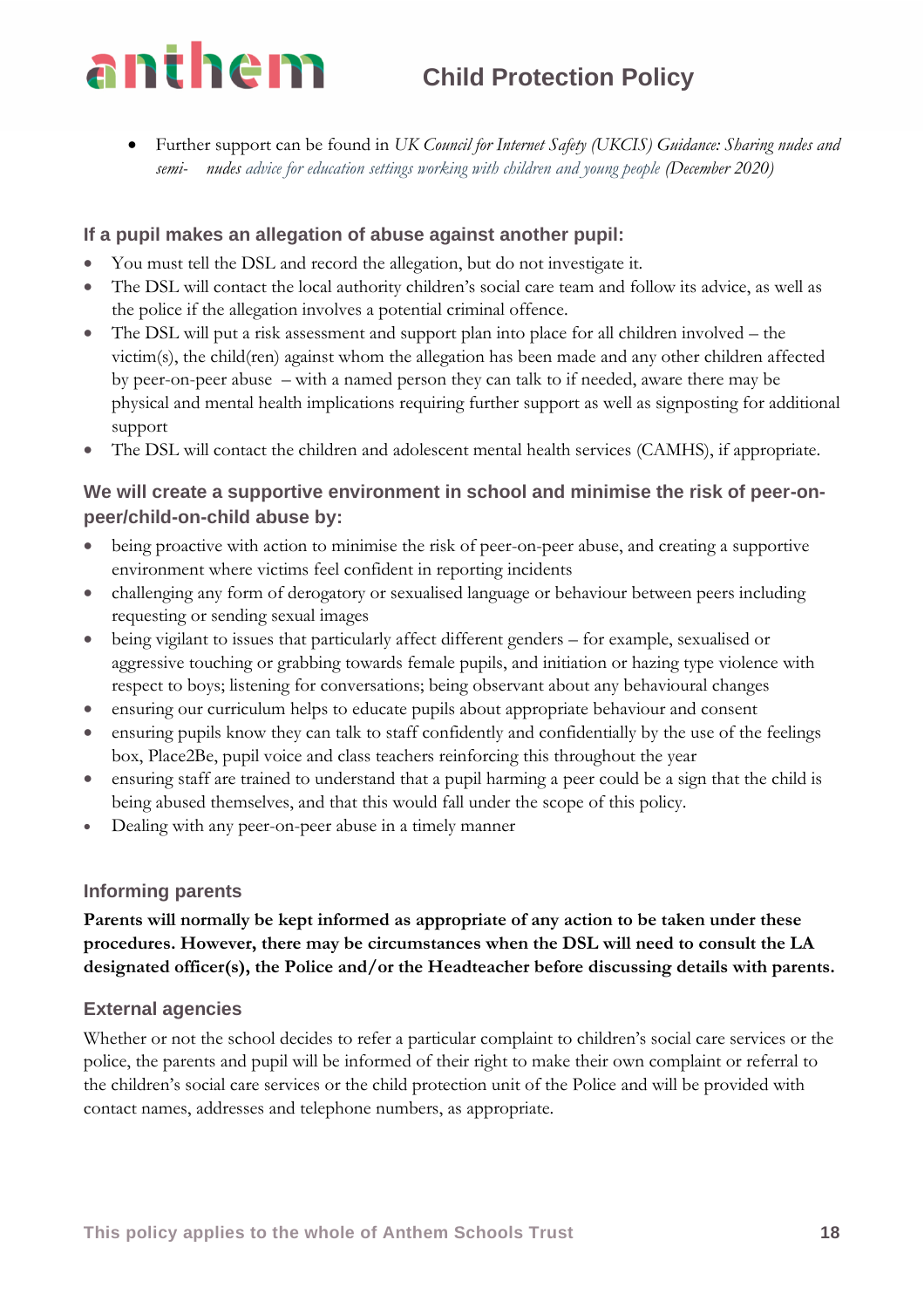• Further support can be found in *UK Council for Internet Safety (UKCIS) Guidance: Sharing nudes and semi- nudes advice for education settings working with children and young people (December 2020)*

### **If a pupil makes an allegation of abuse against another pupil:**

- You must tell the DSL and record the allegation, but do not investigate it.
- The DSL will contact the local authority children's social care team and follow its advice, as well as the police if the allegation involves a potential criminal offence.
- The DSL will put a risk assessment and support plan into place for all children involved the victim(s), the child(ren) against whom the allegation has been made and any other children affected by peer-on-peer abuse – with a named person they can talk to if needed, aware there may be physical and mental health implications requiring further support as well as signposting for additional support
- The DSL will contact the children and adolescent mental health services (CAMHS), if appropriate.

### **We will create a supportive environment in school and minimise the risk of peer-onpeer/child-on-child abuse by:**

- being proactive with action to minimise the risk of peer-on-peer abuse, and creating a supportive environment where victims feel confident in reporting incidents
- challenging any form of derogatory or sexualised language or behaviour between peers including requesting or sending sexual images
- being vigilant to issues that particularly affect different genders for example, sexualised or aggressive touching or grabbing towards female pupils, and initiation or hazing type violence with respect to boys; listening for conversations; being observant about any behavioural changes
- ensuring our curriculum helps to educate pupils about appropriate behaviour and consent
- ensuring pupils know they can talk to staff confidently and confidentially by the use of the feelings box, Place2Be, pupil voice and class teachers reinforcing this throughout the year
- ensuring staff are trained to understand that a pupil harming a peer could be a sign that the child is being abused themselves, and that this would fall under the scope of this policy.
- Dealing with any peer-on-peer abuse in a timely manner

### **Informing parents**

**Parents will normally be kept informed as appropriate of any action to be taken under these procedures. However, there may be circumstances when the DSL will need to consult the LA designated officer(s), the Police and/or the Headteacher before discussing details with parents.**

### **External agencies**

Whether or not the school decides to refer a particular complaint to children's social care services or the police, the parents and pupil will be informed of their right to make their own complaint or referral to the children's social care services or the child protection unit of the Police and will be provided with contact names, addresses and telephone numbers, as appropriate.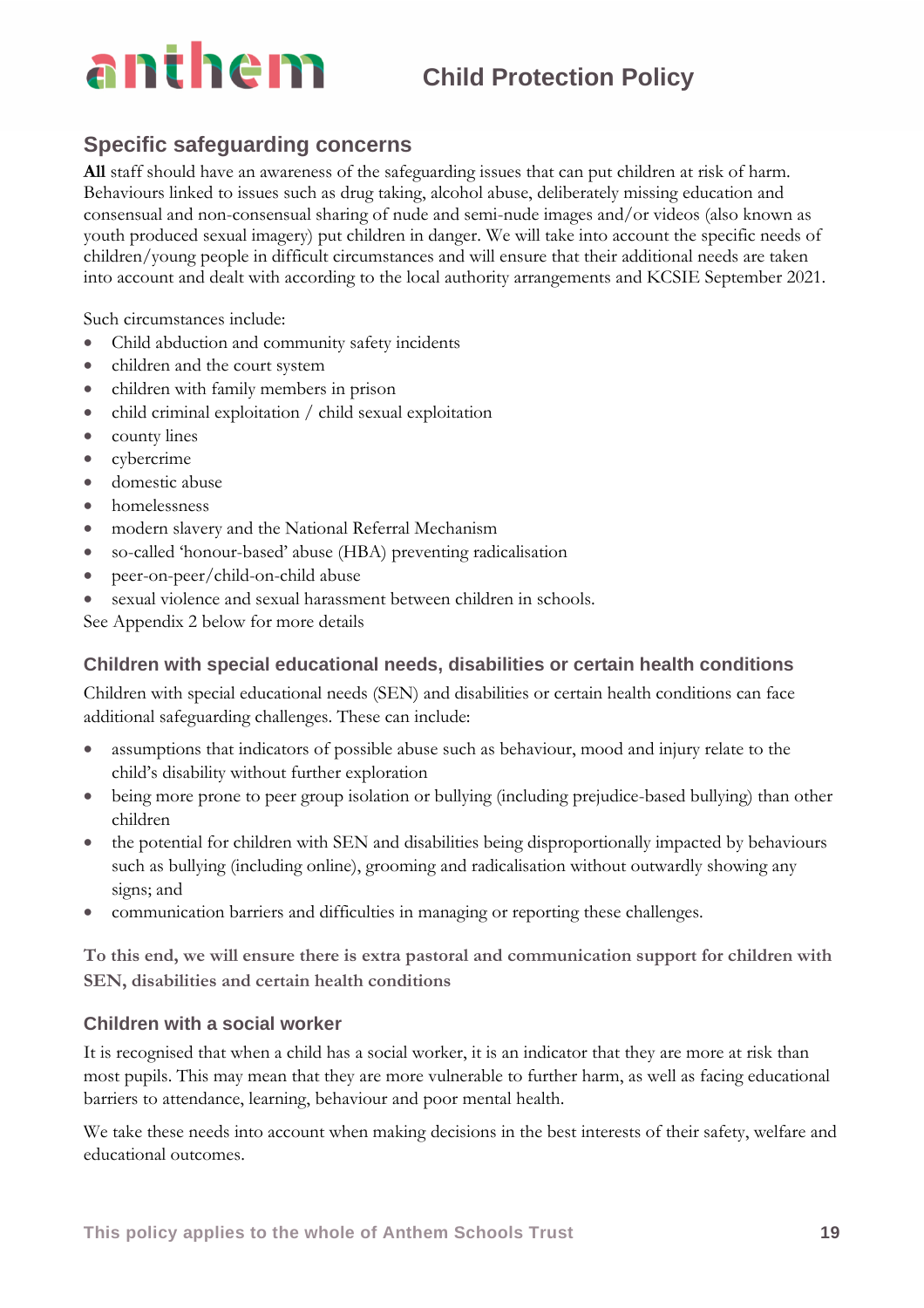### **Specific safeguarding concerns**

**All** staff should have an awareness of the safeguarding issues that can put children at risk of harm. Behaviours linked to issues such as drug taking, alcohol abuse, deliberately missing education and consensual and non-consensual sharing of nude and semi-nude images and/or videos (also known as youth produced sexual imagery) put children in danger. We will take into account the specific needs of children/young people in difficult circumstances and will ensure that their additional needs are taken into account and dealt with according to the local authority arrangements and KCSIE September 2021.

Such circumstances include:

- Child abduction and community safety incidents
- children and the court system
- children with family members in prison
- child criminal exploitation / child sexual exploitation
- county lines
- cybercrime
- domestic abuse
- homelessness
- modern slavery and the National Referral Mechanism
- so-called 'honour-based' abuse (HBA) preventing radicalisation
- peer-on-peer/child-on-child abuse
- sexual violence and sexual harassment between children in schools.

See Appendix 2 below for more details

### **Children with special educational needs, disabilities or certain health conditions**

Children with special educational needs (SEN) and disabilities or certain health conditions can face additional safeguarding challenges. These can include:

- assumptions that indicators of possible abuse such as behaviour, mood and injury relate to the child's disability without further exploration
- being more prone to peer group isolation or bullying (including prejudice-based bullying) than other children
- the potential for children with SEN and disabilities being disproportionally impacted by behaviours such as bullying (including online), grooming and radicalisation without outwardly showing any signs; and
- communication barriers and difficulties in managing or reporting these challenges.

**To this end, we will ensure there is extra pastoral and communication support for children with SEN, disabilities and certain health conditions**

### **Children with a social worker**

It is recognised that when a child has a social worker, it is an indicator that they are more at risk than most pupils. This may mean that they are more vulnerable to further harm, as well as facing educational barriers to attendance, learning, behaviour and poor mental health.

We take these needs into account when making decisions in the best interests of their safety, welfare and educational outcomes.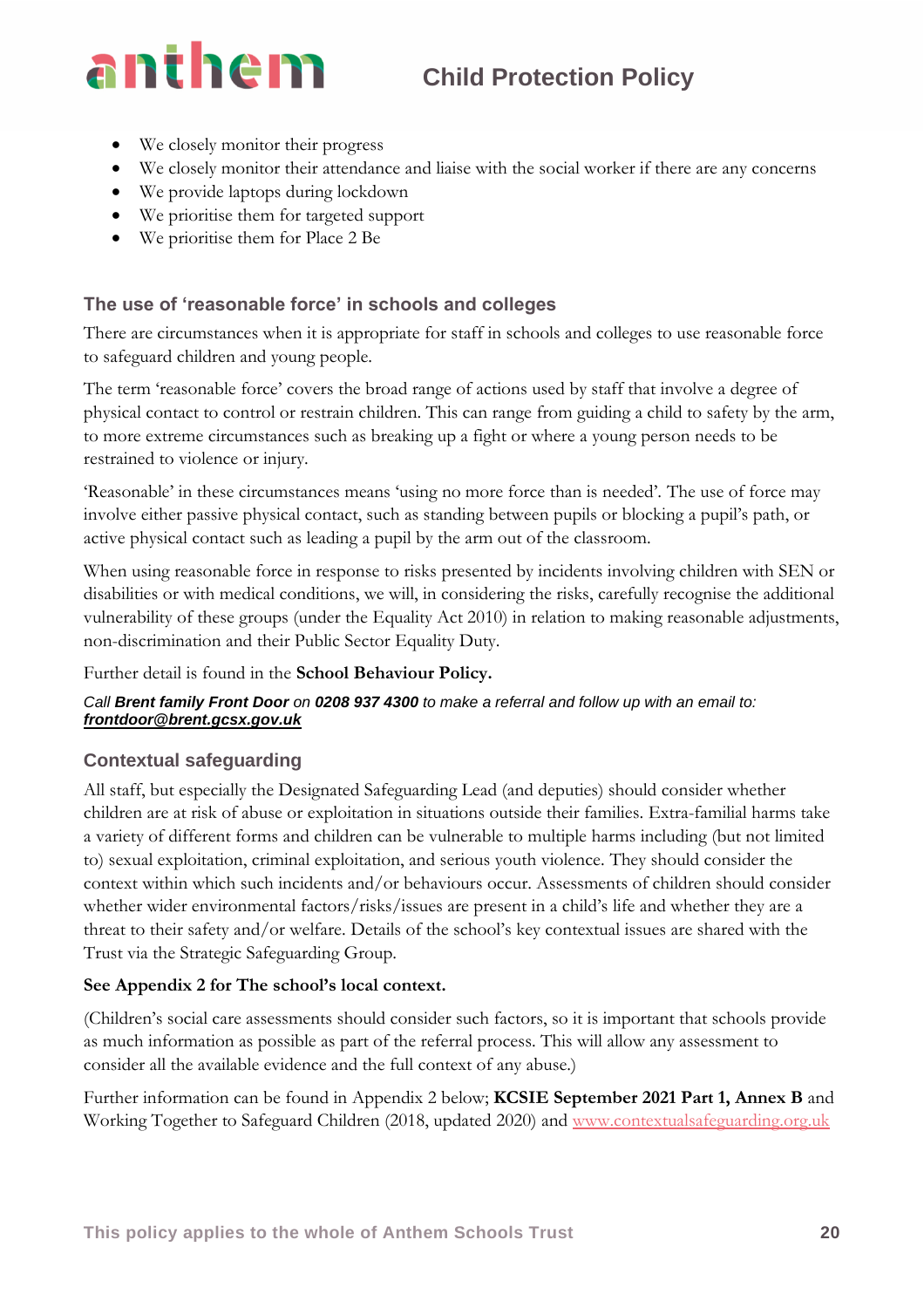- We closely monitor their progress
- We closely monitor their attendance and liaise with the social worker if there are any concerns
- We provide laptops during lockdown
- We prioritise them for targeted support
- We prioritise them for Place 2 Be

### **The use of 'reasonable force' in schools and colleges**

There are circumstances when it is appropriate for staff in schools and colleges to use reasonable force to safeguard children and young people.

The term 'reasonable force' covers the broad range of actions used by staff that involve a degree of physical contact to control or restrain children. This can range from guiding a child to safety by the arm, to more extreme circumstances such as breaking up a fight or where a young person needs to be restrained to violence or injury.

'Reasonable' in these circumstances means 'using no more force than is needed'. The use of force may involve either passive physical contact, such as standing between pupils or blocking a pupil's path, or active physical contact such as leading a pupil by the arm out of the classroom.

When using reasonable force in response to risks presented by incidents involving children with SEN or disabilities or with medical conditions, we will, in considering the risks, carefully recognise the additional vulnerability of these groups (under the Equality Act 2010) in relation to making reasonable adjustments, non-discrimination and their Public Sector Equality Duty.

Further detail is found in the **School Behaviour Policy.**

### *Call Brent family Front Door on 0208 937 4300 to make a referral and follow up with an email to: frontdoor@brent.gcsx.gov.uk*

### **Contextual safeguarding**

All staff, but especially the Designated Safeguarding Lead (and deputies) should consider whether children are at risk of abuse or exploitation in situations outside their families. Extra-familial harms take a variety of different forms and children can be vulnerable to multiple harms including (but not limited to) sexual exploitation, criminal exploitation, and serious youth violence. They should consider the context within which such incidents and/or behaviours occur. Assessments of children should consider whether wider environmental factors/risks/issues are present in a child's life and whether they are a threat to their safety and/or welfare. Details of the school's key contextual issues are shared with the Trust via the Strategic Safeguarding Group.

### **See Appendix 2 for The school's local context.**

(Children's social care assessments should consider such factors, so it is important that schools provide as much information as possible as part of the referral process. This will allow any assessment to consider all the available evidence and the full context of any abuse.)

Further information can be found in Appendix 2 below; **KCSIE September 2021 Part 1, Annex B** and Working Together to Safeguard Children (2018, updated 2020) and [www.contextualsafeguarding.org.uk](http://www.contextualsafeguarding.org.uk/)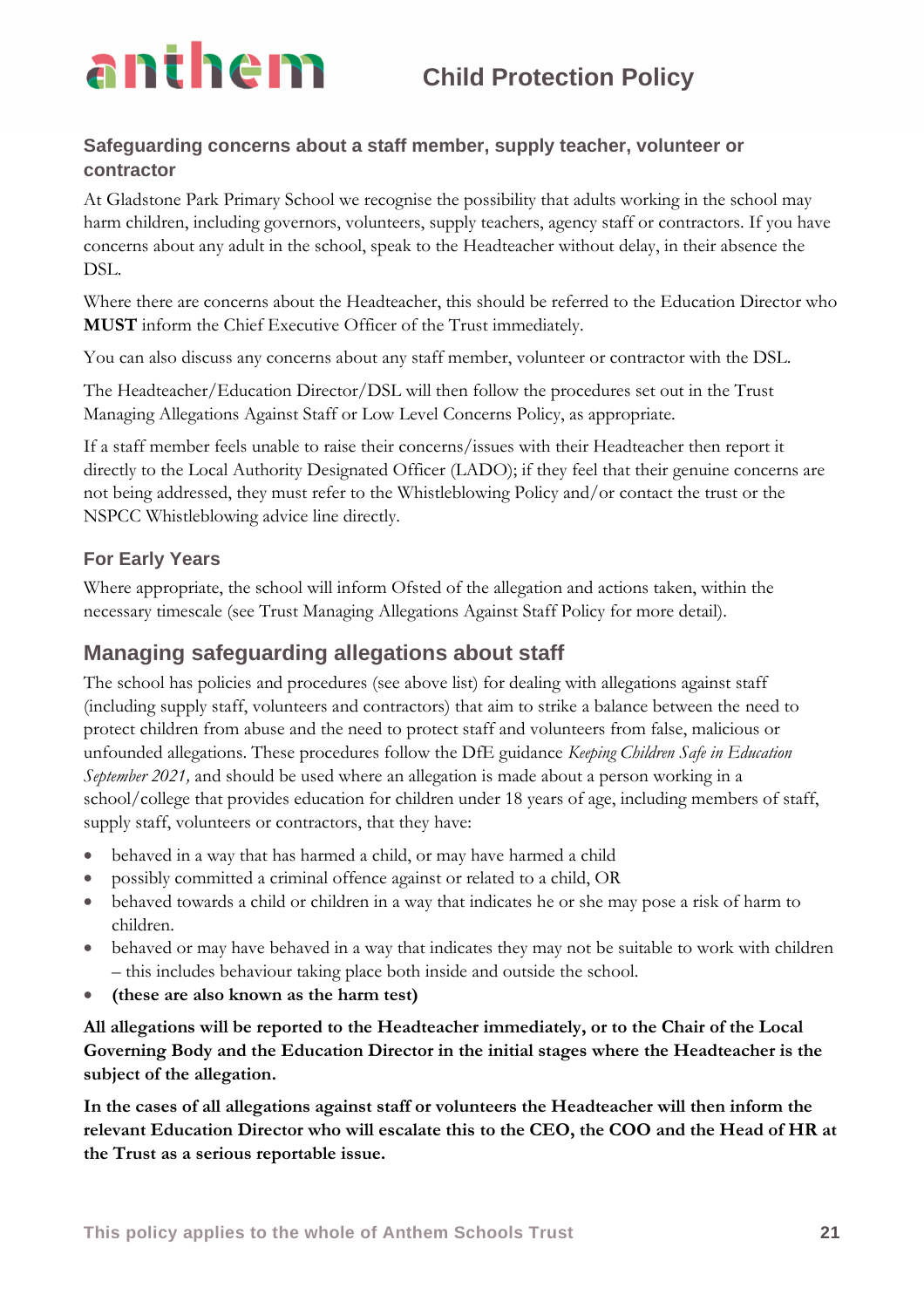

### **Safeguarding concerns about a staff member, supply teacher, volunteer or contractor**

At Gladstone Park Primary School we recognise the possibility that adults working in the school may harm children, including governors, volunteers, supply teachers, agency staff or contractors. If you have concerns about any adult in the school, speak to the Headteacher without delay, in their absence the DSL.

Where there are concerns about the Headteacher, this should be referred to the Education Director who **MUST** inform the Chief Executive Officer of the Trust immediately.

You can also discuss any concerns about any staff member, volunteer or contractor with the DSL.

The Headteacher/Education Director/DSL will then follow the procedures set out in the Trust Managing Allegations Against Staff or Low Level Concerns Policy, as appropriate.

If a staff member feels unable to raise their concerns/issues with their Headteacher then report it directly to the Local Authority Designated Officer (LADO); if they feel that their genuine concerns are not being addressed, they must refer to the Whistleblowing Policy and/or contact the trust or the NSPCC Whistleblowing advice line directly.

### **For Early Years**

Where appropriate, the school will inform Ofsted of the allegation and actions taken, within the necessary timescale (see Trust Managing Allegations Against Staff Policy for more detail).

### **Managing safeguarding allegations about staff**

The school has policies and procedures (see above list) for dealing with allegations against staff (including supply staff, volunteers and contractors) that aim to strike a balance between the need to protect children from abuse and the need to protect staff and volunteers from false, malicious or unfounded allegations. These procedures follow the DfE guidance *Keeping Children Safe in Education September 2021,* and should be used where an allegation is made about a person working in a school/college that provides education for children under 18 years of age, including members of staff, supply staff, volunteers or contractors, that they have:

- behaved in a way that has harmed a child, or may have harmed a child
- possibly committed a criminal offence against or related to a child, OR
- behaved towards a child or children in a way that indicates he or she may pose a risk of harm to children.
- behaved or may have behaved in a way that indicates they may not be suitable to work with children – this includes behaviour taking place both inside and outside the school.
- **(these are also known as the harm test)**

**All allegations will be reported to the Headteacher immediately, or to the Chair of the Local Governing Body and the Education Director in the initial stages where the Headteacher is the subject of the allegation.**

**In the cases of all allegations against staff or volunteers the Headteacher will then inform the relevant Education Director who will escalate this to the CEO, the COO and the Head of HR at the Trust as a serious reportable issue.**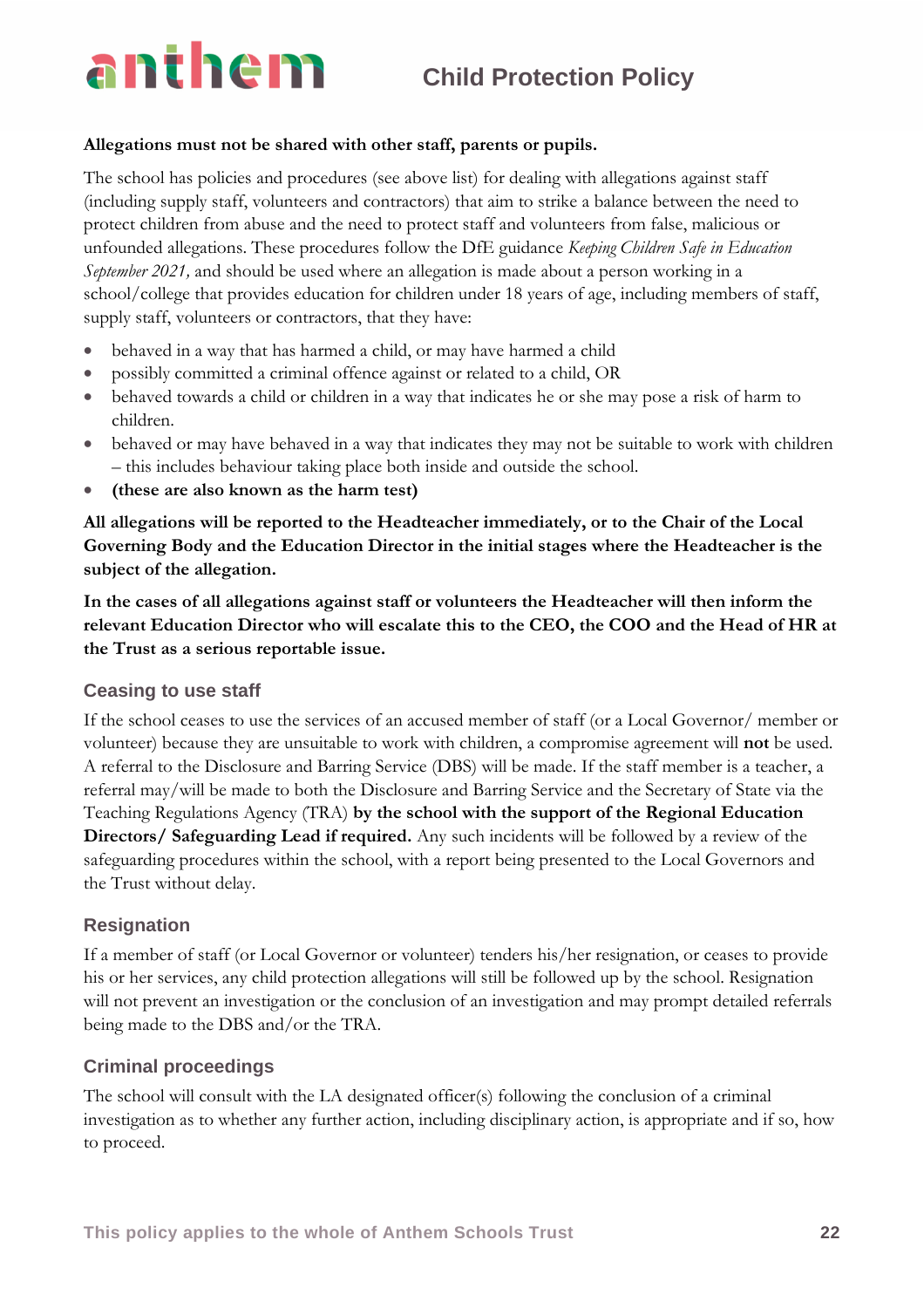### **Allegations must not be shared with other staff, parents or pupils.**

The school has policies and procedures (see above list) for dealing with allegations against staff (including supply staff, volunteers and contractors) that aim to strike a balance between the need to protect children from abuse and the need to protect staff and volunteers from false, malicious or unfounded allegations. These procedures follow the DfE guidance *Keeping Children Safe in Education September 2021,* and should be used where an allegation is made about a person working in a school/college that provides education for children under 18 years of age, including members of staff, supply staff, volunteers or contractors, that they have:

- behaved in a way that has harmed a child, or may have harmed a child
- possibly committed a criminal offence against or related to a child, OR
- behaved towards a child or children in a way that indicates he or she may pose a risk of harm to children.
- behaved or may have behaved in a way that indicates they may not be suitable to work with children – this includes behaviour taking place both inside and outside the school.
- **(these are also known as the harm test)**

**All allegations will be reported to the Headteacher immediately, or to the Chair of the Local Governing Body and the Education Director in the initial stages where the Headteacher is the subject of the allegation.**

**In the cases of all allegations against staff or volunteers the Headteacher will then inform the relevant Education Director who will escalate this to the CEO, the COO and the Head of HR at the Trust as a serious reportable issue.**

### **Ceasing to use staff**

If the school ceases to use the services of an accused member of staff (or a Local Governor/ member or volunteer) because they are unsuitable to work with children, a compromise agreement will **not** be used. A referral to the Disclosure and Barring Service (DBS) will be made. If the staff member is a teacher, a referral may/will be made to both the Disclosure and Barring Service and the Secretary of State via the Teaching Regulations Agency (TRA) **by the school with the support of the Regional Education Directors/ Safeguarding Lead if required.** Any such incidents will be followed by a review of the safeguarding procedures within the school, with a report being presented to the Local Governors and the Trust without delay.

### **Resignation**

If a member of staff (or Local Governor or volunteer) tenders his/her resignation, or ceases to provide his or her services, any child protection allegations will still be followed up by the school. Resignation will not prevent an investigation or the conclusion of an investigation and may prompt detailed referrals being made to the DBS and/or the TRA.

### **Criminal proceedings**

The school will consult with the LA designated officer(s) following the conclusion of a criminal investigation as to whether any further action, including disciplinary action, is appropriate and if so, how to proceed.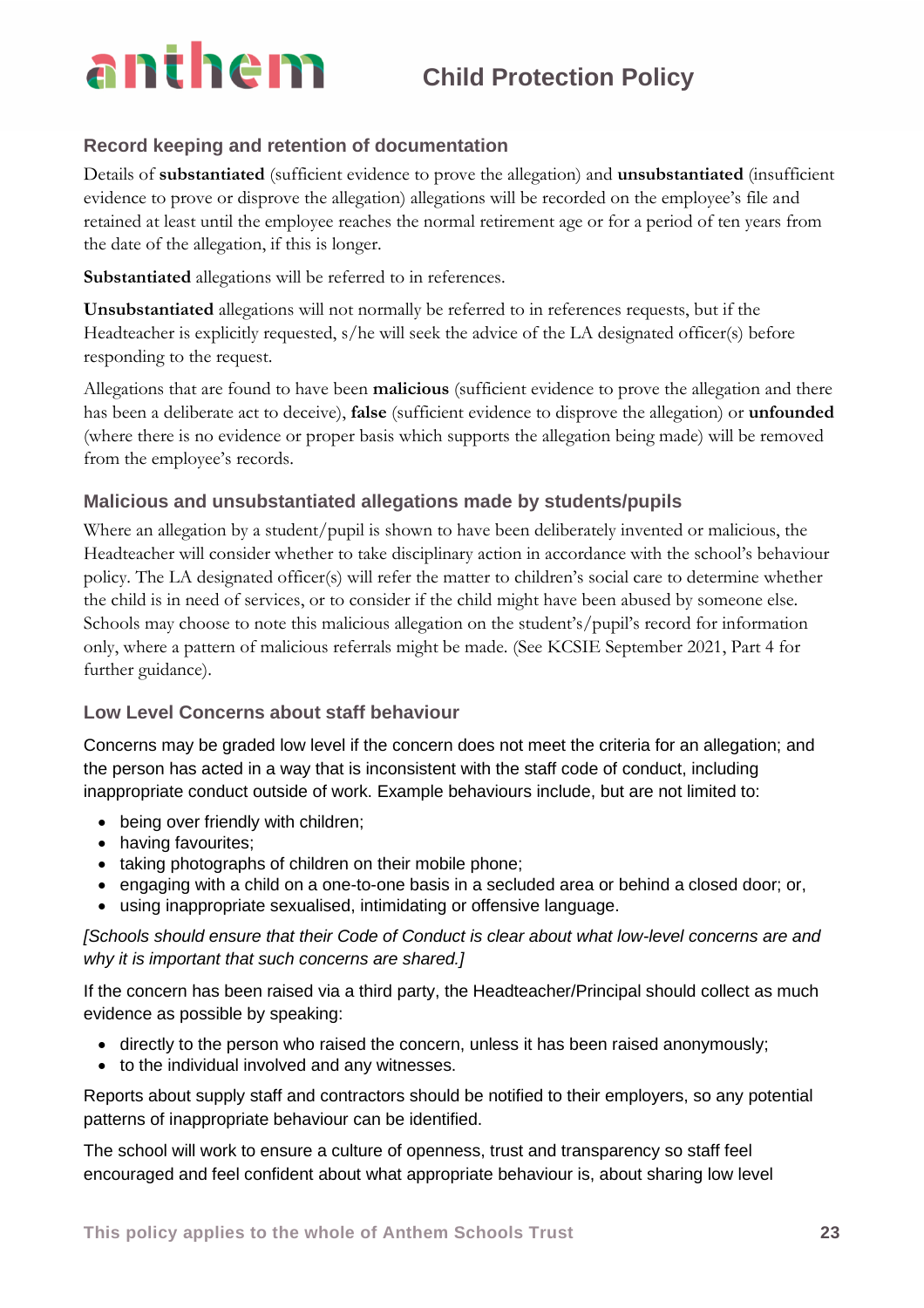### **Record keeping and retention of documentation**

Details of **substantiated** (sufficient evidence to prove the allegation) and **unsubstantiated** (insufficient evidence to prove or disprove the allegation) allegations will be recorded on the employee's file and retained at least until the employee reaches the normal retirement age or for a period of ten years from the date of the allegation, if this is longer.

**Substantiated** allegations will be referred to in references.

**Unsubstantiated** allegations will not normally be referred to in references requests, but if the Headteacher is explicitly requested, s/he will seek the advice of the LA designated officer(s) before responding to the request.

Allegations that are found to have been **malicious** (sufficient evidence to prove the allegation and there has been a deliberate act to deceive), **false** (sufficient evidence to disprove the allegation) or **unfounded** (where there is no evidence or proper basis which supports the allegation being made) will be removed from the employee's records.

### **Malicious and unsubstantiated allegations made by students/pupils**

Where an allegation by a student/pupil is shown to have been deliberately invented or malicious, the Headteacher will consider whether to take disciplinary action in accordance with the school's behaviour policy. The LA designated officer(s) will refer the matter to children's social care to determine whether the child is in need of services, or to consider if the child might have been abused by someone else. Schools may choose to note this malicious allegation on the student's/pupil's record for information only, where a pattern of malicious referrals might be made. (See KCSIE September 2021, Part 4 for further guidance).

### **Low Level Concerns about staff behaviour**

Concerns may be graded low level if the concern does not meet the criteria for an allegation; and the person has acted in a way that is inconsistent with the staff code of conduct, including inappropriate conduct outside of work. Example behaviours include, but are not limited to:

- being over friendly with children;
- having favourites;
- taking photographs of children on their mobile phone;
- engaging with a child on a one-to-one basis in a secluded area or behind a closed door; or,
- using inappropriate sexualised, intimidating or offensive language.

*[Schools should ensure that their Code of Conduct is clear about what low-level concerns are and why it is important that such concerns are shared.]*

If the concern has been raised via a third party, the Headteacher/Principal should collect as much evidence as possible by speaking:

- directly to the person who raised the concern, unless it has been raised anonymously;
- to the individual involved and any witnesses.

Reports about supply staff and contractors should be notified to their employers, so any potential patterns of inappropriate behaviour can be identified.

The school will work to ensure a culture of openness, trust and transparency so staff feel encouraged and feel confident about what appropriate behaviour is, about sharing low level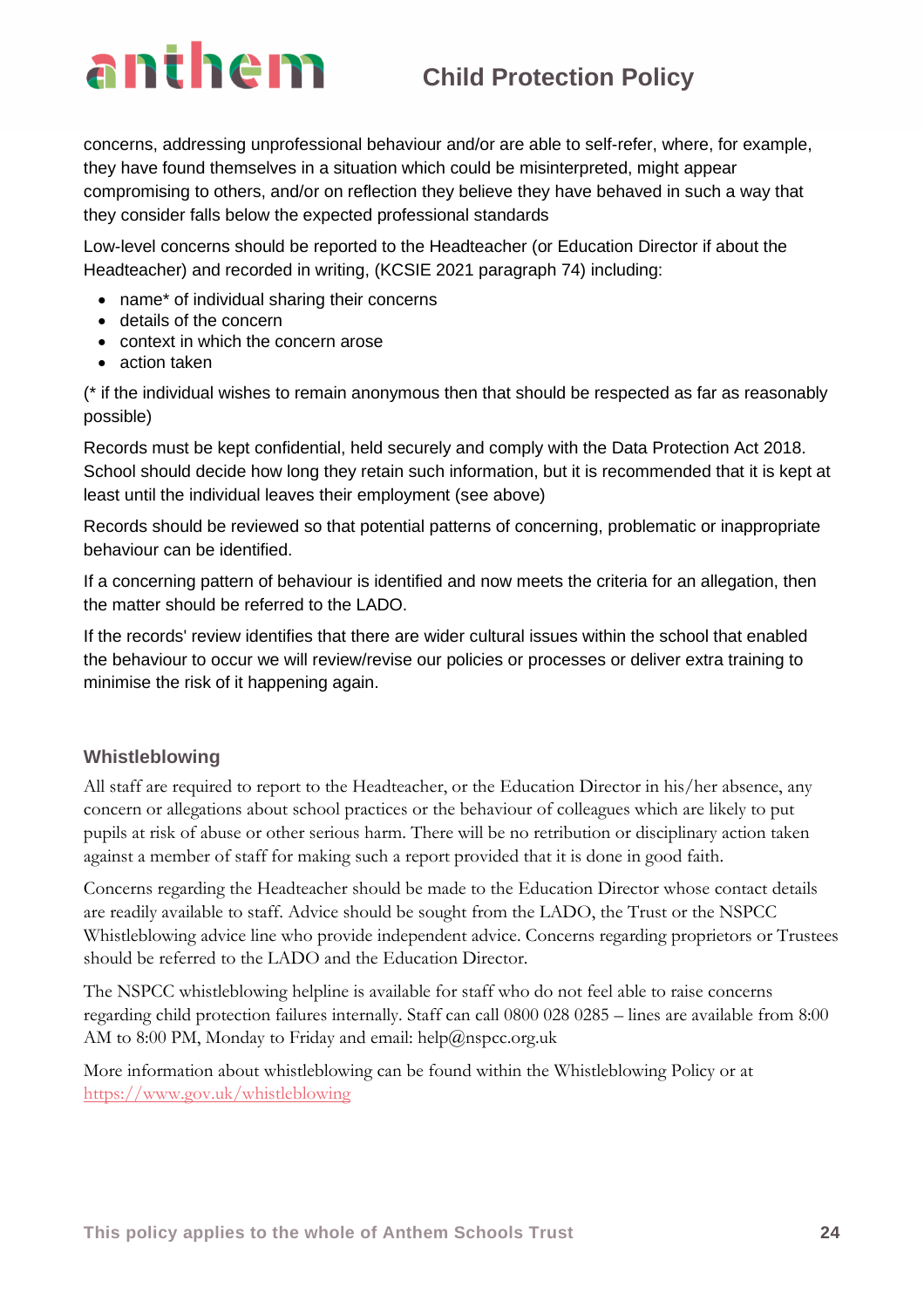concerns, addressing unprofessional behaviour and/or are able to self-refer, where, for example, they have found themselves in a situation which could be misinterpreted, might appear compromising to others, and/or on reflection they believe they have behaved in such a way that they consider falls below the expected professional standards

Low-level concerns should be reported to the Headteacher (or Education Director if about the Headteacher) and recorded in writing, (KCSIE 2021 paragraph 74) including:

- name\* of individual sharing their concerns
- details of the concern
- context in which the concern arose
- action taken

(\* if the individual wishes to remain anonymous then that should be respected as far as reasonably possible)

Records must be kept confidential, held securely and comply with the Data Protection Act 2018. School should decide how long they retain such information, but it is recommended that it is kept at least until the individual leaves their employment (see above)

Records should be reviewed so that potential patterns of concerning, problematic or inappropriate behaviour can be identified.

If a concerning pattern of behaviour is identified and now meets the criteria for an allegation, then the matter should be referred to the LADO.

If the records' review identifies that there are wider cultural issues within the school that enabled the behaviour to occur we will review/revise our policies or processes or deliver extra training to minimise the risk of it happening again.

### **Whistleblowing**

All staff are required to report to the Headteacher, or the Education Director in his/her absence, any concern or allegations about school practices or the behaviour of colleagues which are likely to put pupils at risk of abuse or other serious harm. There will be no retribution or disciplinary action taken against a member of staff for making such a report provided that it is done in good faith.

Concerns regarding the Headteacher should be made to the Education Director whose contact details are readily available to staff. Advice should be sought from the LADO, the Trust or the NSPCC Whistleblowing advice line who provide independent advice. Concerns regarding proprietors or Trustees should be referred to the LADO and the Education Director.

The NSPCC whistleblowing helpline is available for staff who do not feel able to raise concerns regarding child protection failures internally. Staff can call 0800 028 0285 – lines are available from 8:00 AM to 8:00 PM, Monday to Friday and email: help@nspcc.org.uk

More information about whistleblowing can be found within the Whistleblowing Policy or at <https://www.gov.uk/whistleblowing>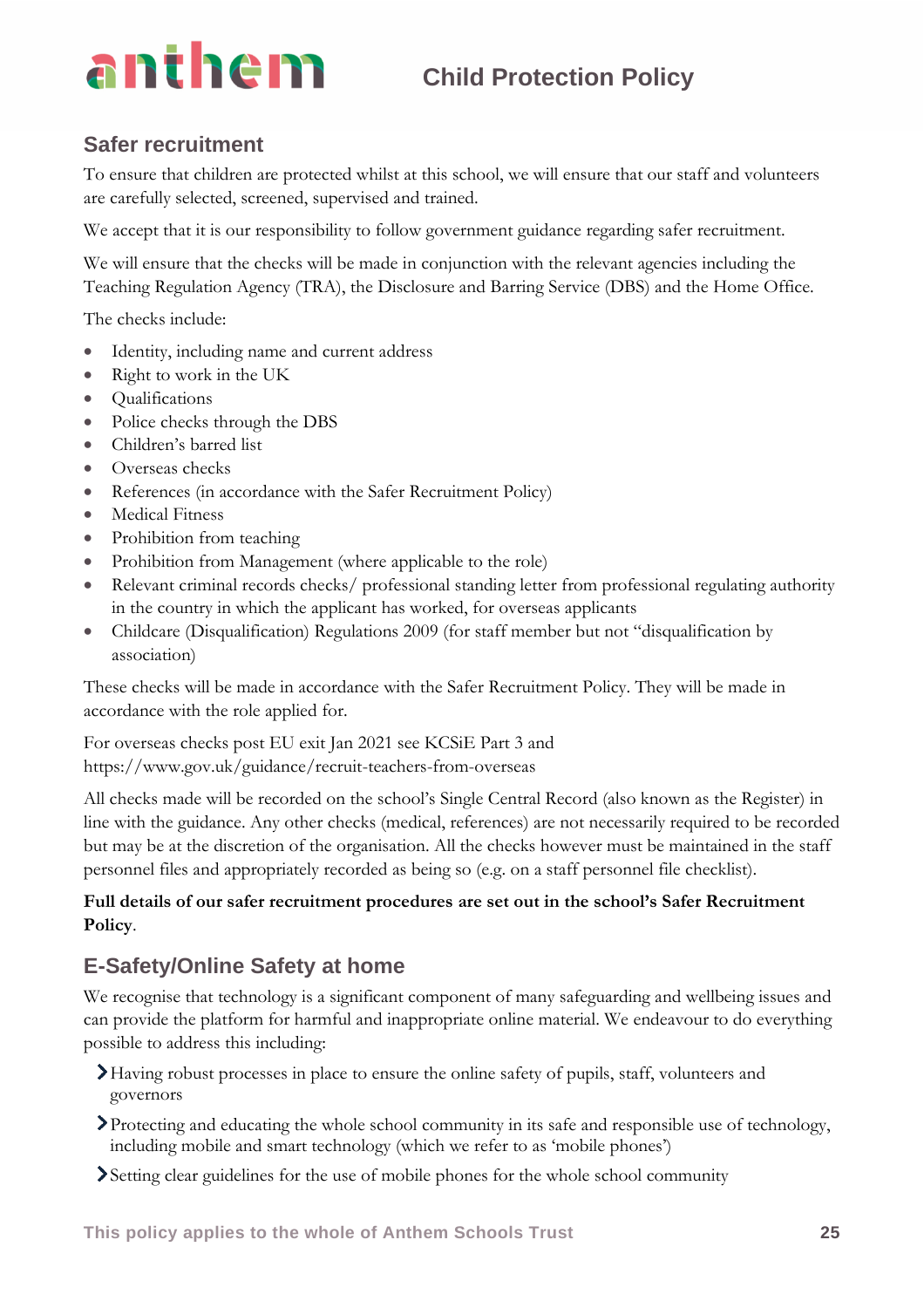### **Safer recruitment**

To ensure that children are protected whilst at this school, we will ensure that our staff and volunteers are carefully selected, screened, supervised and trained.

We accept that it is our responsibility to follow government guidance regarding safer recruitment.

We will ensure that the checks will be made in conjunction with the relevant agencies including the Teaching Regulation Agency (TRA), the Disclosure and Barring Service (DBS) and the Home Office.

The checks include:

- Identity, including name and current address
- Right to work in the UK
- Qualifications
- Police checks through the DBS
- Children's barred list
- Overseas checks
- References (in accordance with the Safer Recruitment Policy)
- Medical Fitness
- Prohibition from teaching
- Prohibition from Management (where applicable to the role)
- Relevant criminal records checks/ professional standing letter from professional regulating authority in the country in which the applicant has worked, for overseas applicants
- Childcare (Disqualification) Regulations 2009 (for staff member but not "disqualification by association)

These checks will be made in accordance with the Safer Recruitment Policy. They will be made in accordance with the role applied for.

For overseas checks post EU exit Jan 2021 see KCSiE Part 3 and https://www.gov.uk/guidance/recruit-teachers-from-overseas

All checks made will be recorded on the school's Single Central Record (also known as the Register) in line with the guidance. Any other checks (medical, references) are not necessarily required to be recorded but may be at the discretion of the organisation. All the checks however must be maintained in the staff personnel files and appropriately recorded as being so (e.g. on a staff personnel file checklist).

### **Full details of our safer recruitment procedures are set out in the school's Safer Recruitment Policy**.

### **E-Safety/Online Safety at home**

We recognise that technology is a significant component of many safeguarding and wellbeing issues and can provide the platform for harmful and inappropriate online material. We endeavour to do everything possible to address this including:

- Having robust processes in place to ensure the online safety of pupils, staff, volunteers and governors
- Protecting and educating the whole school community in its safe and responsible use of technology, including mobile and smart technology (which we refer to as 'mobile phones')
- Setting clear guidelines for the use of mobile phones for the whole school community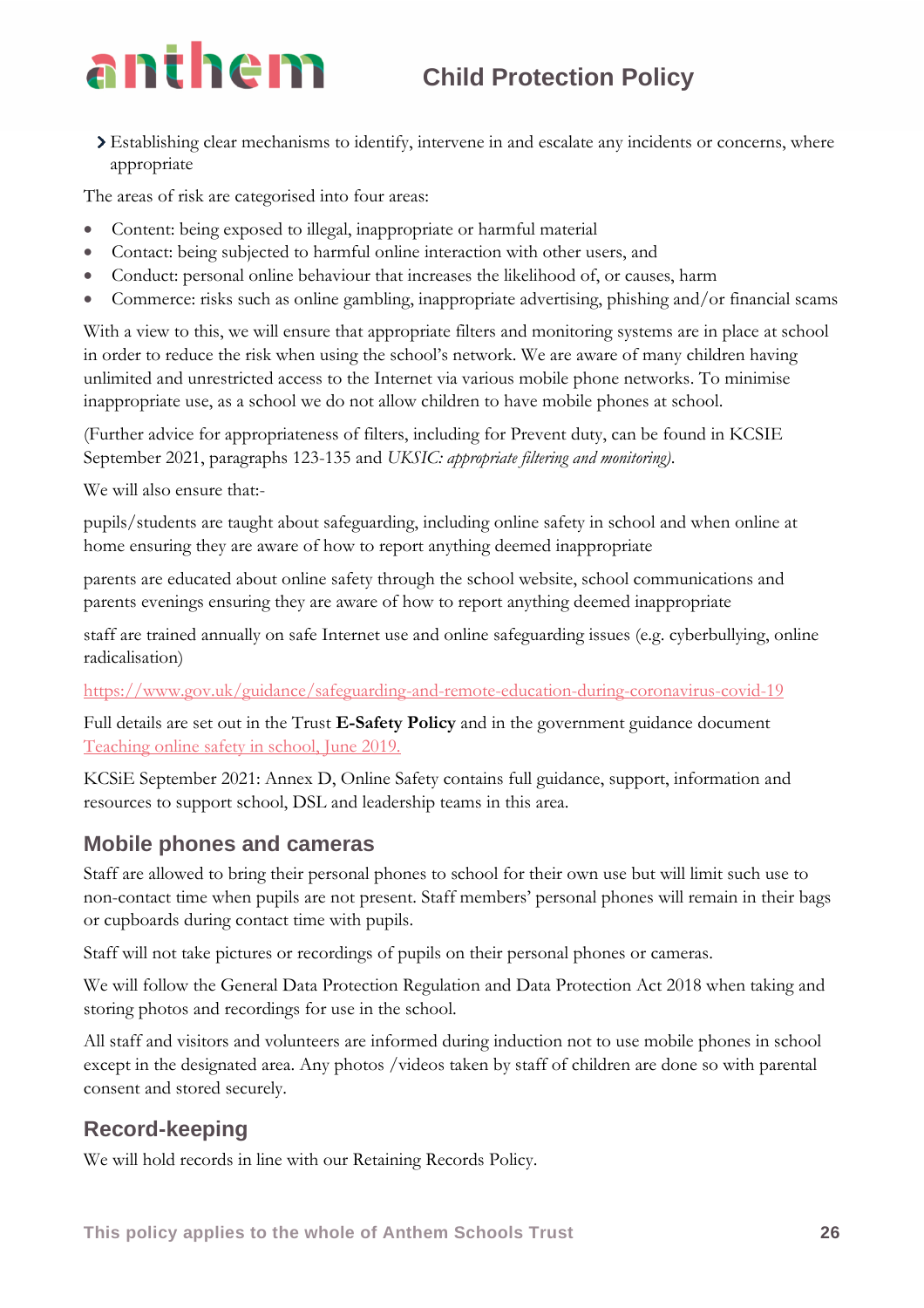

Establishing clear mechanisms to identify, intervene in and escalate any incidents or concerns, where appropriate

The areas of risk are categorised into four areas:

- Content: being exposed to illegal, inappropriate or harmful material
- Contact: being subjected to harmful online interaction with other users, and
- Conduct: personal online behaviour that increases the likelihood of, or causes, harm
- Commerce: risks such as online gambling, inappropriate advertising, phishing and/or financial scams

With a view to this, we will ensure that appropriate filters and monitoring systems are in place at school in order to reduce the risk when using the school's network. We are aware of many children having unlimited and unrestricted access to the Internet via various mobile phone networks. To minimise inappropriate use, as a school we do not allow children to have mobile phones at school.

(Further advice for appropriateness of filters, including for Prevent duty, can be found in KCSIE September 2021, paragraphs 123-135 and *UKSIC: appropriate filtering and monitoring)*.

We will also ensure that:-

pupils/students are taught about safeguarding, including online safety in school and when online at home ensuring they are aware of how to report anything deemed inappropriate

parents are educated about online safety through the school website, school communications and parents evenings ensuring they are aware of how to report anything deemed inappropriate

staff are trained annually on safe Internet use and online safeguarding issues (e.g. cyberbullying, online radicalisation)

<https://www.gov.uk/guidance/safeguarding-and-remote-education-during-coronavirus-covid-19>

Full details are set out in the Trust **E-Safety Policy** and in the government guidance document [Teaching online safety in school, June 2019.](https://assets.publishing.service.gov.uk/government/uploads/system/uploads/attachment_data/file/811796/Teaching_online_safety_in_school.pdf)

KCSiE September 2021: Annex D, Online Safety contains full guidance, support, information and resources to support school, DSL and leadership teams in this area.

### **Mobile phones and cameras**

Staff are allowed to bring their personal phones to school for their own use but will limit such use to non-contact time when pupils are not present. Staff members' personal phones will remain in their bags or cupboards during contact time with pupils.

Staff will not take pictures or recordings of pupils on their personal phones or cameras.

We will follow the General Data Protection Regulation and Data Protection Act 2018 when taking and storing photos and recordings for use in the school.

All staff and visitors and volunteers are informed during induction not to use mobile phones in school except in the designated area. Any photos /videos taken by staff of children are done so with parental consent and stored securely.

### **Record-keeping**

We will hold records in line with our Retaining Records Policy.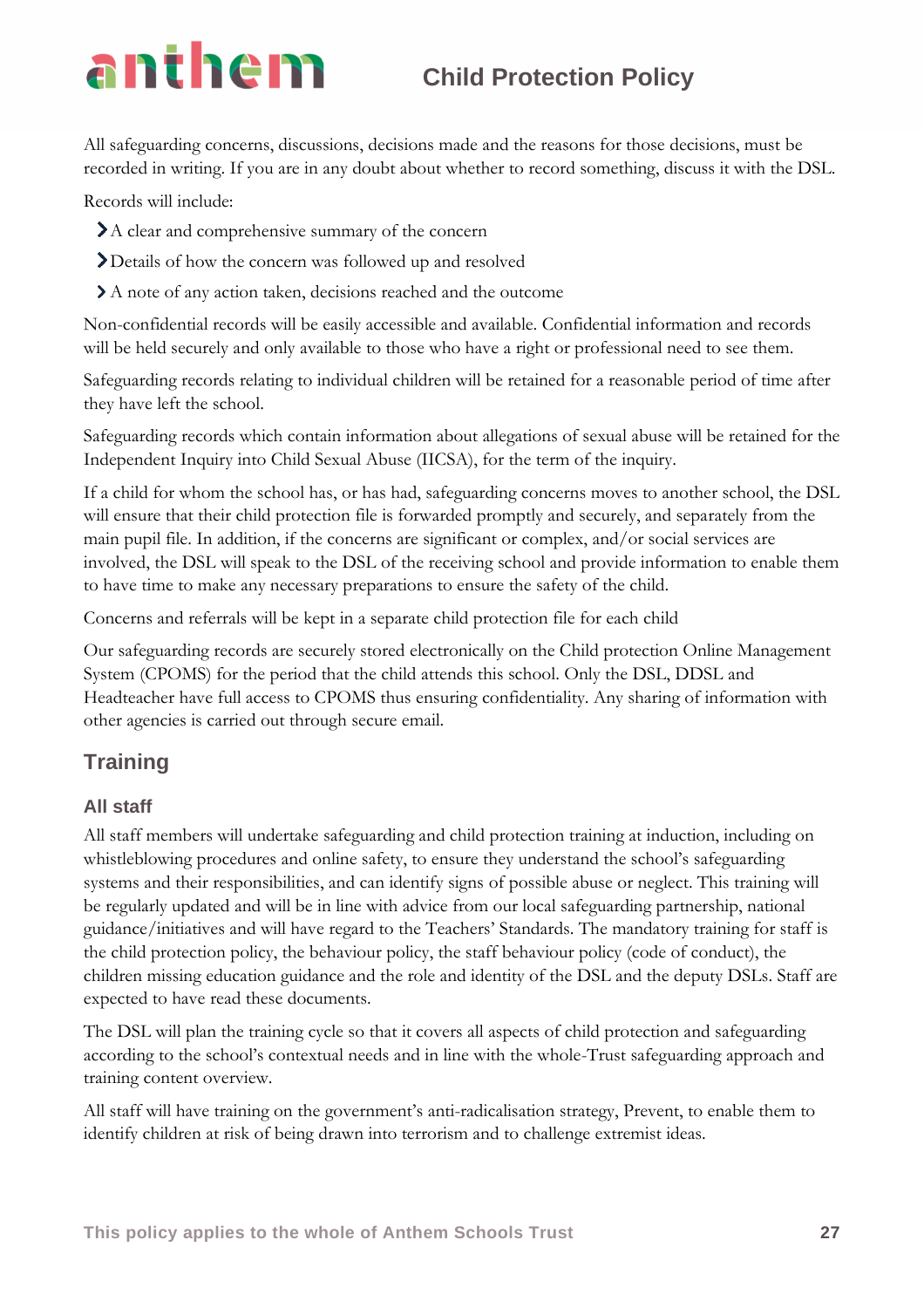All safeguarding concerns, discussions, decisions made and the reasons for those decisions, must be recorded in writing. If you are in any doubt about whether to record something, discuss it with the DSL.

Records will include:

- A clear and comprehensive summary of the concern
- Details of how the concern was followed up and resolved
- A note of any action taken, decisions reached and the outcome

Non-confidential records will be easily accessible and available. Confidential information and records will be held securely and only available to those who have a right or professional need to see them.

Safeguarding records relating to individual children will be retained for a reasonable period of time after they have left the school.

Safeguarding records which contain information about allegations of sexual abuse will be retained for the Independent Inquiry into Child Sexual Abuse (IICSA), for the term of the inquiry.

If a child for whom the school has, or has had, safeguarding concerns moves to another school, the DSL will ensure that their child protection file is forwarded promptly and securely, and separately from the main pupil file. In addition, if the concerns are significant or complex, and/or social services are involved, the DSL will speak to the DSL of the receiving school and provide information to enable them to have time to make any necessary preparations to ensure the safety of the child.

Concerns and referrals will be kept in a separate child protection file for each child

Our safeguarding records are securely stored electronically on the Child protection Online Management System (CPOMS) for the period that the child attends this school. Only the DSL, DDSL and Headteacher have full access to CPOMS thus ensuring confidentiality. Any sharing of information with other agencies is carried out through secure email.

### **Training**

### **All staff**

All staff members will undertake safeguarding and child protection training at induction, including on whistleblowing procedures and online safety, to ensure they understand the school's safeguarding systems and their responsibilities, and can identify signs of possible abuse or neglect. This training will be regularly updated and will be in line with advice from our local safeguarding partnership, national guidance/initiatives and will have regard to the Teachers' Standards. The mandatory training for staff is the child protection policy, the behaviour policy, the staff behaviour policy (code of conduct), the children missing education guidance and the role and identity of the DSL and the deputy DSLs. Staff are expected to have read these documents.

The DSL will plan the training cycle so that it covers all aspects of child protection and safeguarding according to the school's contextual needs and in line with the whole-Trust safeguarding approach and training content overview.

All staff will have training on the government's anti-radicalisation strategy, Prevent, to enable them to identify children at risk of being drawn into terrorism and to challenge extremist ideas.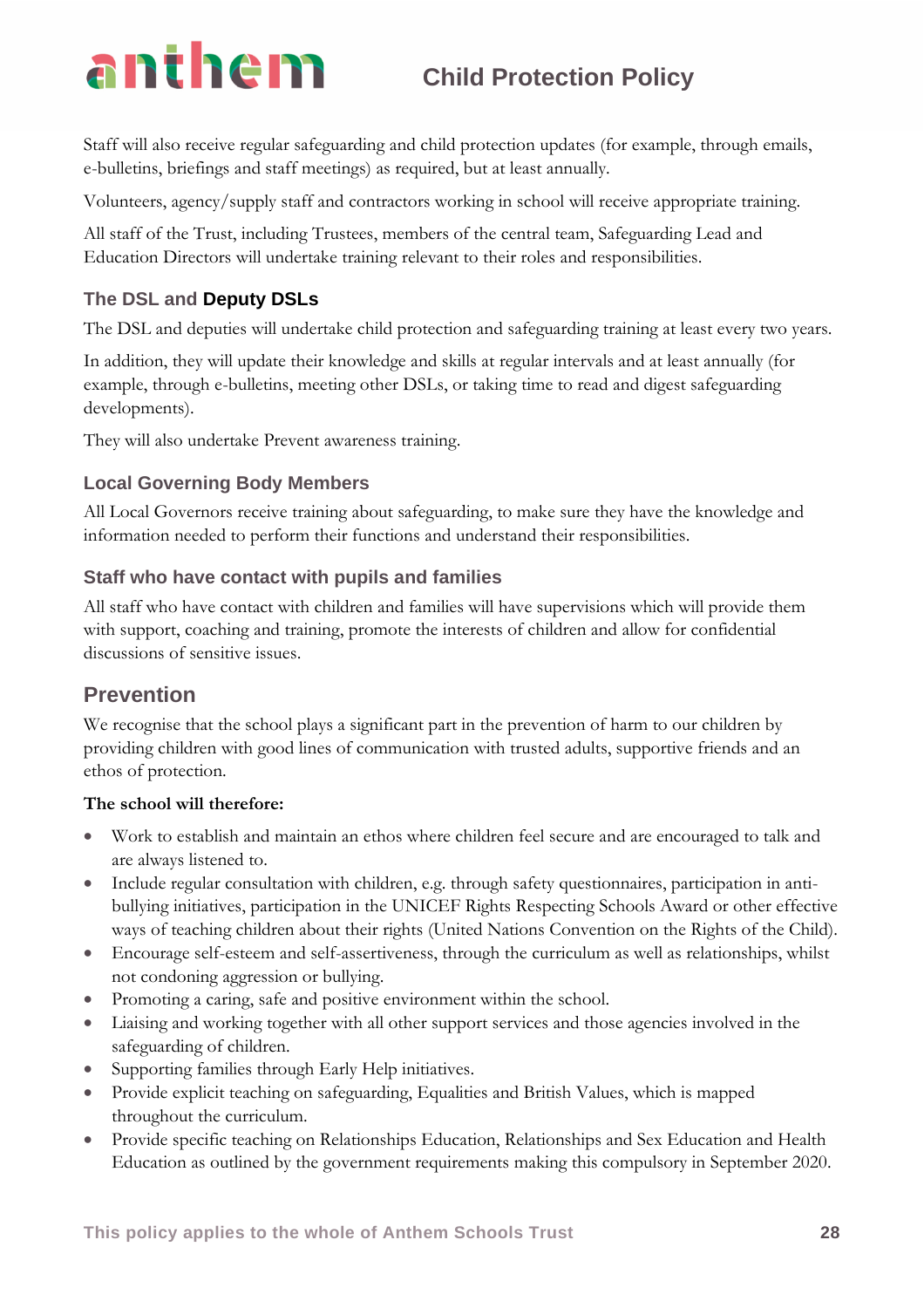Staff will also receive regular safeguarding and child protection updates (for example, through emails, e-bulletins, briefings and staff meetings) as required, but at least annually.

Volunteers, agency/supply staff and contractors working in school will receive appropriate training.

All staff of the Trust, including Trustees, members of the central team, Safeguarding Lead and Education Directors will undertake training relevant to their roles and responsibilities.

### **The DSL and Deputy DSLs**

The DSL and deputies will undertake child protection and safeguarding training at least every two years.

In addition, they will update their knowledge and skills at regular intervals and at least annually (for example, through e-bulletins, meeting other DSLs, or taking time to read and digest safeguarding developments).

They will also undertake Prevent awareness training.

### **Local Governing Body Members**

All Local Governors receive training about safeguarding, to make sure they have the knowledge and information needed to perform their functions and understand their responsibilities.

### **Staff who have contact with pupils and families**

All staff who have contact with children and families will have supervisions which will provide them with support, coaching and training, promote the interests of children and allow for confidential discussions of sensitive issues.

### **Prevention**

We recognise that the school plays a significant part in the prevention of harm to our children by providing children with good lines of communication with trusted adults, supportive friends and an ethos of protection.

### **The school will therefore:**

- Work to establish and maintain an ethos where children feel secure and are encouraged to talk and are always listened to.
- Include regular consultation with children, e.g. through safety questionnaires, participation in antibullying initiatives, participation in the UNICEF Rights Respecting Schools Award or other effective ways of teaching children about their rights (United Nations Convention on the Rights of the Child).
- Encourage self-esteem and self-assertiveness, through the curriculum as well as relationships, whilst not condoning aggression or bullying.
- Promoting a caring, safe and positive environment within the school.
- Liaising and working together with all other support services and those agencies involved in the safeguarding of children.
- Supporting families through Early Help initiatives.
- Provide explicit teaching on safeguarding, Equalities and British Values, which is mapped throughout the curriculum.
- Provide specific teaching on Relationships Education, Relationships and Sex Education and Health Education as outlined by the government requirements making this compulsory in September 2020.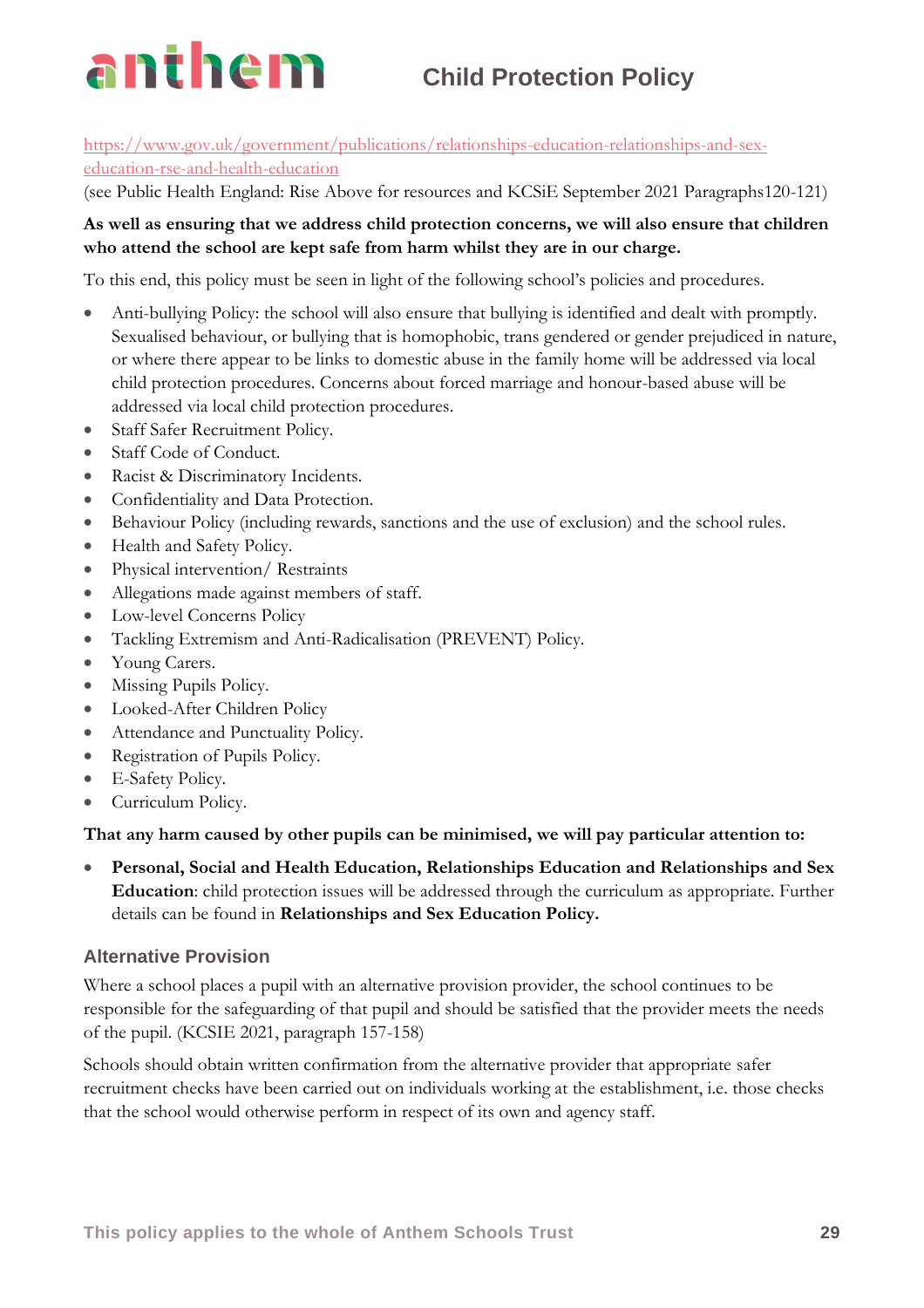

### [https://www.gov.uk/government/publications/relationships-education-relationships-and-sex](https://www.gov.uk/government/publications/relationships-education-relationships-and-sex-education-rse-and-health-education)[education-rse-and-health-education](https://www.gov.uk/government/publications/relationships-education-relationships-and-sex-education-rse-and-health-education)

(see Public Health England: Rise Above for resources and KCSiE September 2021 Paragraphs120-121)

### **As well as ensuring that we address child protection concerns, we will also ensure that children who attend the school are kept safe from harm whilst they are in our charge.**

To this end, this policy must be seen in light of the following school's policies and procedures.

- Anti-bullying Policy: the school will also ensure that bullying is identified and dealt with promptly. Sexualised behaviour, or bullying that is homophobic, trans gendered or gender prejudiced in nature, or where there appear to be links to domestic abuse in the family home will be addressed via local child protection procedures. Concerns about forced marriage and honour-based abuse will be addressed via local child protection procedures.
- Staff Safer Recruitment Policy.
- Staff Code of Conduct.
- Racist & Discriminatory Incidents.
- Confidentiality and Data Protection.
- Behaviour Policy (including rewards, sanctions and the use of exclusion) and the school rules.
- Health and Safety Policy.
- Physical intervention/ Restraints
- Allegations made against members of staff.
- Low-level Concerns Policy
- Tackling Extremism and Anti-Radicalisation (PREVENT) Policy.
- Young Carers.
- Missing Pupils Policy.
- Looked-After Children Policy
- Attendance and Punctuality Policy.
- Registration of Pupils Policy.
- E-Safety Policy.
- Curriculum Policy.

### **That any harm caused by other pupils can be minimised, we will pay particular attention to:**

• **Personal, Social and Health Education, Relationships Education and Relationships and Sex Education**: child protection issues will be addressed through the curriculum as appropriate. Further details can be found in **Relationships and Sex Education Policy.**

### **Alternative Provision**

Where a school places a pupil with an alternative provision provider, the school continues to be responsible for the safeguarding of that pupil and should be satisfied that the provider meets the needs of the pupil. (KCSIE 2021, paragraph 157-158)

Schools should obtain written confirmation from the alternative provider that appropriate safer recruitment checks have been carried out on individuals working at the establishment, i.e. those checks that the school would otherwise perform in respect of its own and agency staff.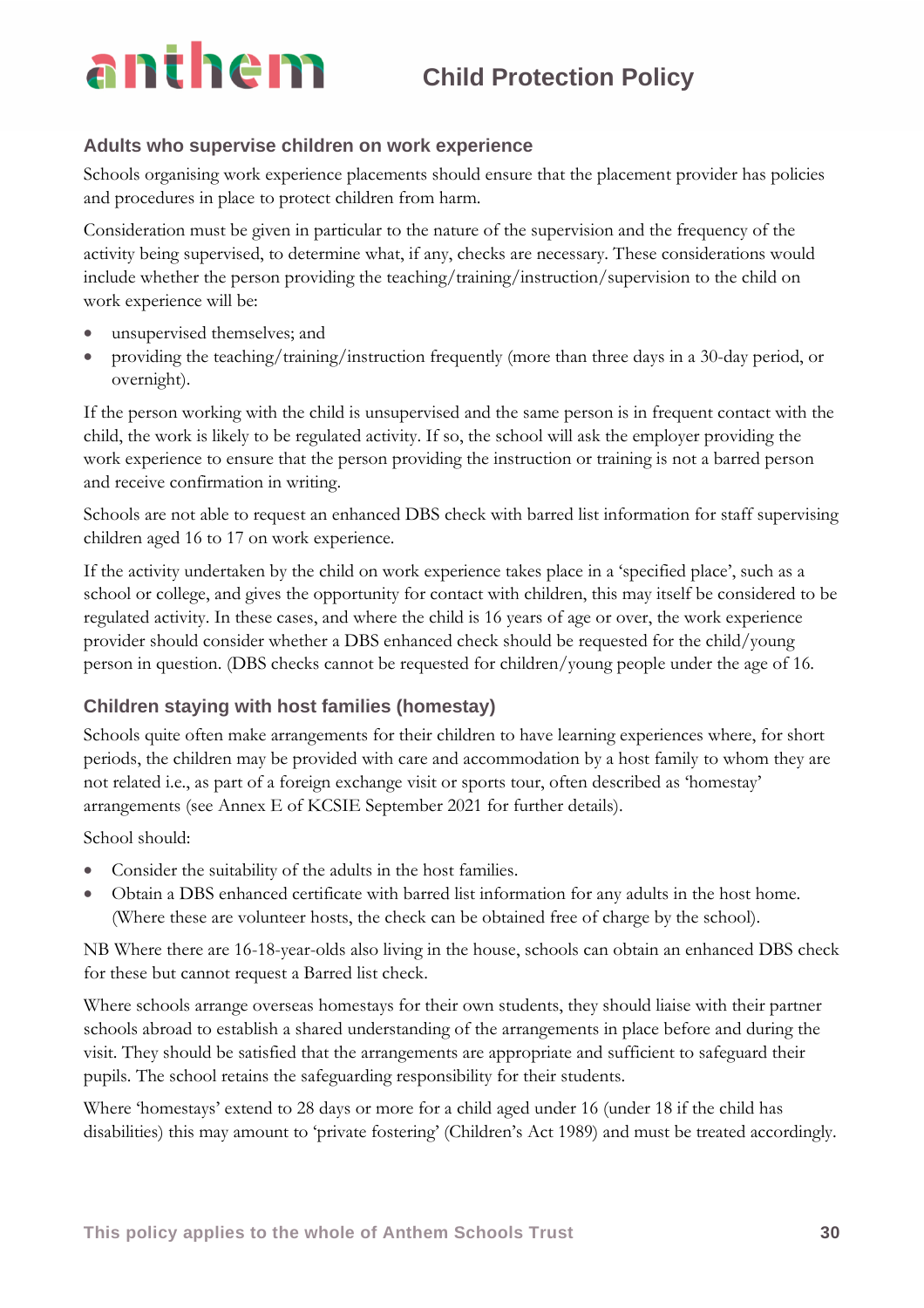### **Adults who supervise children on work experience**

Schools organising work experience placements should ensure that the placement provider has policies and procedures in place to protect children from harm.

Consideration must be given in particular to the nature of the supervision and the frequency of the activity being supervised, to determine what, if any, checks are necessary. These considerations would include whether the person providing the teaching/training/instruction/supervision to the child on work experience will be:

- unsupervised themselves; and
- providing the teaching/training/instruction frequently (more than three days in a 30-day period, or overnight).

If the person working with the child is unsupervised and the same person is in frequent contact with the child, the work is likely to be regulated activity. If so, the school will ask the employer providing the work experience to ensure that the person providing the instruction or training is not a barred person and receive confirmation in writing.

Schools are not able to request an enhanced DBS check with barred list information for staff supervising children aged 16 to 17 on work experience.

If the activity undertaken by the child on work experience takes place in a 'specified place', such as a school or college, and gives the opportunity for contact with children, this may itself be considered to be regulated activity. In these cases, and where the child is 16 years of age or over, the work experience provider should consider whether a DBS enhanced check should be requested for the child/young person in question. (DBS checks cannot be requested for children/young people under the age of 16.

### **Children staying with host families (homestay)**

Schools quite often make arrangements for their children to have learning experiences where, for short periods, the children may be provided with care and accommodation by a host family to whom they are not related i.e., as part of a foreign exchange visit or sports tour, often described as 'homestay' arrangements (see Annex E of KCSIE September 2021 for further details).

School should:

- Consider the suitability of the adults in the host families.
- Obtain a DBS enhanced certificate with barred list information for any adults in the host home. (Where these are volunteer hosts, the check can be obtained free of charge by the school).

NB Where there are 16-18-year-olds also living in the house, schools can obtain an enhanced DBS check for these but cannot request a Barred list check.

Where schools arrange overseas homestays for their own students, they should liaise with their partner schools abroad to establish a shared understanding of the arrangements in place before and during the visit. They should be satisfied that the arrangements are appropriate and sufficient to safeguard their pupils. The school retains the safeguarding responsibility for their students.

Where 'homestays' extend to 28 days or more for a child aged under 16 (under 18 if the child has disabilities) this may amount to 'private fostering' (Children's Act 1989) and must be treated accordingly.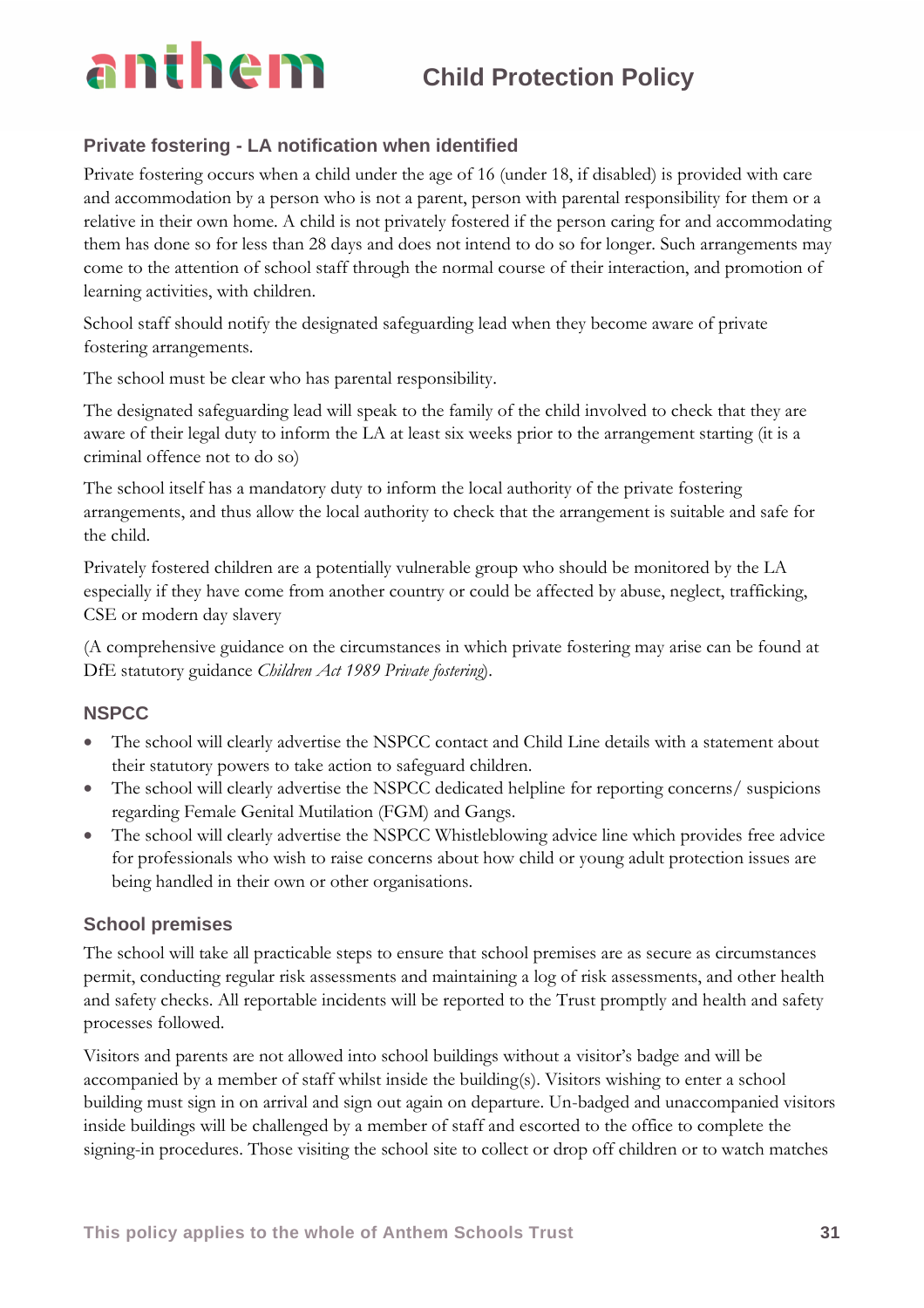### **Private fostering - LA notification when identified**

Private fostering occurs when a child under the age of 16 (under 18, if disabled) is provided with care and accommodation by a person who is not a parent, person with parental responsibility for them or a relative in their own home. A child is not privately fostered if the person caring for and accommodating them has done so for less than 28 days and does not intend to do so for longer. Such arrangements may come to the attention of school staff through the normal course of their interaction, and promotion of learning activities, with children.

School staff should notify the designated safeguarding lead when they become aware of private fostering arrangements.

The school must be clear who has parental responsibility.

The designated safeguarding lead will speak to the family of the child involved to check that they are aware of their legal duty to inform the LA at least six weeks prior to the arrangement starting (it is a criminal offence not to do so)

The school itself has a mandatory duty to inform the local authority of the private fostering arrangements, and thus allow the local authority to check that the arrangement is suitable and safe for the child.

Privately fostered children are a potentially vulnerable group who should be monitored by the LA especially if they have come from another country or could be affected by abuse, neglect, trafficking, CSE or modern day slavery

(A comprehensive guidance on the circumstances in which private fostering may arise can be found at DfE statutory guidance *Children Act 1989 Private fostering*).

### **NSPCC**

- The school will clearly advertise the NSPCC contact and Child Line details with a statement about their statutory powers to take action to safeguard children.
- The school will clearly advertise the NSPCC dedicated helpline for reporting concerns/ suspicions regarding Female Genital Mutilation (FGM) and Gangs.
- The school will clearly advertise the NSPCC Whistleblowing advice line which provides free advice for professionals who wish to raise concerns about how child or young adult protection issues are being handled in their own or other organisations.

### **School premises**

The school will take all practicable steps to ensure that school premises are as secure as circumstances permit, conducting regular risk assessments and maintaining a log of risk assessments, and other health and safety checks. All reportable incidents will be reported to the Trust promptly and health and safety processes followed.

Visitors and parents are not allowed into school buildings without a visitor's badge and will be accompanied by a member of staff whilst inside the building(s). Visitors wishing to enter a school building must sign in on arrival and sign out again on departure. Un-badged and unaccompanied visitors inside buildings will be challenged by a member of staff and escorted to the office to complete the signing-in procedures. Those visiting the school site to collect or drop off children or to watch matches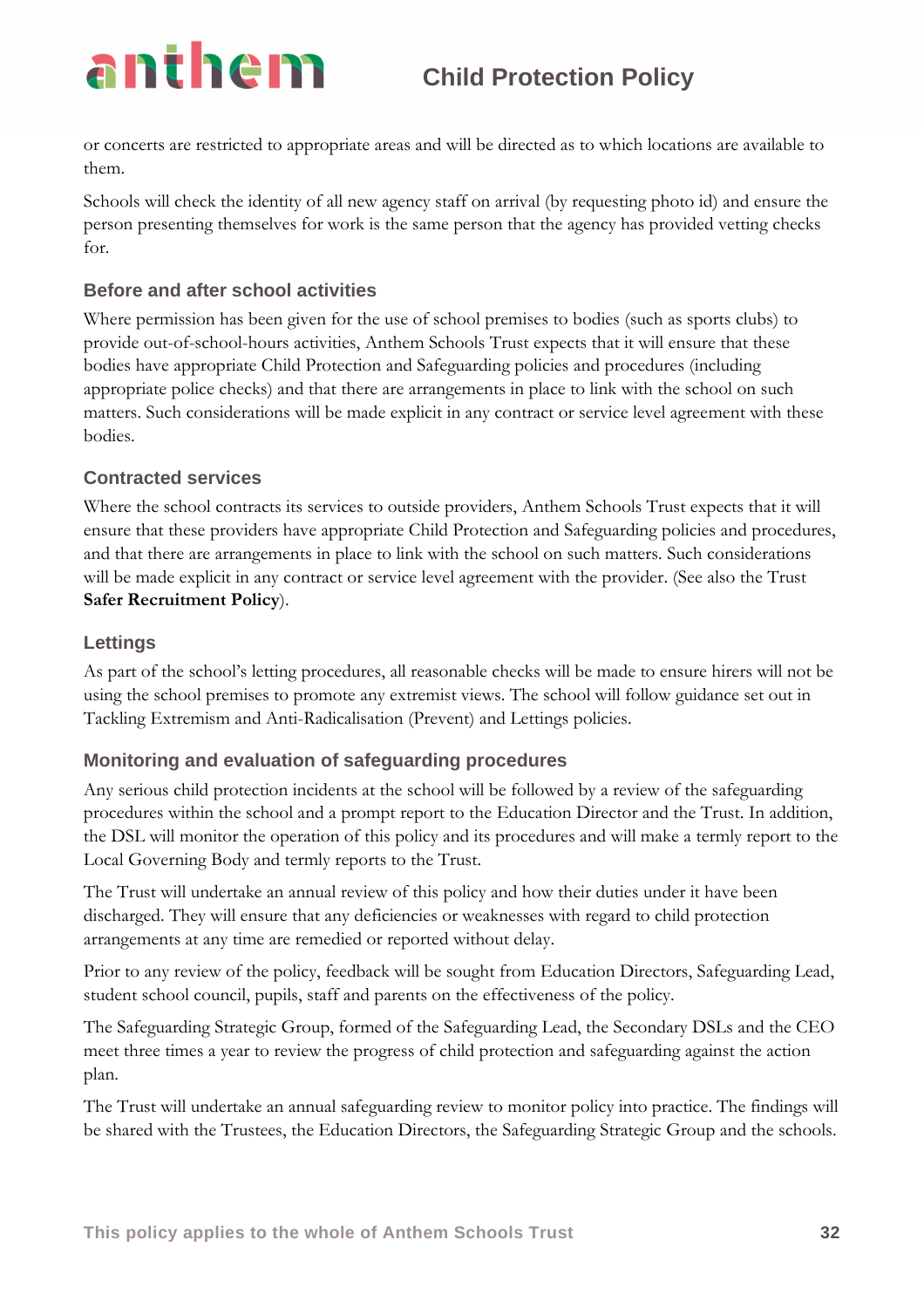or concerts are restricted to appropriate areas and will be directed as to which locations are available to them.

Schools will check the identity of all new agency staff on arrival (by requesting photo id) and ensure the person presenting themselves for work is the same person that the agency has provided vetting checks for.

### **Before and after school activities**

Where permission has been given for the use of school premises to bodies (such as sports clubs) to provide out-of-school-hours activities, Anthem Schools Trust expects that it will ensure that these bodies have appropriate Child Protection and Safeguarding policies and procedures (including appropriate police checks) and that there are arrangements in place to link with the school on such matters. Such considerations will be made explicit in any contract or service level agreement with these bodies.

### **Contracted services**

Where the school contracts its services to outside providers, Anthem Schools Trust expects that it will ensure that these providers have appropriate Child Protection and Safeguarding policies and procedures, and that there are arrangements in place to link with the school on such matters. Such considerations will be made explicit in any contract or service level agreement with the provider. (See also the Trust **Safer Recruitment Policy**).

### **Lettings**

As part of the school's letting procedures, all reasonable checks will be made to ensure hirers will not be using the school premises to promote any extremist views. The school will follow guidance set out in Tackling Extremism and Anti-Radicalisation (Prevent) and Lettings policies.

### **Monitoring and evaluation of safeguarding procedures**

Any serious child protection incidents at the school will be followed by a review of the safeguarding procedures within the school and a prompt report to the Education Director and the Trust. In addition, the DSL will monitor the operation of this policy and its procedures and will make a termly report to the Local Governing Body and termly reports to the Trust.

The Trust will undertake an annual review of this policy and how their duties under it have been discharged. They will ensure that any deficiencies or weaknesses with regard to child protection arrangements at any time are remedied or reported without delay.

Prior to any review of the policy, feedback will be sought from Education Directors, Safeguarding Lead, student school council, pupils, staff and parents on the effectiveness of the policy.

The Safeguarding Strategic Group, formed of the Safeguarding Lead, the Secondary DSLs and the CEO meet three times a year to review the progress of child protection and safeguarding against the action plan.

The Trust will undertake an annual safeguarding review to monitor policy into practice. The findings will be shared with the Trustees, the Education Directors, the Safeguarding Strategic Group and the schools.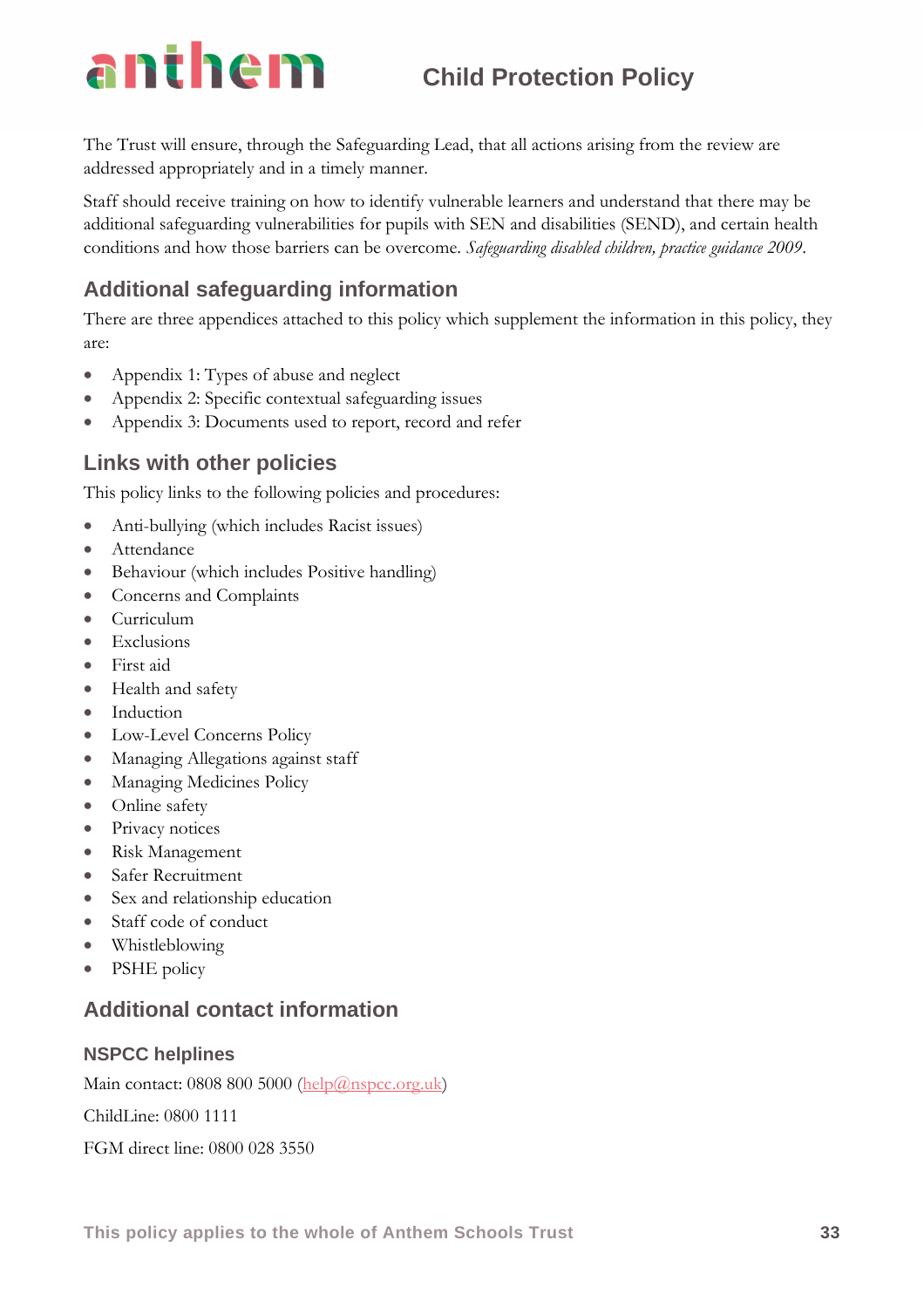The Trust will ensure, through the Safeguarding Lead, that all actions arising from the review are

addressed appropriately and in a timely manner.

Staff should receive training on how to identify vulnerable learners and understand that there may be additional safeguarding vulnerabilities for pupils with SEN and disabilities (SEND), and certain health conditions and how those barriers can be overcome. *Safeguarding disabled children, practice guidance 2009*.

### **Additional safeguarding information**

There are three appendices attached to this policy which supplement the information in this policy, they are:

- Appendix 1: Types of abuse and neglect
- Appendix 2: Specific contextual safeguarding issues
- Appendix 3: Documents used to report, record and refer

### **Links with other policies**

This policy links to the following policies and procedures:

- Anti-bullying (which includes Racist issues)
- Attendance
- Behaviour (which includes Positive handling)
- Concerns and Complaints
- Curriculum
- Exclusions
- First aid
- Health and safety
- Induction
- Low-Level Concerns Policy
- Managing Allegations against staff
- Managing Medicines Policy
- Online safety
- Privacy notices
- Risk Management
- Safer Recruitment
- Sex and relationship education
- Staff code of conduct
- Whistleblowing
- PSHE policy

### **Additional contact information**

### **NSPCC helplines**

Main contact: 0808 800 5000 [\(help@nspcc.org.uk\)](mailto:help@nspcc.org.uk)

ChildLine: 0800 1111

FGM direct line: 0800 028 3550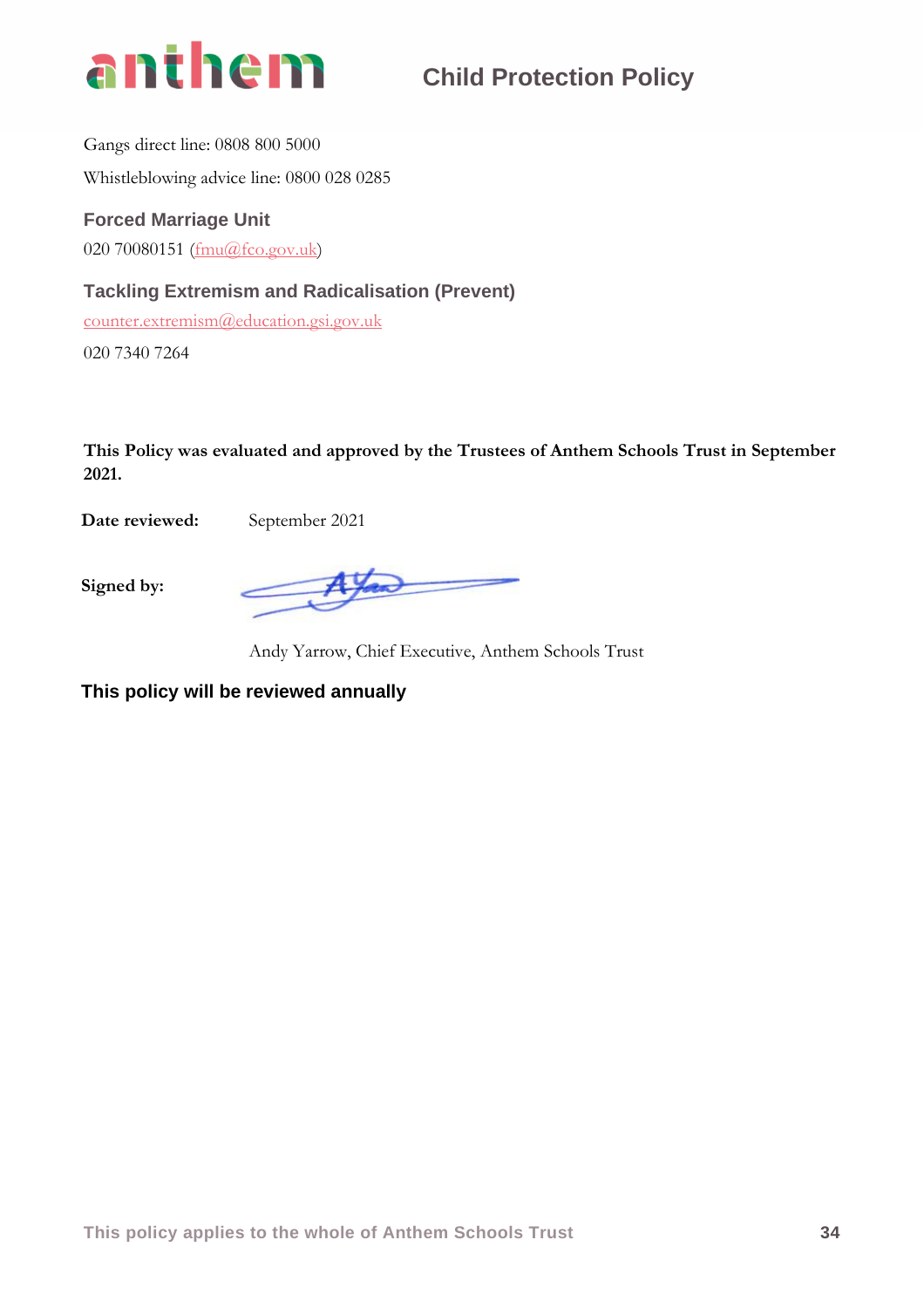

Gangs direct line: 0808 800 5000 Whistleblowing advice line: 0800 028 0285

### **Forced Marriage Unit**

020 70080151 [\(fmu@fco.gov.uk\)](mailto:fmu@fco.gov.uk)

### **Tackling Extremism and Radicalisation (Prevent)**

[counter.extremism@education.gsi.gov.uk](mailto:counter.extremism@education.gsi.gov.uk)

020 7340 7264

**This Policy was evaluated and approved by the Trustees of Anthem Schools Trust in September 2021.**

**Date reviewed:** September 2021

**Signed by:**

Andy Yarrow, Chief Executive, Anthem Schools Trust

**This policy will be reviewed annually**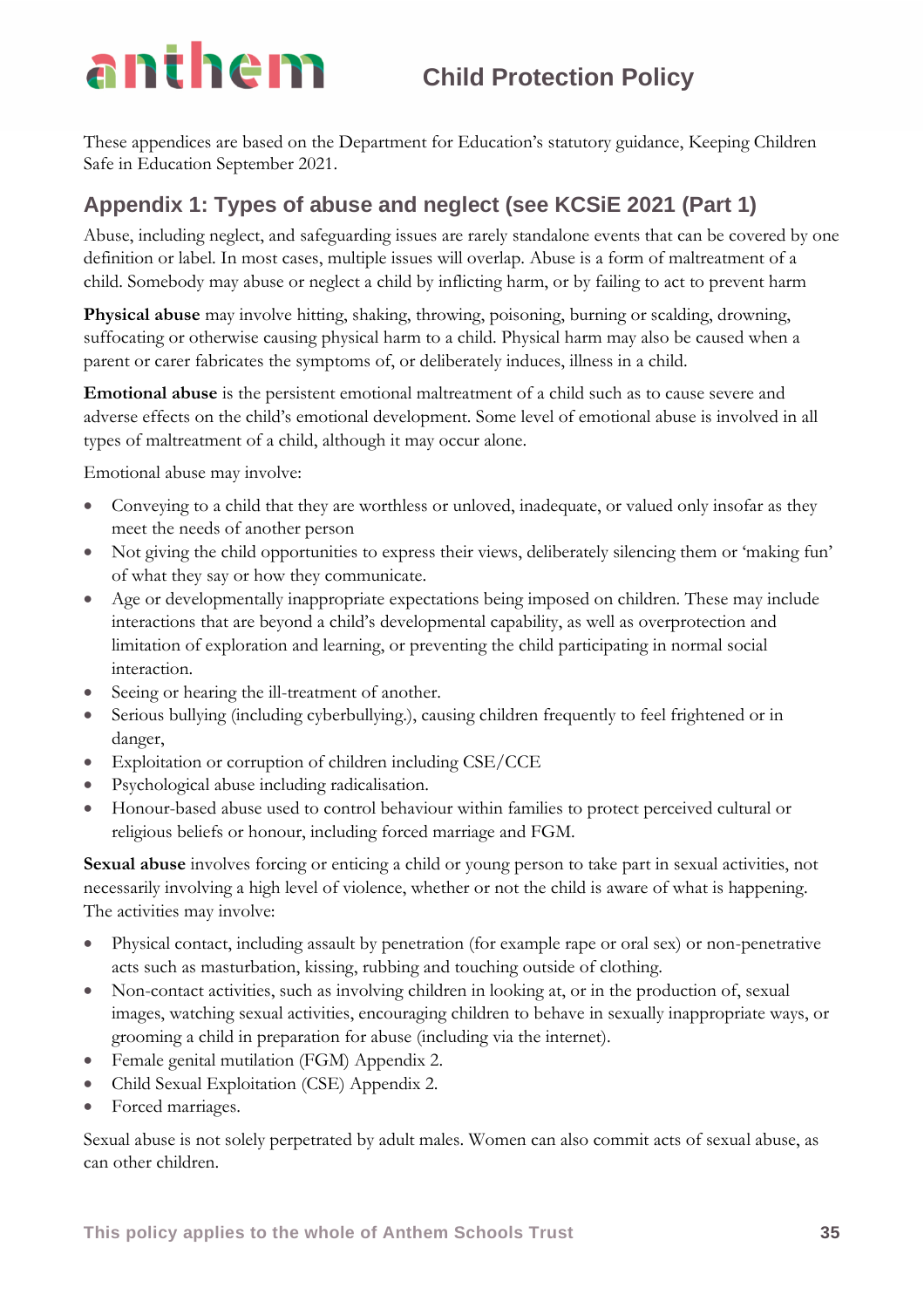These appendices are based on the Department for Education's statutory guidance, Keeping Children Safe in Education September 2021.

### **Appendix 1: Types of abuse and neglect (see KCSiE 2021 (Part 1)**

Abuse, including neglect, and safeguarding issues are rarely standalone events that can be covered by one definition or label. In most cases, multiple issues will overlap. Abuse is a form of maltreatment of a child. Somebody may abuse or neglect a child by inflicting harm, or by failing to act to prevent harm

**Physical abuse** may involve hitting, shaking, throwing, poisoning, burning or scalding, drowning, suffocating or otherwise causing physical harm to a child. Physical harm may also be caused when a parent or carer fabricates the symptoms of, or deliberately induces, illness in a child.

**Emotional abuse** is the persistent emotional maltreatment of a child such as to cause severe and adverse effects on the child's emotional development. Some level of emotional abuse is involved in all types of maltreatment of a child, although it may occur alone.

Emotional abuse may involve:

- Conveying to a child that they are worthless or unloved, inadequate, or valued only insofar as they meet the needs of another person
- Not giving the child opportunities to express their views, deliberately silencing them or 'making fun' of what they say or how they communicate.
- Age or developmentally inappropriate expectations being imposed on children. These may include interactions that are beyond a child's developmental capability, as well as overprotection and limitation of exploration and learning, or preventing the child participating in normal social interaction.
- Seeing or hearing the ill-treatment of another.
- Serious bullying (including cyberbullying.), causing children frequently to feel frightened or in danger,
- Exploitation or corruption of children including CSE/CCE
- Psychological abuse including radicalisation.
- Honour-based abuse used to control behaviour within families to protect perceived cultural or religious beliefs or honour, including forced marriage and FGM.

**Sexual abuse** involves forcing or enticing a child or young person to take part in sexual activities, not necessarily involving a high level of violence, whether or not the child is aware of what is happening. The activities may involve:

- Physical contact, including assault by penetration (for example rape or oral sex) or non-penetrative acts such as masturbation, kissing, rubbing and touching outside of clothing.
- Non-contact activities, such as involving children in looking at, or in the production of, sexual images, watching sexual activities, encouraging children to behave in sexually inappropriate ways, or grooming a child in preparation for abuse (including via the internet).
- Female genital mutilation (FGM) Appendix 2.
- Child Sexual Exploitation (CSE) Appendix 2.
- Forced marriages.

Sexual abuse is not solely perpetrated by adult males. Women can also commit acts of sexual abuse, as can other children.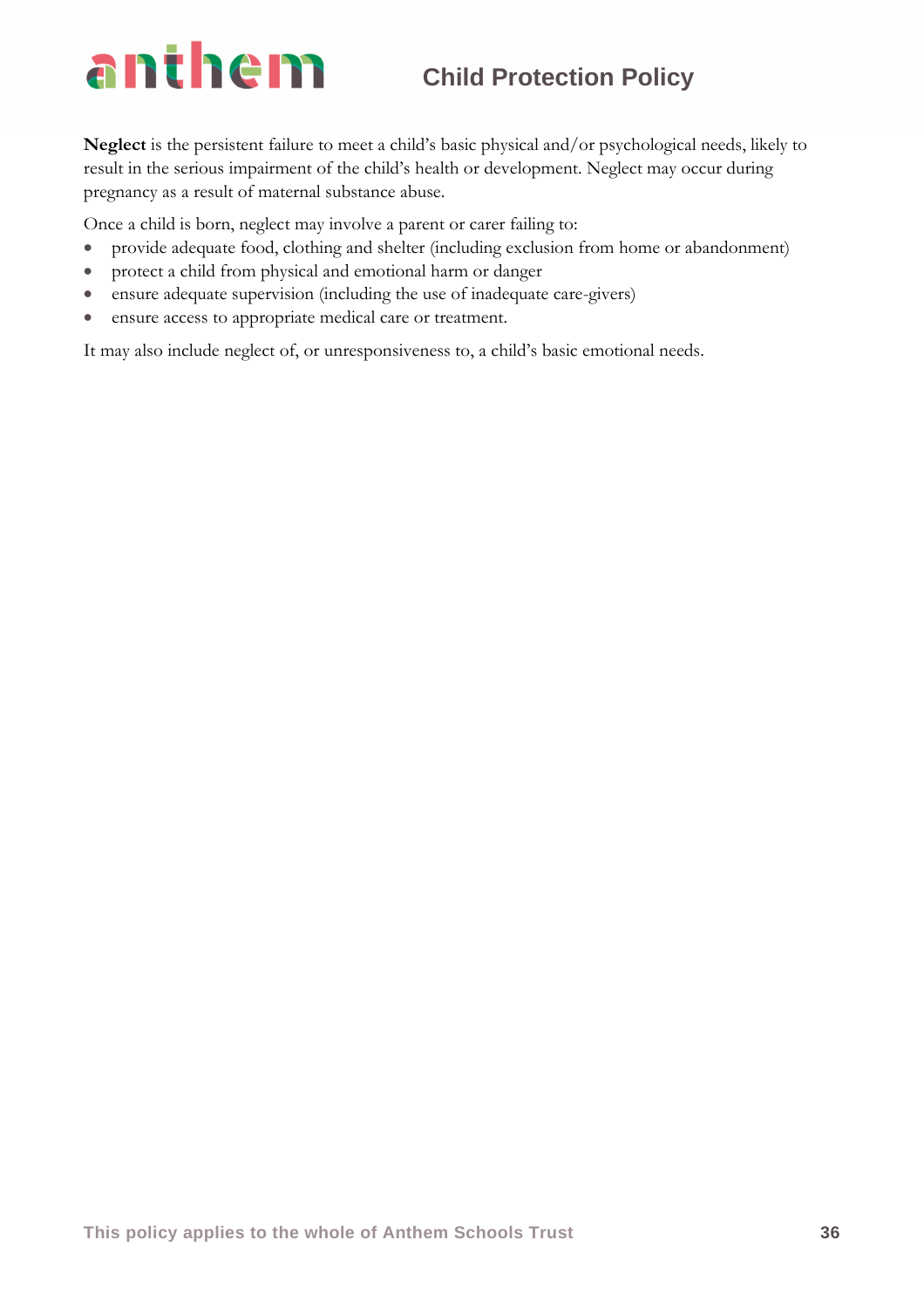**Neglect** is the persistent failure to meet a child's basic physical and/or psychological needs, likely to result in the serious impairment of the child's health or development. Neglect may occur during pregnancy as a result of maternal substance abuse.

Once a child is born, neglect may involve a parent or carer failing to:

- provide adequate food, clothing and shelter (including exclusion from home or abandonment)
- protect a child from physical and emotional harm or danger
- ensure adequate supervision (including the use of inadequate care-givers)
- ensure access to appropriate medical care or treatment.

It may also include neglect of, or unresponsiveness to, a child's basic emotional needs.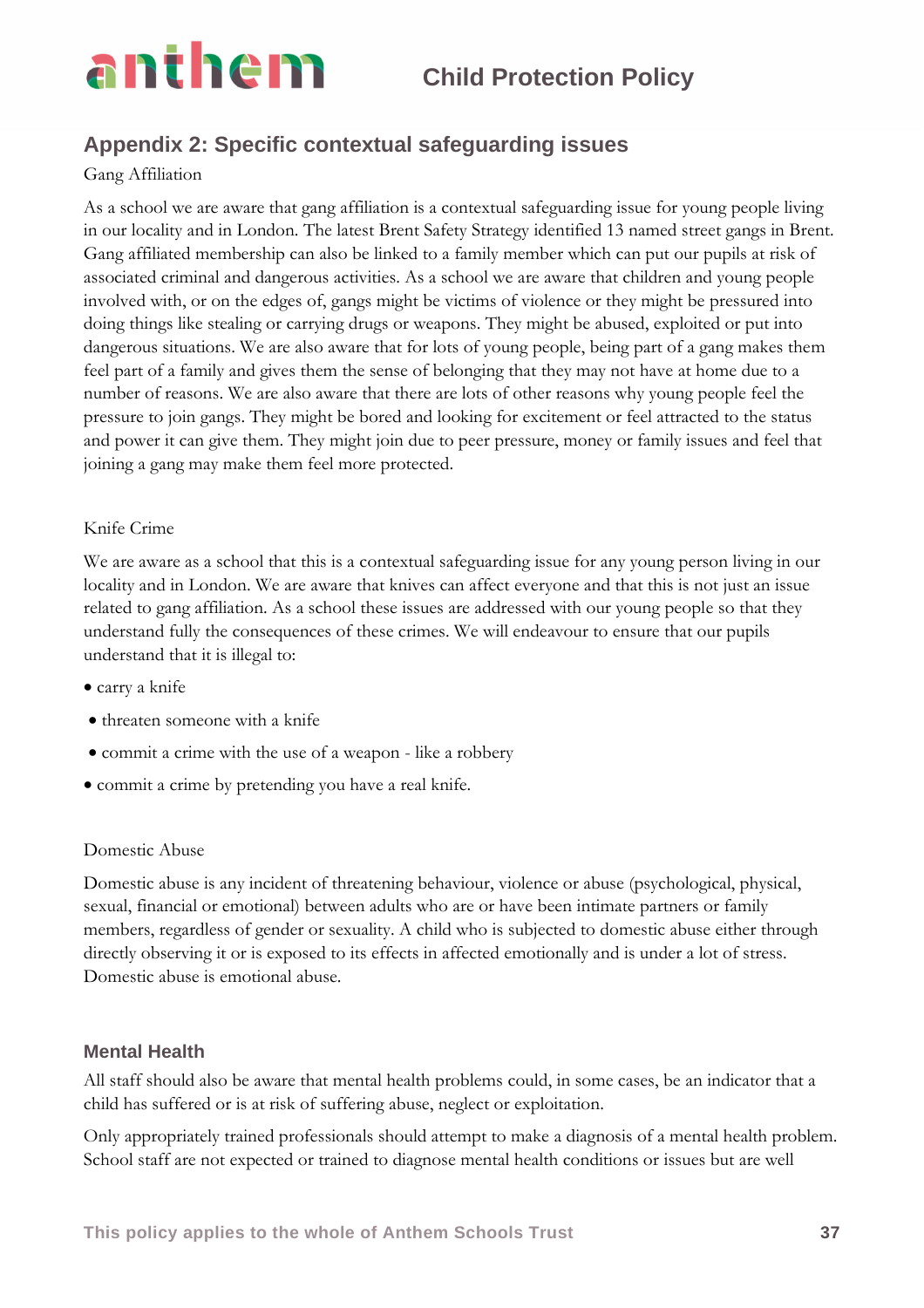### **Appendix 2: Specific contextual safeguarding issues**

### Gang Affiliation

As a school we are aware that gang affiliation is a contextual safeguarding issue for young people living in our locality and in London. The latest Brent Safety Strategy identified 13 named street gangs in Brent. Gang affiliated membership can also be linked to a family member which can put our pupils at risk of associated criminal and dangerous activities. As a school we are aware that children and young people involved with, or on the edges of, gangs might be victims of violence or they might be pressured into doing things like stealing or carrying drugs or weapons. They might be abused, exploited or put into dangerous situations. We are also aware that for lots of young people, being part of a gang makes them feel part of a family and gives them the sense of belonging that they may not have at home due to a number of reasons. We are also aware that there are lots of other reasons why young people feel the pressure to join gangs. They might be bored and looking for excitement or feel attracted to the status and power it can give them. They might join due to peer pressure, money or family issues and feel that joining a gang may make them feel more protected.

### Knife Crime

We are aware as a school that this is a contextual safeguarding issue for any young person living in our locality and in London. We are aware that knives can affect everyone and that this is not just an issue related to gang affiliation. As a school these issues are addressed with our young people so that they understand fully the consequences of these crimes. We will endeavour to ensure that our pupils understand that it is illegal to:

- carry a knife
- threaten someone with a knife
- commit a crime with the use of a weapon like a robbery
- commit a crime by pretending you have a real knife.

### Domestic Abuse

Domestic abuse is any incident of threatening behaviour, violence or abuse (psychological, physical, sexual, financial or emotional) between adults who are or have been intimate partners or family members, regardless of gender or sexuality. A child who is subjected to domestic abuse either through directly observing it or is exposed to its effects in affected emotionally and is under a lot of stress. Domestic abuse is emotional abuse.

### **Mental Health**

All staff should also be aware that mental health problems could, in some cases, be an indicator that a child has suffered or is at risk of suffering abuse, neglect or exploitation.

Only appropriately trained professionals should attempt to make a diagnosis of a mental health problem. School staff are not expected or trained to diagnose mental health conditions or issues but are well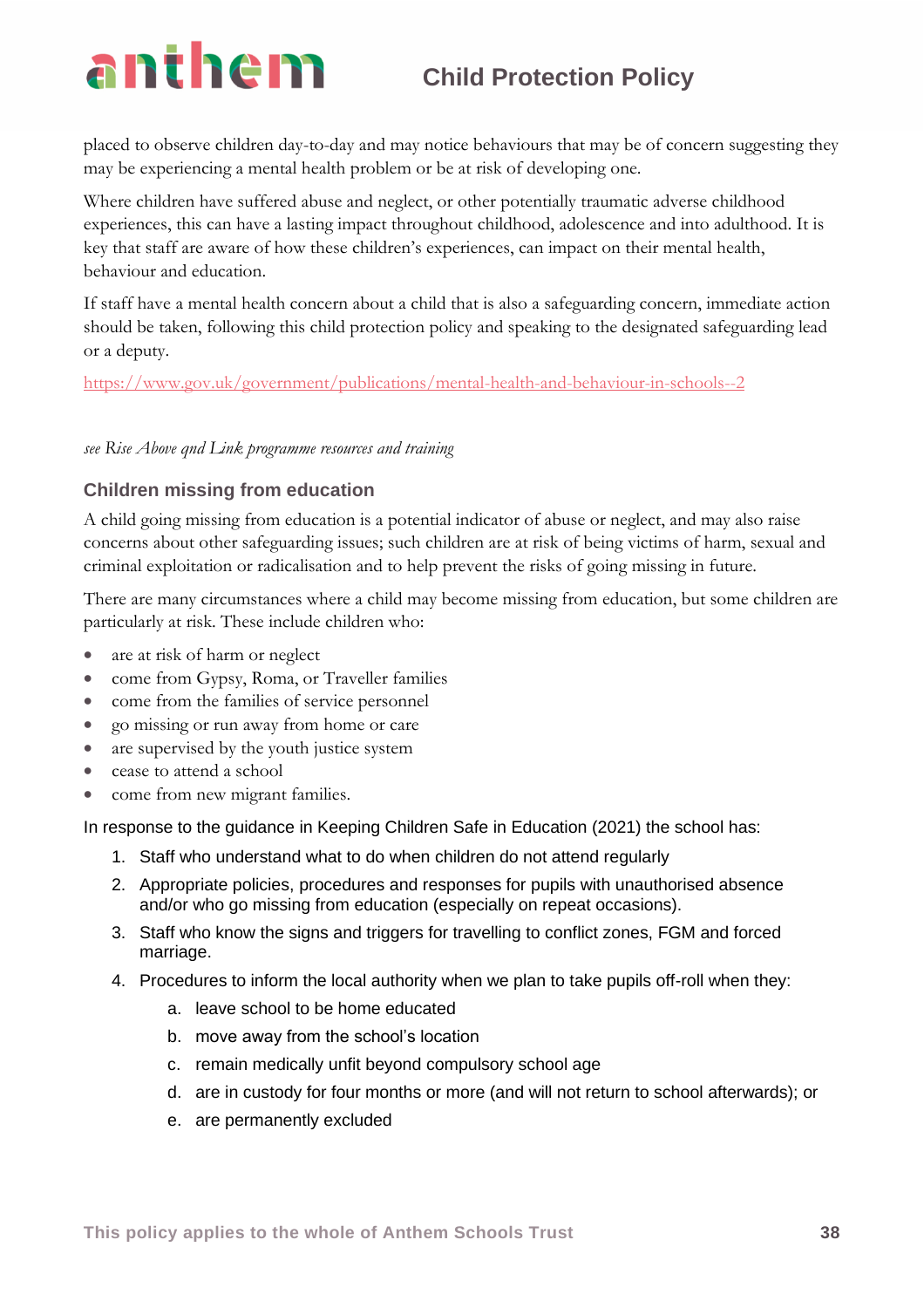placed to observe children day-to-day and may notice behaviours that may be of concern suggesting they may be experiencing a mental health problem or be at risk of developing one.

Where children have suffered abuse and neglect, or other potentially traumatic adverse childhood experiences, this can have a lasting impact throughout childhood, adolescence and into adulthood. It is key that staff are aware of how these children's experiences, can impact on their mental health, behaviour and education.

If staff have a mental health concern about a child that is also a safeguarding concern, immediate action should be taken, following this child protection policy and speaking to the designated safeguarding lead or a deputy.

<https://www.gov.uk/government/publications/mental-health-and-behaviour-in-schools--2>

### *see Rise Above qnd Link programme resources and training*

### **Children missing from education**

A child going missing from education is a potential indicator of abuse or neglect, and may also raise concerns about other safeguarding issues; such children are at risk of being victims of harm, sexual and criminal exploitation or radicalisation and to help prevent the risks of going missing in future.

There are many circumstances where a child may become missing from education, but some children are particularly at risk. These include children who:

- are at risk of harm or neglect
- come from Gypsy, Roma, or Traveller families
- come from the families of service personnel
- go missing or run away from home or care
- are supervised by the youth justice system
- cease to attend a school
- come from new migrant families.

In response to the guidance in Keeping Children Safe in Education (2021) the school has:

- 1. Staff who understand what to do when children do not attend regularly
- 2. Appropriate policies, procedures and responses for pupils with unauthorised absence and/or who go missing from education (especially on repeat occasions).
- 3. Staff who know the signs and triggers for travelling to conflict zones, FGM and forced marriage.
- 4. Procedures to inform the local authority when we plan to take pupils off-roll when they:
	- a. leave school to be home educated
	- b. move away from the school's location
	- c. remain medically unfit beyond compulsory school age
	- d. are in custody for four months or more (and will not return to school afterwards); or
	- e. are permanently excluded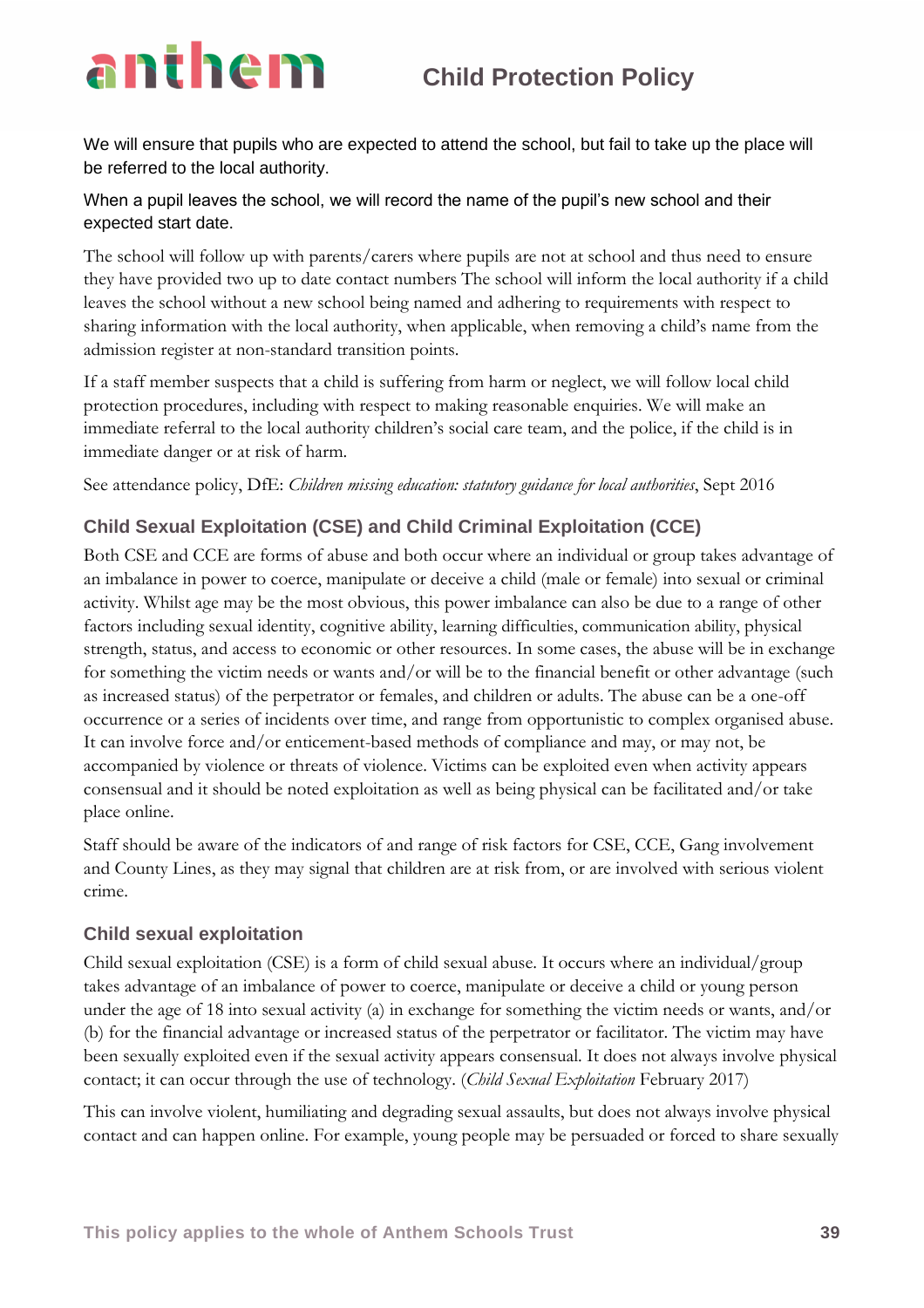We will ensure that pupils who are expected to attend the school, but fail to take up the place will be referred to the local authority.

### When a pupil leaves the school, we will record the name of the pupil's new school and their expected start date.

The school will follow up with parents/carers where pupils are not at school and thus need to ensure they have provided two up to date contact numbers The school will inform the local authority if a child leaves the school without a new school being named and adhering to requirements with respect to sharing information with the local authority, when applicable, when removing a child's name from the admission register at non-standard transition points.

If a staff member suspects that a child is suffering from harm or neglect, we will follow local child protection procedures, including with respect to making reasonable enquiries. We will make an immediate referral to the local authority children's social care team, and the police, if the child is in immediate danger or at risk of harm.

See attendance policy, DfE: *Children missing education: statutory guidance for local authorities*, Sept 2016

### **Child Sexual Exploitation (CSE) and Child Criminal Exploitation (CCE)**

Both CSE and CCE are forms of abuse and both occur where an individual or group takes advantage of an imbalance in power to coerce, manipulate or deceive a child (male or female) into sexual or criminal activity. Whilst age may be the most obvious, this power imbalance can also be due to a range of other factors including sexual identity, cognitive ability, learning difficulties, communication ability, physical strength, status, and access to economic or other resources. In some cases, the abuse will be in exchange for something the victim needs or wants and/or will be to the financial benefit or other advantage (such as increased status) of the perpetrator or females, and children or adults. The abuse can be a one-off occurrence or a series of incidents over time, and range from opportunistic to complex organised abuse. It can involve force and/or enticement-based methods of compliance and may, or may not, be accompanied by violence or threats of violence. Victims can be exploited even when activity appears consensual and it should be noted exploitation as well as being physical can be facilitated and/or take place online.

Staff should be aware of the indicators of and range of risk factors for CSE, CCE, Gang involvement and County Lines, as they may signal that children are at risk from, or are involved with serious violent crime.

### **Child sexual exploitation**

Child sexual exploitation (CSE) is a form of child sexual abuse. It occurs where an individual/group takes advantage of an imbalance of power to coerce, manipulate or deceive a child or young person under the age of 18 into sexual activity (a) in exchange for something the victim needs or wants, and/or (b) for the financial advantage or increased status of the perpetrator or facilitator. The victim may have been sexually exploited even if the sexual activity appears consensual. It does not always involve physical contact; it can occur through the use of technology. (*Child Sexual Exploitation* February 2017)

This can involve violent, humiliating and degrading sexual assaults, but does not always involve physical contact and can happen online. For example, young people may be persuaded or forced to share sexually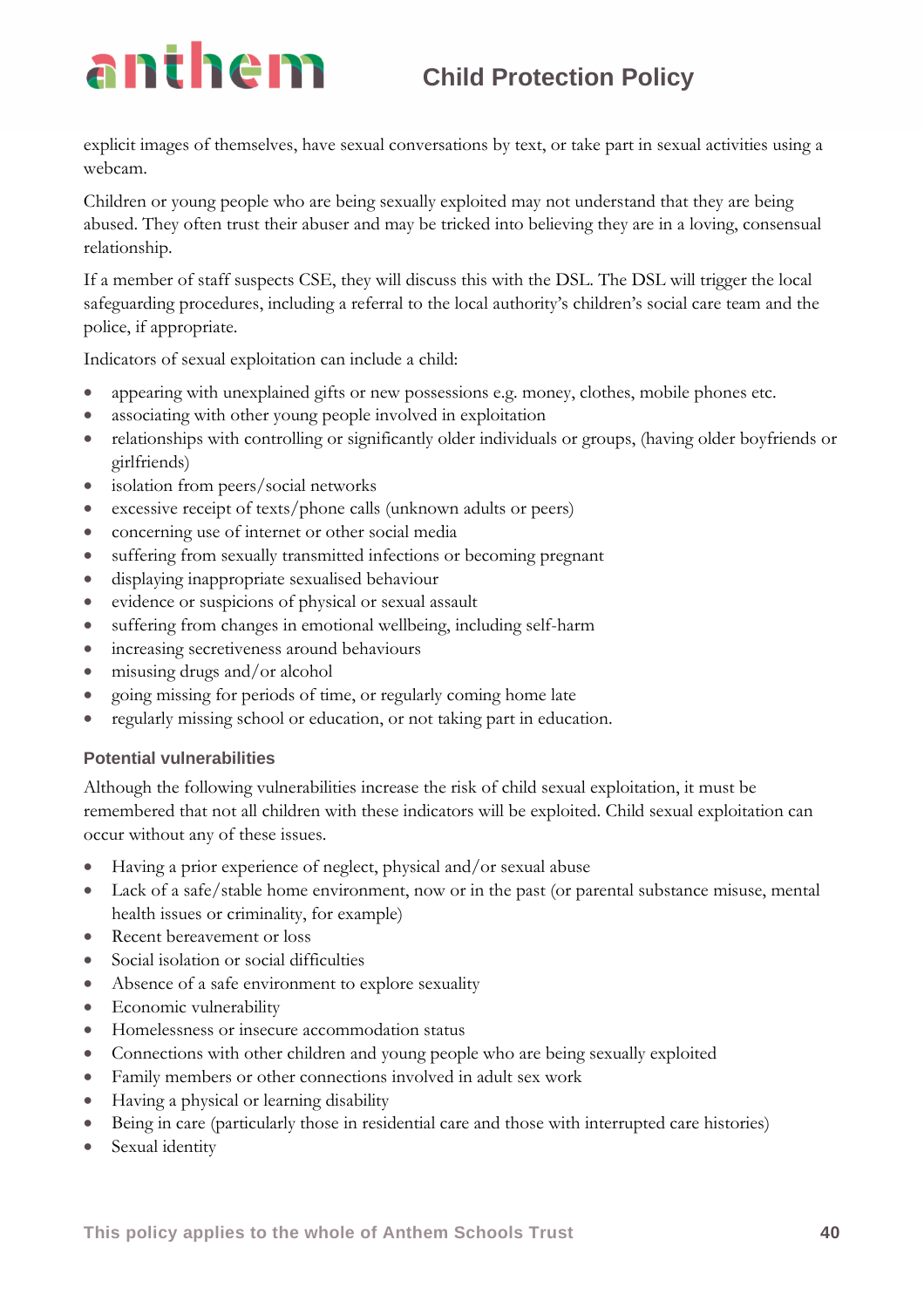explicit images of themselves, have sexual conversations by text, or take part in sexual activities using a webcam.

Children or young people who are being sexually exploited may not understand that they are being abused. They often trust their abuser and may be tricked into believing they are in a loving, consensual relationship.

If a member of staff suspects CSE, they will discuss this with the DSL. The DSL will trigger the local safeguarding procedures, including a referral to the local authority's children's social care team and the police, if appropriate.

Indicators of sexual exploitation can include a child:

- appearing with unexplained gifts or new possessions e.g. money, clothes, mobile phones etc.
- associating with other young people involved in exploitation
- relationships with controlling or significantly older individuals or groups, (having older boyfriends or girlfriends)
- isolation from peers/social networks
- excessive receipt of texts/phone calls (unknown adults or peers)
- concerning use of internet or other social media
- suffering from sexually transmitted infections or becoming pregnant
- displaying inappropriate sexualised behaviour
- evidence or suspicions of physical or sexual assault
- suffering from changes in emotional wellbeing, including self-harm
- increasing secretiveness around behaviours
- misusing drugs and/or alcohol
- going missing for periods of time, or regularly coming home late
- regularly missing school or education, or not taking part in education.

### **Potential vulnerabilities**

Although the following vulnerabilities increase the risk of child sexual exploitation, it must be remembered that not all children with these indicators will be exploited. Child sexual exploitation can occur without any of these issues.

- Having a prior experience of neglect, physical and/or sexual abuse
- Lack of a safe/stable home environment, now or in the past (or parental substance misuse, mental health issues or criminality, for example)
- Recent bereavement or loss
- Social isolation or social difficulties
- Absence of a safe environment to explore sexuality
- Economic vulnerability
- Homelessness or insecure accommodation status
- Connections with other children and young people who are being sexually exploited
- Family members or other connections involved in adult sex work
- Having a physical or learning disability
- Being in care (particularly those in residential care and those with interrupted care histories)
- Sexual identity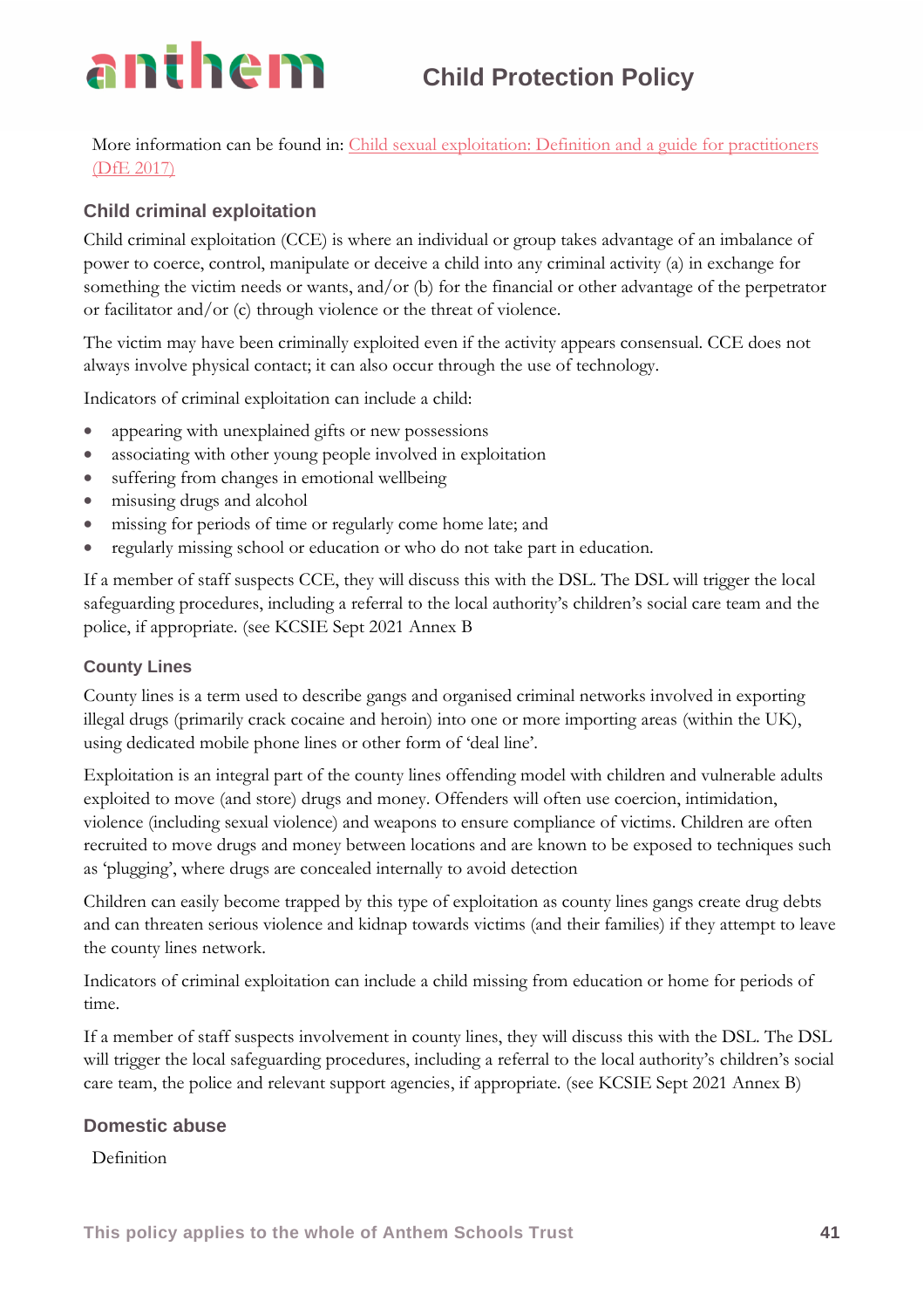More information can be found in: [Child sexual exploitation: Definition and a guide for practitioners](https://www.gov.uk/government/publications/child-sexual-exploitation-definition-and-guide-for-practitioners)  [\(DfE 2017\)](https://www.gov.uk/government/publications/child-sexual-exploitation-definition-and-guide-for-practitioners)

### **Child criminal exploitation**

Child criminal exploitation (CCE) is where an individual or group takes advantage of an imbalance of power to coerce, control, manipulate or deceive a child into any criminal activity (a) in exchange for something the victim needs or wants, and/or (b) for the financial or other advantage of the perpetrator or facilitator and/or (c) through violence or the threat of violence.

The victim may have been criminally exploited even if the activity appears consensual. CCE does not always involve physical contact; it can also occur through the use of technology.

Indicators of criminal exploitation can include a child:

- appearing with unexplained gifts or new possessions
- associating with other young people involved in exploitation
- suffering from changes in emotional wellbeing
- misusing drugs and alcohol
- missing for periods of time or regularly come home late; and
- regularly missing school or education or who do not take part in education.

If a member of staff suspects CCE, they will discuss this with the DSL. The DSL will trigger the local safeguarding procedures, including a referral to the local authority's children's social care team and the police, if appropriate. (see KCSIE Sept 2021 Annex B

### **County Lines**

County lines is a term used to describe gangs and organised criminal networks involved in exporting illegal drugs (primarily crack cocaine and heroin) into one or more importing areas (within the UK), using dedicated mobile phone lines or other form of 'deal line'.

Exploitation is an integral part of the county lines offending model with children and vulnerable adults exploited to move (and store) drugs and money. Offenders will often use coercion, intimidation, violence (including sexual violence) and weapons to ensure compliance of victims. Children are often recruited to move drugs and money between locations and are known to be exposed to techniques such as 'plugging', where drugs are concealed internally to avoid detection

Children can easily become trapped by this type of exploitation as county lines gangs create drug debts and can threaten serious violence and kidnap towards victims (and their families) if they attempt to leave the county lines network.

Indicators of criminal exploitation can include a child missing from education or home for periods of time.

If a member of staff suspects involvement in county lines, they will discuss this with the DSL. The DSL will trigger the local safeguarding procedures, including a referral to the local authority's children's social care team, the police and relevant support agencies, if appropriate. (see KCSIE Sept 2021 Annex B)

### **Domestic abuse**

Definition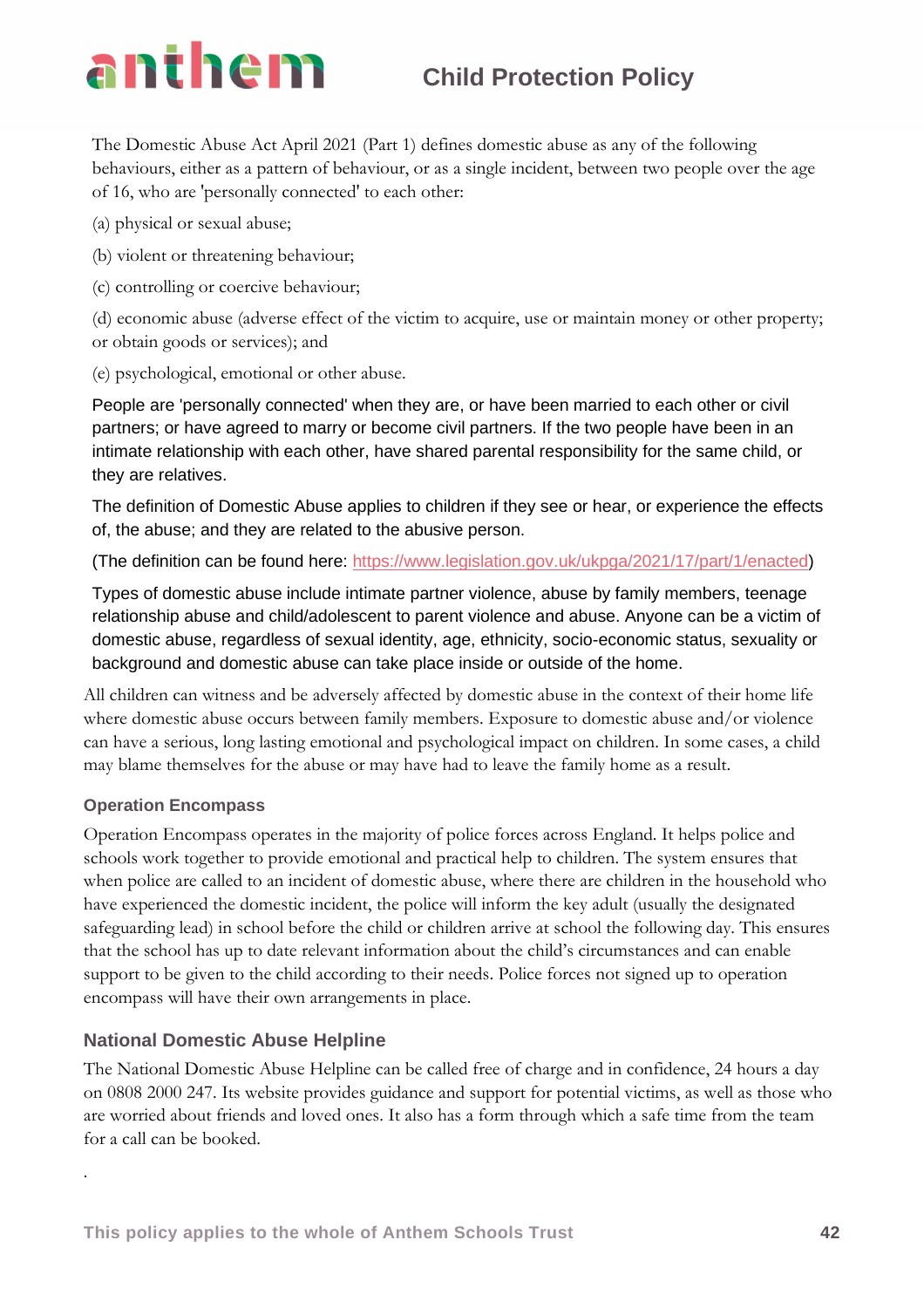The Domestic Abuse Act April 2021 (Part 1) defines domestic abuse as any of the following behaviours, either as a pattern of behaviour, or as a single incident, between two people over the age of 16, who are 'personally connected' to each other:

(a) physical or sexual abuse;

(b) violent or threatening behaviour;

(c) controlling or coercive behaviour;

(d) economic abuse (adverse effect of the victim to acquire, use or maintain money or other property; or obtain goods or services); and

(e) psychological, emotional or other abuse.

People are 'personally connected' when they are, or have been married to each other or civil partners; or have agreed to marry or become civil partners. If the two people have been in an intimate relationship with each other, have shared parental responsibility for the same child, or they are relatives.

The definition of Domestic Abuse applies to children if they see or hear, or experience the effects of, the abuse; and they are related to the abusive person.

(The definition can be found here: [https://www.legislation.gov.uk/ukpga/2021/17/part/1/enacted\)](https://www.legislation.gov.uk/ukpga/2021/17/part/1/enacted)

Types of domestic abuse include intimate partner violence, abuse by family members, teenage relationship abuse and child/adolescent to parent violence and abuse. Anyone can be a victim of domestic abuse, regardless of sexual identity, age, ethnicity, socio-economic status, sexuality or background and domestic abuse can take place inside or outside of the home.

All children can witness and be adversely affected by domestic abuse in the context of their home life where domestic abuse occurs between family members. Exposure to domestic abuse and/or violence can have a serious, long lasting emotional and psychological impact on children. In some cases, a child may blame themselves for the abuse or may have had to leave the family home as a result.

### **Operation Encompass**

.

Operation Encompass operates in the majority of police forces across England. It helps police and schools work together to provide emotional and practical help to children. The system ensures that when police are called to an incident of domestic abuse, where there are children in the household who have experienced the domestic incident, the police will inform the key adult (usually the designated safeguarding lead) in school before the child or children arrive at school the following day. This ensures that the school has up to date relevant information about the child's circumstances and can enable support to be given to the child according to their needs. Police forces not signed up to operation encompass will have their own arrangements in place.

### **National Domestic Abuse Helpline**

The National Domestic Abuse Helpline can be called free of charge and in confidence, 24 hours a day on 0808 2000 247. Its website provides guidance and support for potential victims, as well as those who are worried about friends and loved ones. It also has a form through which a safe time from the team for a call can be booked.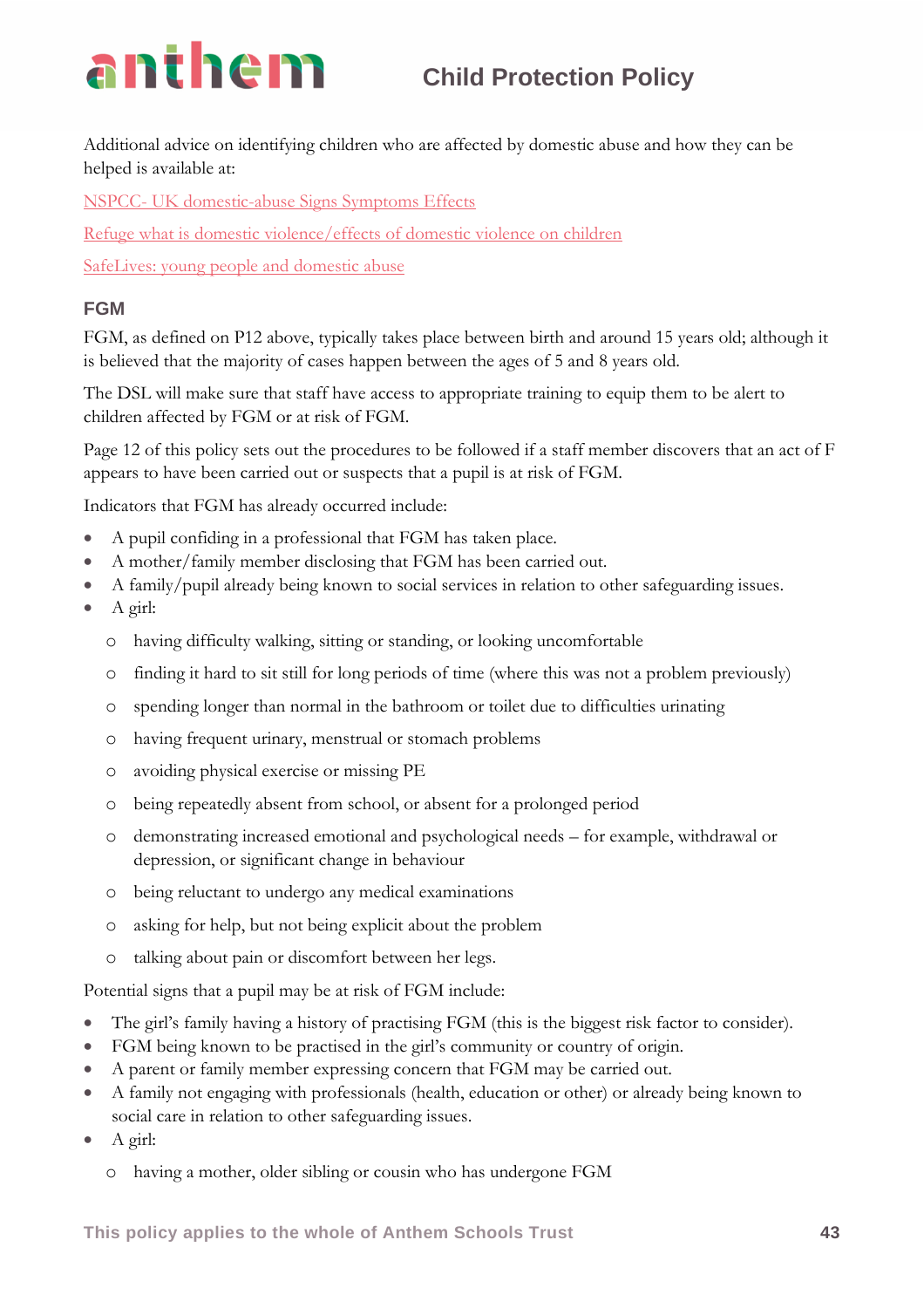Additional advice on identifying children who are affected by domestic abuse and how they can be helped is available at:

NSPCC- [UK domestic-abuse Signs Symptoms Effects](https://www.nspcc.org.uk/what-is-child-abuse/types-of-abuse/domestic-abuse/)

[Refuge what is domestic violence/effects of domestic violence on children](http://www.refuge.org.uk/get-help-now/support-for-women/what-about-my-children/)

[SafeLives: young people and domestic abuse](https://safelives.org.uk/knowledge-hub/spotlights/spotlight-3-young-people-and-domestic-abuse)

### **FGM**

FGM, as defined on P12 above, typically takes place between birth and around 15 years old; although it is believed that the majority of cases happen between the ages of 5 and 8 years old.

The DSL will make sure that staff have access to appropriate training to equip them to be alert to children affected by FGM or at risk of FGM.

Page 12 of this policy sets out the procedures to be followed if a staff member discovers that an act of F appears to have been carried out or suspects that a pupil is at risk of FGM.

Indicators that FGM has already occurred include:

- A pupil confiding in a professional that FGM has taken place.
- A mother/family member disclosing that FGM has been carried out.
- A family/pupil already being known to social services in relation to other safeguarding issues.
- A girl:
	- o having difficulty walking, sitting or standing, or looking uncomfortable
	- o finding it hard to sit still for long periods of time (where this was not a problem previously)
	- o spending longer than normal in the bathroom or toilet due to difficulties urinating
	- o having frequent urinary, menstrual or stomach problems
	- o avoiding physical exercise or missing PE
	- o being repeatedly absent from school, or absent for a prolonged period
	- o demonstrating increased emotional and psychological needs for example, withdrawal or depression, or significant change in behaviour
	- o being reluctant to undergo any medical examinations
	- o asking for help, but not being explicit about the problem
	- o talking about pain or discomfort between her legs.

Potential signs that a pupil may be at risk of FGM include:

- The girl's family having a history of practising FGM (this is the biggest risk factor to consider).
- FGM being known to be practised in the girl's community or country of origin.
- A parent or family member expressing concern that FGM may be carried out.
- A family not engaging with professionals (health, education or other) or already being known to social care in relation to other safeguarding issues.
- A girl:
	- o having a mother, older sibling or cousin who has undergone FGM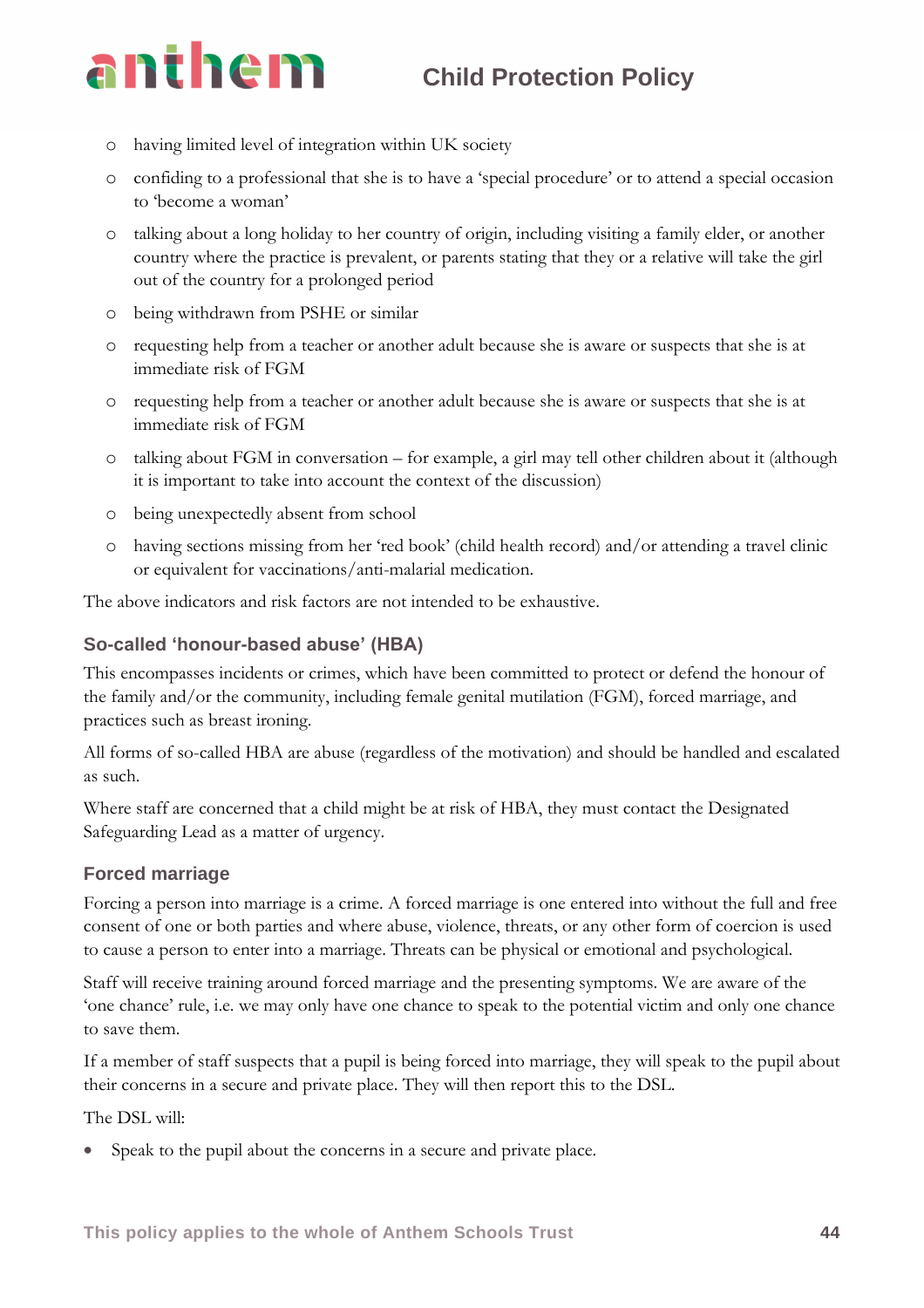- o having limited level of integration within UK society
- o confiding to a professional that she is to have a 'special procedure' or to attend a special occasion to 'become a woman'
- o talking about a long holiday to her country of origin, including visiting a family elder, or another country where the practice is prevalent, or parents stating that they or a relative will take the girl out of the country for a prolonged period
- o being withdrawn from PSHE or similar
- o requesting help from a teacher or another adult because she is aware or suspects that she is at immediate risk of FGM
- o requesting help from a teacher or another adult because she is aware or suspects that she is at immediate risk of FGM
- o talking about FGM in conversation for example, a girl may tell other children about it (although it is important to take into account the context of the discussion)
- o being unexpectedly absent from school
- o having sections missing from her 'red book' (child health record) and/or attending a travel clinic or equivalent for vaccinations/anti-malarial medication.

The above indicators and risk factors are not intended to be exhaustive.

### **So-called 'honour-based abuse' (HBA)**

This encompasses incidents or crimes, which have been committed to protect or defend the honour of the family and/or the community, including female genital mutilation (FGM), forced marriage, and practices such as breast ironing.

All forms of so-called HBA are abuse (regardless of the motivation) and should be handled and escalated as such.

Where staff are concerned that a child might be at risk of HBA, they must contact the Designated Safeguarding Lead as a matter of urgency.

### **Forced marriage**

Forcing a person into marriage is a crime. A forced marriage is one entered into without the full and free consent of one or both parties and where abuse, violence, threats, or any other form of coercion is used to cause a person to enter into a marriage. Threats can be physical or emotional and psychological.

Staff will receive training around forced marriage and the presenting symptoms. We are aware of the 'one chance' rule, i.e. we may only have one chance to speak to the potential victim and only one chance to save them.

If a member of staff suspects that a pupil is being forced into marriage, they will speak to the pupil about their concerns in a secure and private place. They will then report this to the DSL.

The DSL will:

Speak to the pupil about the concerns in a secure and private place.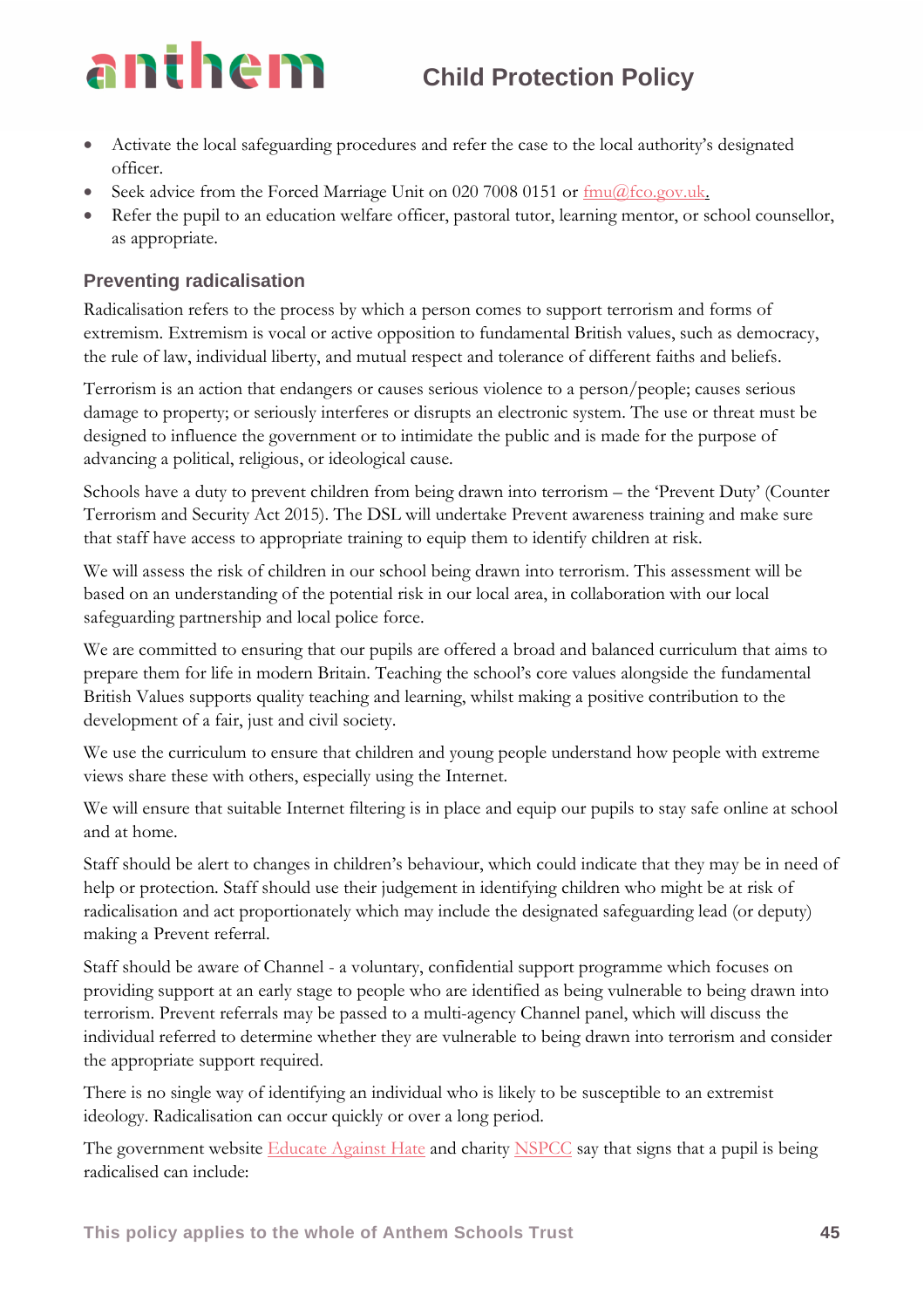- Activate the local safeguarding procedures and refer the case to the local authority's designated officer.
- Seek advice from the Forced Marriage Unit on 020 7008 0151 or  $\frac{\text{fmu}(Q\text{fco.gov.uk.}}{P}$
- Refer the pupil to an education welfare officer, pastoral tutor, learning mentor, or school counsellor, as appropriate.

### **Preventing radicalisation**

Radicalisation refers to the process by which a person comes to support terrorism and forms of extremism. Extremism is vocal or active opposition to fundamental British values, such as democracy, the rule of law, individual liberty, and mutual respect and tolerance of different faiths and beliefs.

Terrorism is an action that endangers or causes serious violence to a person/people; causes serious damage to property; or seriously interferes or disrupts an electronic system. The use or threat must be designed to influence the government or to intimidate the public and is made for the purpose of advancing a political, religious, or ideological cause.

Schools have a duty to prevent children from being drawn into terrorism – the 'Prevent Duty' (Counter Terrorism and Security Act 2015). The DSL will undertake Prevent awareness training and make sure that staff have access to appropriate training to equip them to identify children at risk.

We will assess the risk of children in our school being drawn into terrorism. This assessment will be based on an understanding of the potential risk in our local area, in collaboration with our local safeguarding partnership and local police force.

We are committed to ensuring that our pupils are offered a broad and balanced curriculum that aims to prepare them for life in modern Britain. Teaching the school's core values alongside the fundamental British Values supports quality teaching and learning, whilst making a positive contribution to the development of a fair, just and civil society.

We use the curriculum to ensure that children and young people understand how people with extreme views share these with others, especially using the Internet.

We will ensure that suitable Internet filtering is in place and equip our pupils to stay safe online at school and at home.

Staff should be alert to changes in children's behaviour, which could indicate that they may be in need of help or protection. Staff should use their judgement in identifying children who might be at risk of radicalisation and act proportionately which may include the designated safeguarding lead (or deputy) making a Prevent referral.

Staff should be aware of Channel - a voluntary, confidential support programme which focuses on providing support at an early stage to people who are identified as being vulnerable to being drawn into terrorism. Prevent referrals may be passed to a multi-agency Channel panel, which will discuss the individual referred to determine whether they are vulnerable to being drawn into terrorism and consider the appropriate support required.

There is no single way of identifying an individual who is likely to be susceptible to an extremist ideology. Radicalisation can occur quickly or over a long period.

The government website [Educate Against Hate](http://educateagainsthate.com/parents/what-are-the-warning-signs/) and charity [NSPCC](https://www.nspcc.org.uk/what-you-can-do/report-abuse/dedicated-helplines/protecting-children-from-radicalisation/) say that signs that a pupil is being radicalised can include: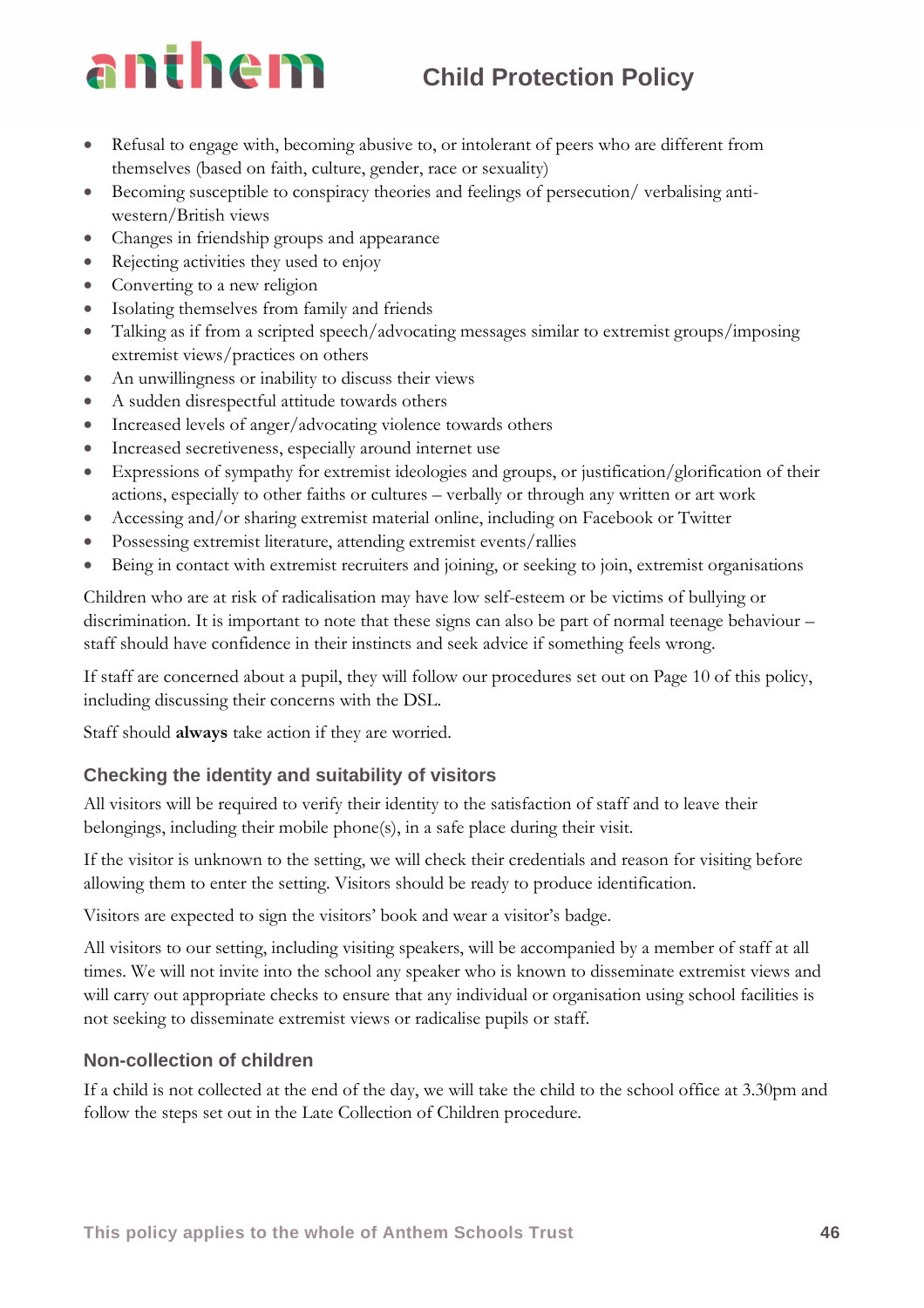- Refusal to engage with, becoming abusive to, or intolerant of peers who are different from themselves (based on faith, culture, gender, race or sexuality)
- Becoming susceptible to conspiracy theories and feelings of persecution/ verbalising antiwestern/British views
- Changes in friendship groups and appearance
- Rejecting activities they used to enjoy
- Converting to a new religion
- Isolating themselves from family and friends
- Talking as if from a scripted speech/advocating messages similar to extremist groups/imposing extremist views/practices on others
- An unwillingness or inability to discuss their views
- A sudden disrespectful attitude towards others
- Increased levels of anger/advocating violence towards others
- Increased secretiveness, especially around internet use
- Expressions of sympathy for extremist ideologies and groups, or justification/glorification of their actions, especially to other faiths or cultures – verbally or through any written or art work
- Accessing and/or sharing extremist material online, including on Facebook or Twitter
- Possessing extremist literature, attending extremist events/rallies
- Being in contact with extremist recruiters and joining, or seeking to join, extremist organisations

Children who are at risk of radicalisation may have low self-esteem or be victims of bullying or discrimination. It is important to note that these signs can also be part of normal teenage behaviour – staff should have confidence in their instincts and seek advice if something feels wrong.

If staff are concerned about a pupil, they will follow our procedures set out on Page 10 of this policy, including discussing their concerns with the DSL.

Staff should **always** take action if they are worried.

### **Checking the identity and suitability of visitors**

All visitors will be required to verify their identity to the satisfaction of staff and to leave their belongings, including their mobile phone(s), in a safe place during their visit.

If the visitor is unknown to the setting, we will check their credentials and reason for visiting before allowing them to enter the setting. Visitors should be ready to produce identification.

Visitors are expected to sign the visitors' book and wear a visitor's badge.

All visitors to our setting, including visiting speakers, will be accompanied by a member of staff at all times. We will not invite into the school any speaker who is known to disseminate extremist views and will carry out appropriate checks to ensure that any individual or organisation using school facilities is not seeking to disseminate extremist views or radicalise pupils or staff.

### **Non-collection of children**

If a child is not collected at the end of the day, we will take the child to the school office at 3.30pm and follow the steps set out in the Late Collection of Children procedure.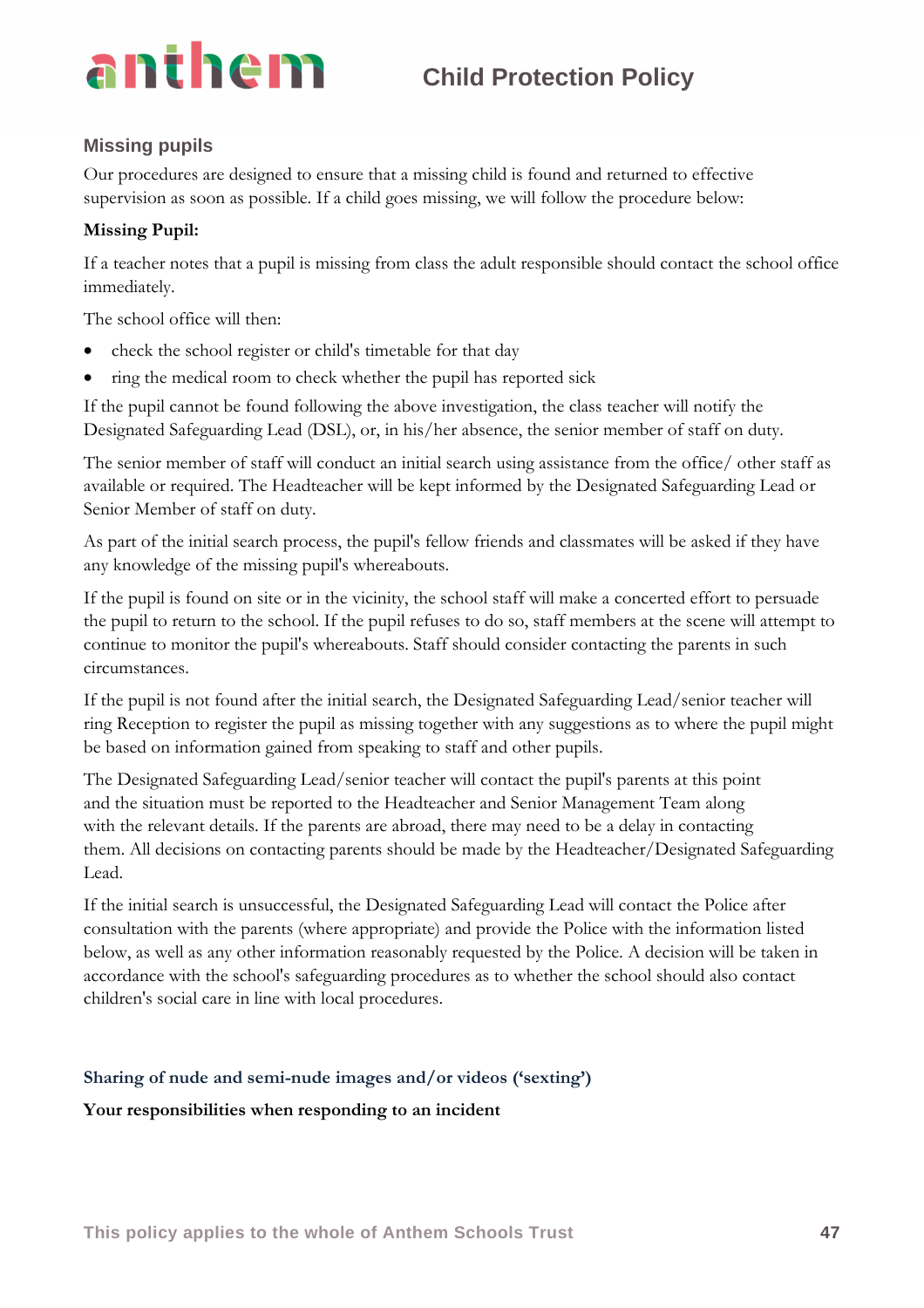### **Missing pupils**

Our procedures are designed to ensure that a missing child is found and returned to effective supervision as soon as possible. If a child goes missing, we will follow the procedure below:

### **Missing Pupil:**

If a teacher notes that a pupil is missing from class the adult responsible should contact the school office immediately.

The school office will then:

- check the school register or child's timetable for that day
- ring the medical room to check whether the pupil has reported sick

If the pupil cannot be found following the above investigation, the class teacher will notify the Designated Safeguarding Lead (DSL), or, in his/her absence, the senior member of staff on duty.

The senior member of staff will conduct an initial search using assistance from the office/ other staff as available or required. The Headteacher will be kept informed by the Designated Safeguarding Lead or Senior Member of staff on duty.

As part of the initial search process, the pupil's fellow friends and classmates will be asked if they have any knowledge of the missing pupil's whereabouts.

If the pupil is found on site or in the vicinity, the school staff will make a concerted effort to persuade the pupil to return to the school. If the pupil refuses to do so, staff members at the scene will attempt to continue to monitor the pupil's whereabouts. Staff should consider contacting the parents in such circumstances.

If the pupil is not found after the initial search, the Designated Safeguarding Lead/senior teacher will ring Reception to register the pupil as missing together with any suggestions as to where the pupil might be based on information gained from speaking to staff and other pupils.

The Designated Safeguarding Lead/senior teacher will contact the pupil's parents at this point and the situation must be reported to the Headteacher and Senior Management Team along with the relevant details. If the parents are abroad, there may need to be a delay in contacting them. All decisions on contacting parents should be made by the Headteacher/Designated Safeguarding Lead.

If the initial search is unsuccessful, the Designated Safeguarding Lead will contact the Police after consultation with the parents (where appropriate) and provide the Police with the information listed below, as well as any other information reasonably requested by the Police. A decision will be taken in accordance with the school's safeguarding procedures as to whether the school should also contact children's social care in line with local procedures.

### **Sharing of nude and semi-nude images and/or videos ('sexting')**

**Your responsibilities when responding to an incident**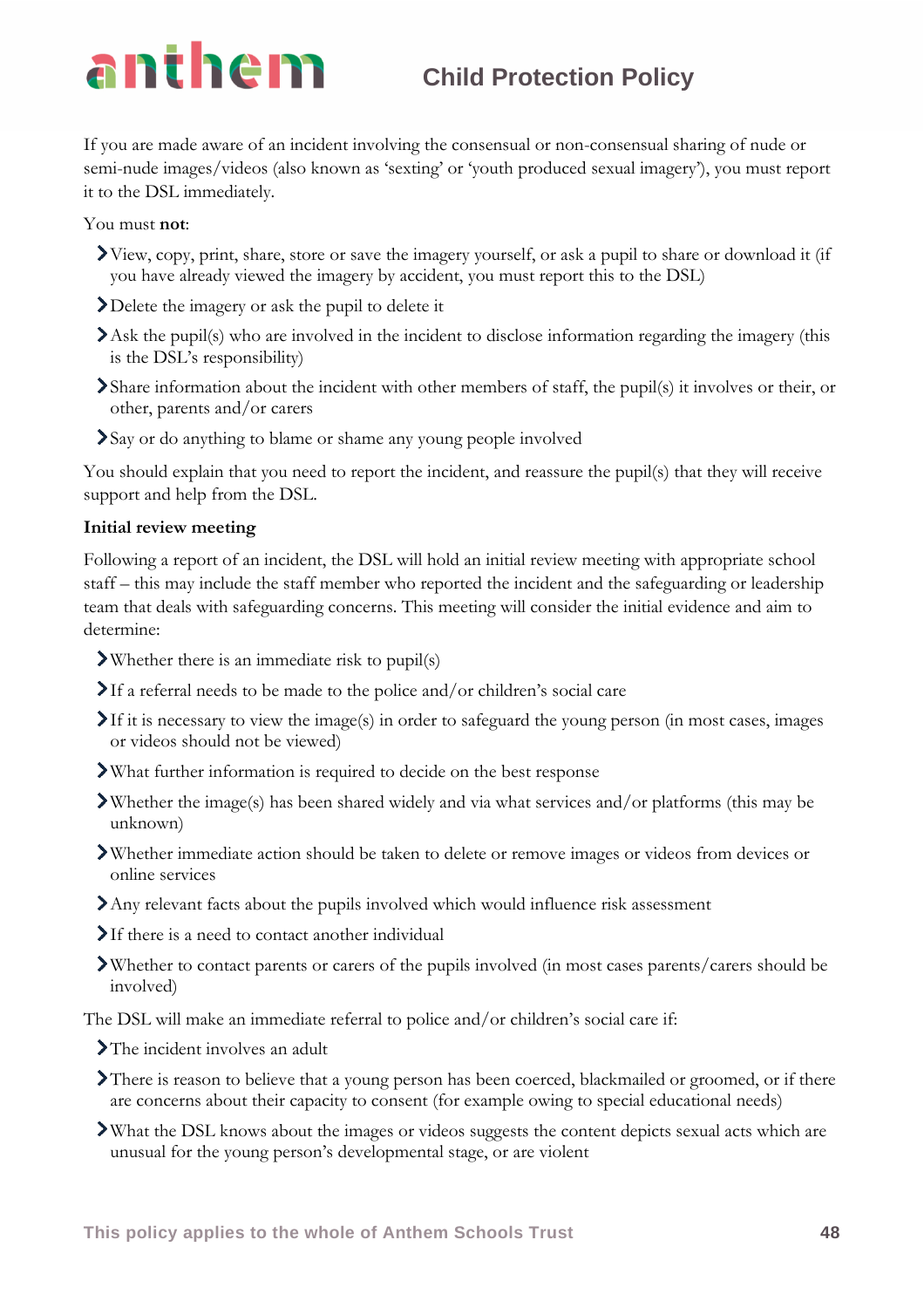If you are made aware of an incident involving the consensual or non-consensual sharing of nude or semi-nude images/videos (also known as 'sexting' or 'youth produced sexual imagery'), you must report it to the DSL immediately.

You must **not**:

- View, copy, print, share, store or save the imagery yourself, or ask a pupil to share or download it (if you have already viewed the imagery by accident, you must report this to the DSL)
- Delete the imagery or ask the pupil to delete it
- Ask the pupil(s) who are involved in the incident to disclose information regarding the imagery (this is the DSL's responsibility)
- Share information about the incident with other members of staff, the pupil(s) it involves or their, or other, parents and/or carers
- Say or do anything to blame or shame any young people involved

You should explain that you need to report the incident, and reassure the pupil(s) that they will receive support and help from the DSL.

### **Initial review meeting**

Following a report of an incident, the DSL will hold an initial review meeting with appropriate school staff – this may include the staff member who reported the incident and the safeguarding or leadership team that deals with safeguarding concerns. This meeting will consider the initial evidence and aim to determine:

- Whether there is an immediate risk to pupil(s)
- If a referral needs to be made to the police and/or children's social care
- $\sum$ If it is necessary to view the image(s) in order to safeguard the young person (in most cases, images or videos should not be viewed)
- What further information is required to decide on the best response
- Whether the image(s) has been shared widely and via what services and/or platforms (this may be unknown)
- Whether immediate action should be taken to delete or remove images or videos from devices or online services
- Any relevant facts about the pupils involved which would influence risk assessment
- If there is a need to contact another individual
- Whether to contact parents or carers of the pupils involved (in most cases parents/carers should be involved)

The DSL will make an immediate referral to police and/or children's social care if:

- >The incident involves an adult
- There is reason to believe that a young person has been coerced, blackmailed or groomed, or if there are concerns about their capacity to consent (for example owing to special educational needs)
- What the DSL knows about the images or videos suggests the content depicts sexual acts which are unusual for the young person's developmental stage, or are violent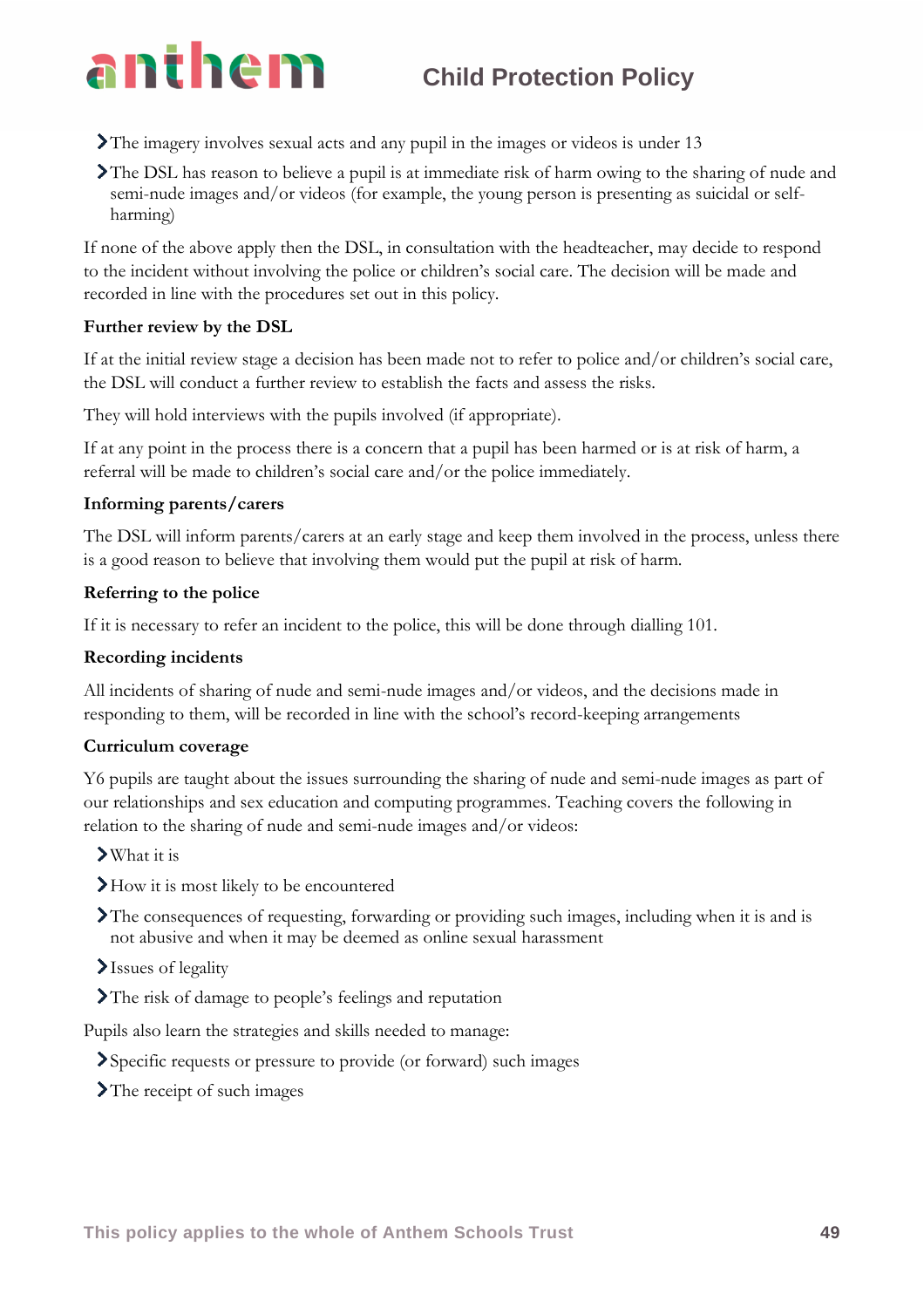- The imagery involves sexual acts and any pupil in the images or videos is under 13
- The DSL has reason to believe a pupil is at immediate risk of harm owing to the sharing of nude and semi-nude images and/or videos (for example, the young person is presenting as suicidal or selfharming)

If none of the above apply then the DSL, in consultation with the headteacher, may decide to respond to the incident without involving the police or children's social care. The decision will be made and recorded in line with the procedures set out in this policy.

### **Further review by the DSL**

If at the initial review stage a decision has been made not to refer to police and/or children's social care, the DSL will conduct a further review to establish the facts and assess the risks.

They will hold interviews with the pupils involved (if appropriate).

If at any point in the process there is a concern that a pupil has been harmed or is at risk of harm, a referral will be made to children's social care and/or the police immediately.

### **Informing parents/carers**

The DSL will inform parents/carers at an early stage and keep them involved in the process, unless there is a good reason to believe that involving them would put the pupil at risk of harm.

### **Referring to the police**

If it is necessary to refer an incident to the police, this will be done through dialling 101.

### **Recording incidents**

All incidents of sharing of nude and semi-nude images and/or videos, and the decisions made in responding to them, will be recorded in line with the school's record-keeping arrangements

### **Curriculum coverage**

Y6 pupils are taught about the issues surrounding the sharing of nude and semi-nude images as part of our relationships and sex education and computing programmes. Teaching covers the following in relation to the sharing of nude and semi-nude images and/or videos:

- What it is
- How it is most likely to be encountered
- The consequences of requesting, forwarding or providing such images, including when it is and is not abusive and when it may be deemed as online sexual harassment
- Issues of legality
- The risk of damage to people's feelings and reputation

Pupils also learn the strategies and skills needed to manage:

- Specific requests or pressure to provide (or forward) such images
- The receipt of such images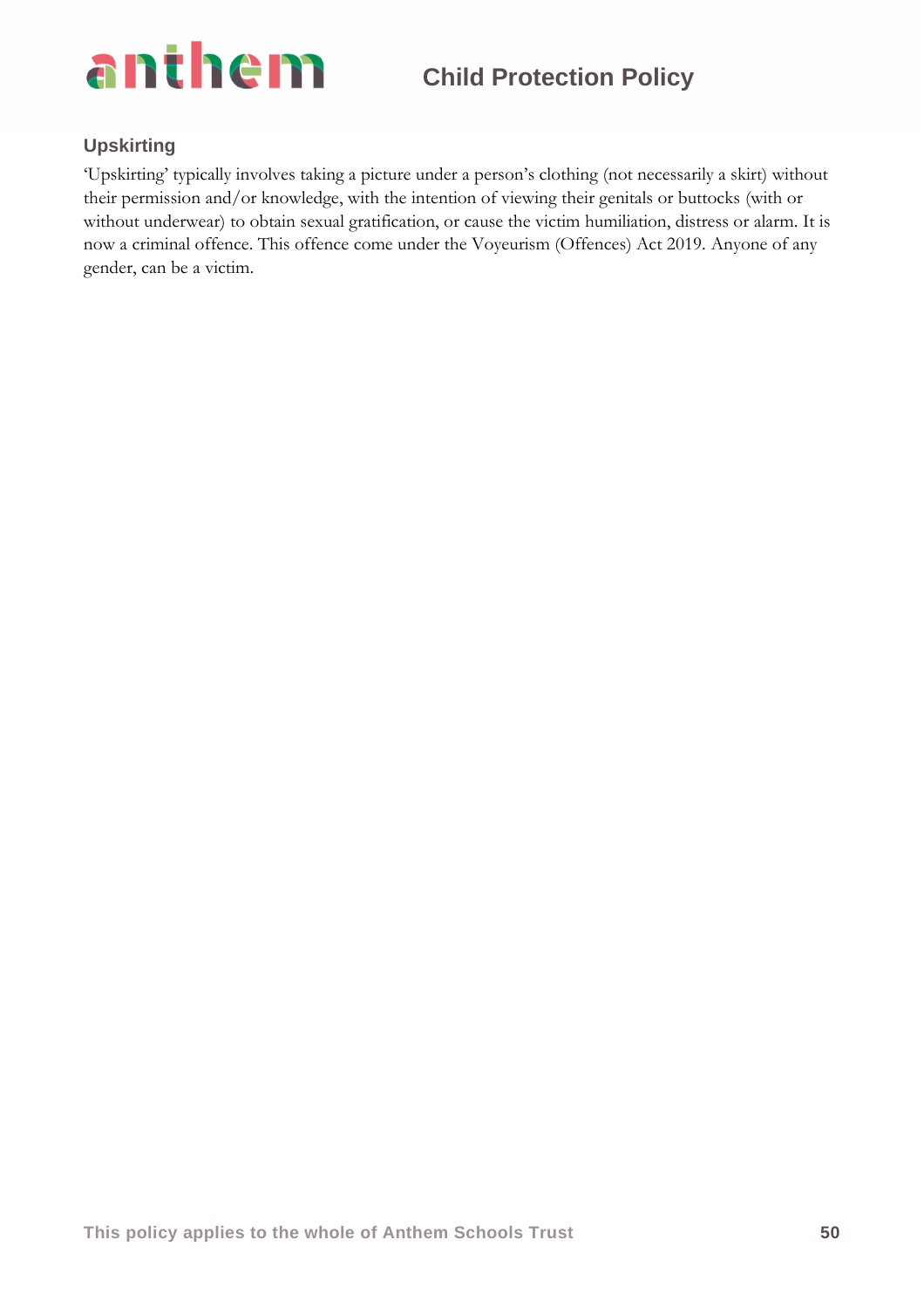

### **Upskirting**

'Upskirting' typically involves taking a picture under a person's clothing (not necessarily a skirt) without their permission and/or knowledge, with the intention of viewing their genitals or buttocks (with or without underwear) to obtain sexual gratification, or cause the victim humiliation, distress or alarm. It is now a criminal offence. This offence come under the Voyeurism (Offences) Act 2019. Anyone of any gender, can be a victim.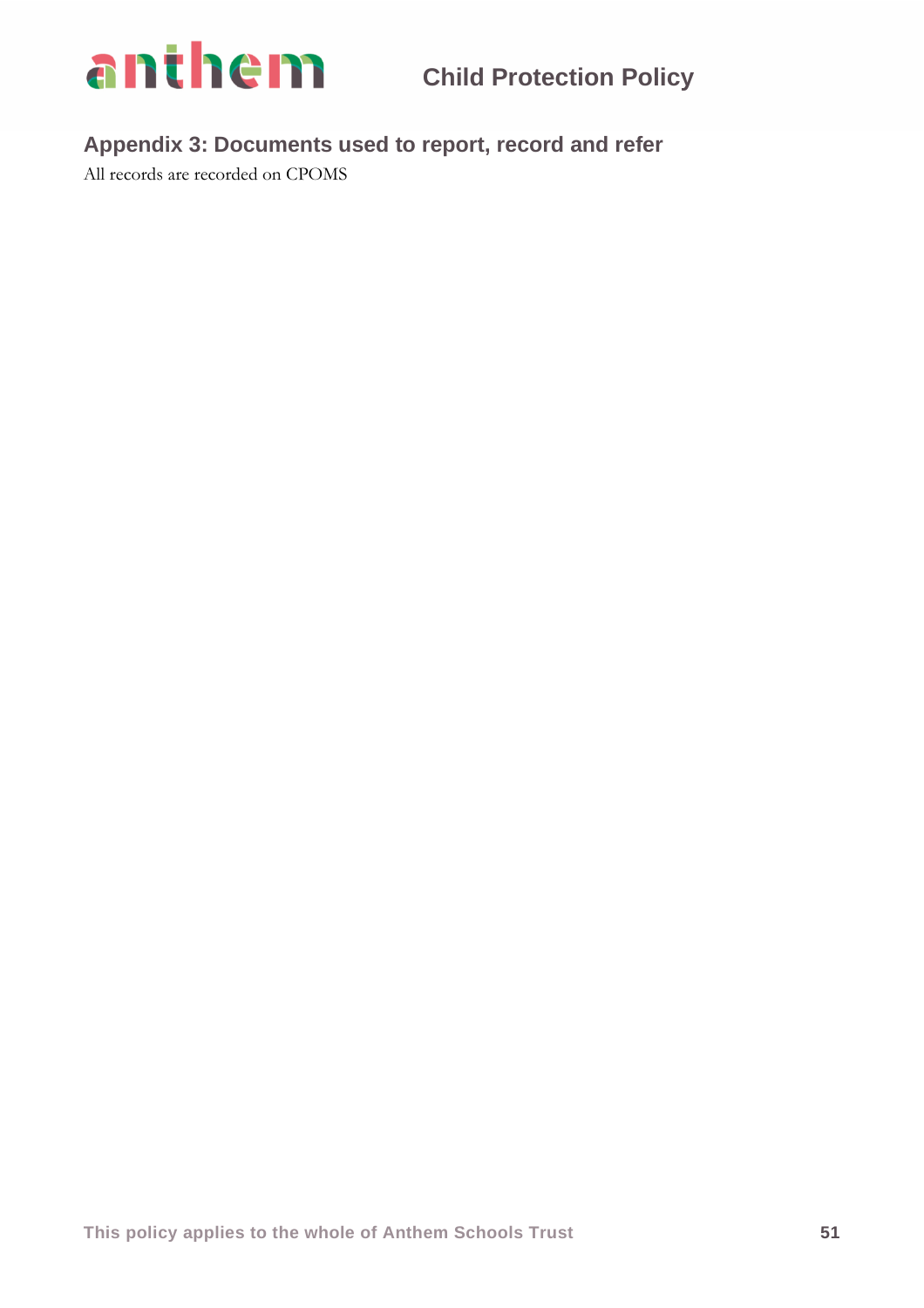

**Appendix 3: Documents used to report, record and refer**

All records are recorded on CPOMS